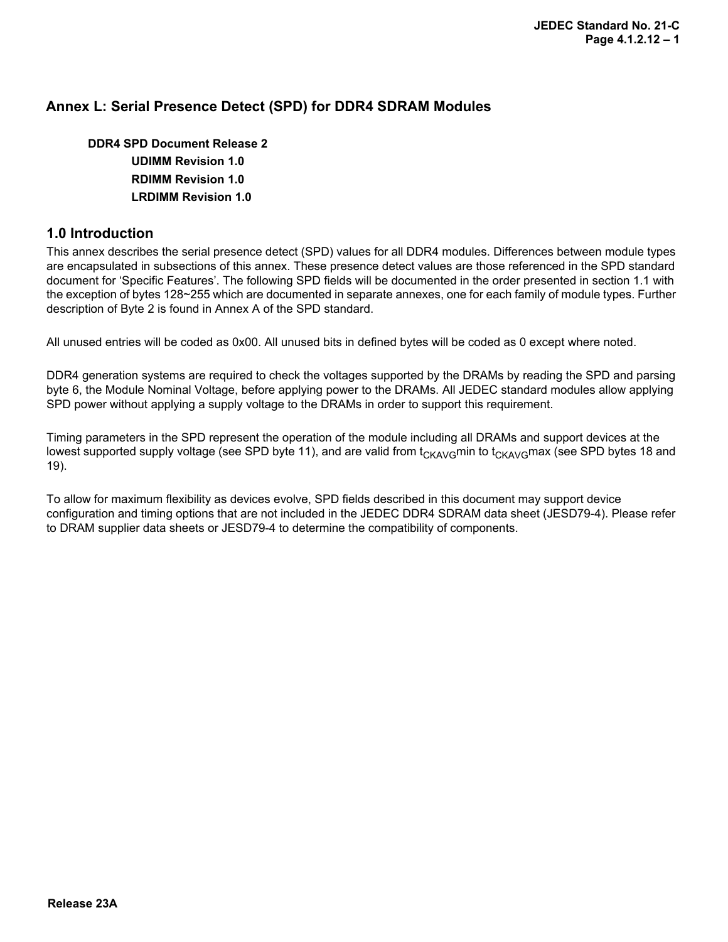#### **Annex L: Serial Presence Detect (SPD) for DDR4 SDRAM Modules**

**DDR4 SPD Document Release 2 UDIMM Revision 1.0 RDIMM Revision 1.0 LRDIMM Revision 1.0**

#### **1.0 Introduction**

This annex describes the serial presence detect (SPD) values for all DDR4 modules. Differences between module types are encapsulated in subsections of this annex. These presence detect values are those referenced in the SPD standard document for 'Specific Features'. The following SPD fields will be documented in the order presented in section 1.1 with the exception of bytes 128~255 which are documented in separate annexes, one for each family of module types. Further description of Byte 2 is found in Annex A of the SPD standard.

All unused entries will be coded as 0x00. All unused bits in defined bytes will be coded as 0 except where noted.

DDR4 generation systems are required to check the voltages supported by the DRAMs by reading the SPD and parsing byte 6, the Module Nominal Voltage, before applying power to the DRAMs. All JEDEC standard modules allow applying SPD power without applying a supply voltage to the DRAMs in order to support this requirement.

Timing parameters in the SPD represent the operation of the module including all DRAMs and support devices at the lowest supported supply voltage (see SPD byte 11), and are valid from  $t_{CKA\vee G}$ min to  $t_{CKA\vee G}$ max (see SPD bytes 18 and 19).

To allow for maximum flexibility as devices evolve, SPD fields described in this document may support device configuration and timing options that are not included in the JEDEC DDR4 SDRAM data sheet (JESD79-4). Please refer to DRAM supplier data sheets or JESD79-4 to determine the compatibility of components.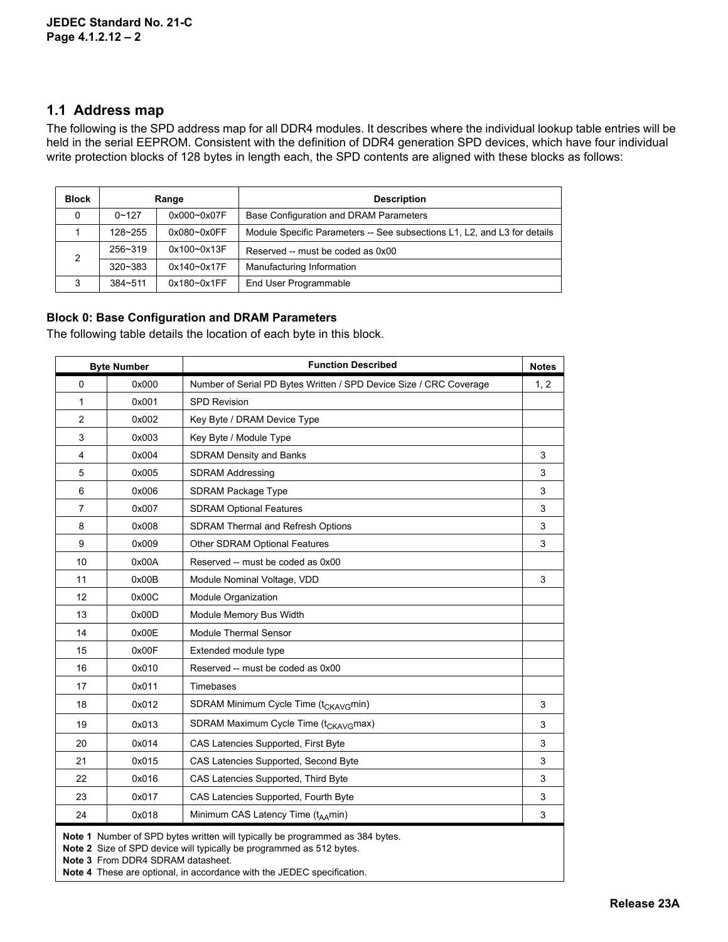#### **1.1 Address map**

The following is the SPD address map for all DDR4 modules. It describes where the individual lookup table entries will be held in the serial EEPROM. Consistent with the definition of DDR4 generation SPD devices, which have four individual write protection blocks of 128 bytes in length each, the SPD contents are aligned with these blocks as follows:

| <b>Block</b> | Range       |                 | <b>Description</b>                                                       |
|--------------|-------------|-----------------|--------------------------------------------------------------------------|
| 0            | $0 - 127$   | $0x000 - 0x07F$ | Base Configuration and DRAM Parameters                                   |
|              | $128 - 255$ | $0x080 - 0x0FF$ | Module Specific Parameters -- See subsections L1, L2, and L3 for details |
| 256~319<br>2 |             | 0x100~0x13F     | Reserved -- must be coded as 0x00                                        |
|              | $320 - 383$ | $0x140 - 0x17F$ | Manufacturing Information                                                |
| 3            | $384 - 511$ | $0x180 - 0x1FF$ | End User Programmable                                                    |

#### **Block 0: Base Configuration and DRAM Parameters**

The following table details the location of each byte in this block.

|                | <b>Byte Number</b> | <b>Function Described</b>                                                                                                                           | <b>Notes</b> |
|----------------|--------------------|-----------------------------------------------------------------------------------------------------------------------------------------------------|--------------|
| $\Omega$       | 0x000              | Number of Serial PD Bytes Written / SPD Device Size / CRC Coverage                                                                                  | 1, 2         |
| 1              | 0x001              | <b>SPD Revision</b>                                                                                                                                 |              |
| $\overline{2}$ | 0x002              | Key Byte / DRAM Device Type                                                                                                                         |              |
| 3              | 0x003              | Key Byte / Module Type                                                                                                                              |              |
| $\overline{4}$ | 0x004              | <b>SDRAM Density and Banks</b>                                                                                                                      | 3            |
| 5              | 0x005              | <b>SDRAM Addressing</b>                                                                                                                             | 3            |
| 6              | 0x006              | <b>SDRAM Package Type</b>                                                                                                                           | 3            |
| $\overline{7}$ | 0x007              | <b>SDRAM Optional Features</b>                                                                                                                      | 3            |
| 8              | 0x008              | <b>SDRAM Thermal and Refresh Options</b>                                                                                                            | 3            |
| 9              | 0x009              | Other SDRAM Optional Features                                                                                                                       | 3            |
| 10             | 0x00A              | Reserved -- must be coded as 0x00                                                                                                                   |              |
| 11             | 0x00B              | Module Nominal Voltage, VDD                                                                                                                         | 3            |
| 12             | 0x00C              | Module Organization                                                                                                                                 |              |
| 13             | 0x00D              | Module Memory Bus Width                                                                                                                             |              |
| 14             | 0x00E              | Module Thermal Sensor                                                                                                                               |              |
| 15             | 0x00F              | Extended module type                                                                                                                                |              |
| 16             | 0x010              | Reserved -- must be coded as 0x00                                                                                                                   |              |
| 17             | 0x011              | Timebases                                                                                                                                           |              |
| 18             | 0x012              | SDRAM Minimum Cycle Time (t <sub>CKAVG</sub> min)                                                                                                   | 3            |
| 19             | 0x013              | SDRAM Maximum Cycle Time (t <sub>CKAVG</sub> max)                                                                                                   | 3            |
| 20             | 0x014              | CAS Latencies Supported, First Byte                                                                                                                 | 3            |
| 21             | 0x015              | CAS Latencies Supported, Second Byte                                                                                                                | 3            |
| 22             | 0x016              | CAS Latencies Supported, Third Byte                                                                                                                 | 3            |
| 23             | 0x017              | CAS Latencies Supported, Fourth Byte                                                                                                                | 3            |
| 24             | 0x018              | Minimum CAS Latency Time (t <sub>AA</sub> min)                                                                                                      | 3            |
|                |                    | Note 1 Number of SPD bytes written will typically be programmed as 384 bytes.<br>to 3. Cize of CDD doviso will typically be pregrammed as E19 bytes |              |

**Note 2** Size of SPD device will typically be programmed as 512 bytes.

**Note 3** From DDR4 SDRAM datasheet.

**Note 4** These are optional, in accordance with the JEDEC specification.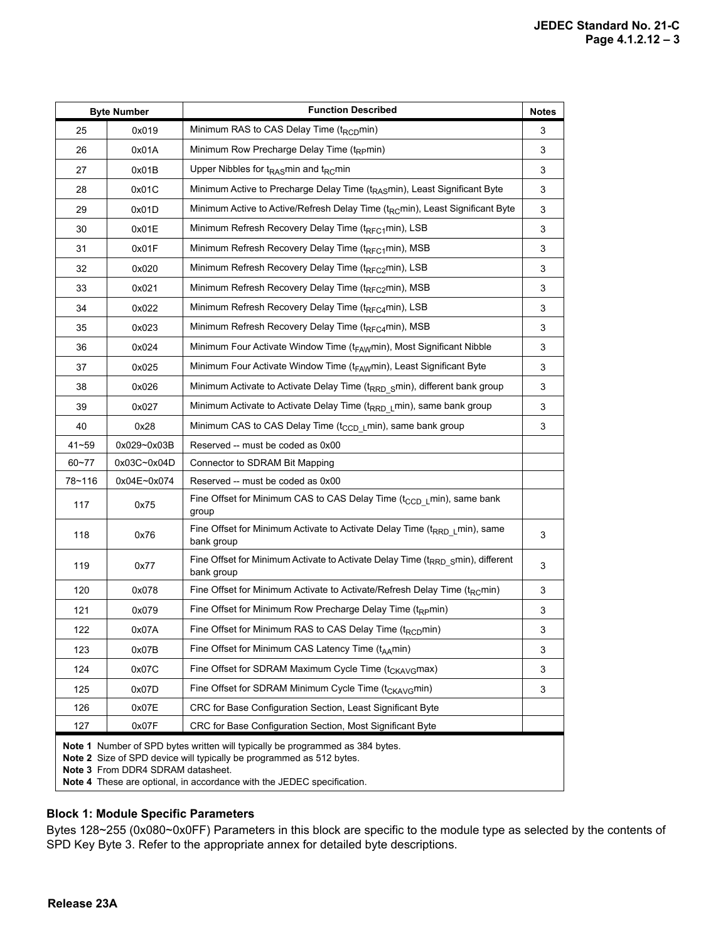|           | <b>Byte Number</b>                                                                                                                                                                                                                                                          | <b>Function Described</b>                                                                                 | <b>Notes</b> |  |  |
|-----------|-----------------------------------------------------------------------------------------------------------------------------------------------------------------------------------------------------------------------------------------------------------------------------|-----------------------------------------------------------------------------------------------------------|--------------|--|--|
| 25        | 0x019                                                                                                                                                                                                                                                                       | Minimum RAS to CAS Delay Time ( $t_{RCD}$ min)                                                            | 3            |  |  |
| 26        | 0x01A                                                                                                                                                                                                                                                                       | Minimum Row Precharge Delay Time (t <sub>RP</sub> min)                                                    | 3            |  |  |
| 27        | 0x01B                                                                                                                                                                                                                                                                       | Upper Nibbles for t <sub>RAS</sub> min and t <sub>RC</sub> min                                            | 3            |  |  |
| 28        | 0x01C                                                                                                                                                                                                                                                                       | Minimum Active to Precharge Delay Time (t <sub>RAS</sub> min), Least Significant Byte                     | 3            |  |  |
| 29        | 0x01D                                                                                                                                                                                                                                                                       | Minimum Active to Active/Refresh Delay Time (t <sub>RC</sub> min), Least Significant Byte                 | 3            |  |  |
| 30        | 0x01E                                                                                                                                                                                                                                                                       | Minimum Refresh Recovery Delay Time (t <sub>RFC1</sub> min), LSB                                          | 3            |  |  |
| 31        | 0x01F                                                                                                                                                                                                                                                                       | Minimum Refresh Recovery Delay Time (t <sub>RFC1</sub> min), MSB                                          | 3            |  |  |
| 32        | 0x020                                                                                                                                                                                                                                                                       | Minimum Refresh Recovery Delay Time (t <sub>RFC2</sub> min), LSB                                          | 3            |  |  |
| 33        | 0x021                                                                                                                                                                                                                                                                       | Minimum Refresh Recovery Delay Time (t <sub>RFC2</sub> min), MSB                                          | 3            |  |  |
| 34        | 0x022                                                                                                                                                                                                                                                                       | Minimum Refresh Recovery Delay Time (t <sub>RFC4</sub> min), LSB                                          | 3            |  |  |
| 35        | 0x023                                                                                                                                                                                                                                                                       | Minimum Refresh Recovery Delay Time (t <sub>RFC4</sub> min), MSB                                          | 3            |  |  |
| 36        | 0x024                                                                                                                                                                                                                                                                       | Minimum Four Activate Window Time (t <sub>FAW</sub> min), Most Significant Nibble                         | 3            |  |  |
| 37        | 0x025                                                                                                                                                                                                                                                                       | Minimum Four Activate Window Time (t <sub>FAW</sub> min), Least Significant Byte                          | 3            |  |  |
| 38        | 0x026                                                                                                                                                                                                                                                                       | Minimum Activate to Activate Delay Time (t <sub>RRD S</sub> min), different bank group                    | 3            |  |  |
| 39        | 0x027                                                                                                                                                                                                                                                                       | Minimum Activate to Activate Delay Time (t <sub>RRD L</sub> min), same bank group                         | 3            |  |  |
| 40        | 0x28                                                                                                                                                                                                                                                                        | Minimum CAS to CAS Delay Time (t <sub>CCD L</sub> min), same bank group                                   | 3            |  |  |
| $41 - 59$ | 0x029~0x03B                                                                                                                                                                                                                                                                 | Reserved -- must be coded as 0x00                                                                         |              |  |  |
| $60 - 77$ | 0x03C~0x04D                                                                                                                                                                                                                                                                 | Connector to SDRAM Bit Mapping                                                                            |              |  |  |
| 78~116    | 0x04E~0x074                                                                                                                                                                                                                                                                 | Reserved -- must be coded as 0x00                                                                         |              |  |  |
| 117       | 0x75                                                                                                                                                                                                                                                                        | Fine Offset for Minimum CAS to CAS Delay Time (t <sub>CCD L</sub> min), same bank<br>group                |              |  |  |
| 118       | 0x76                                                                                                                                                                                                                                                                        | Fine Offset for Minimum Activate to Activate Delay Time (t <sub>RRD L</sub> min), same<br>bank group      | 3            |  |  |
| 119       | 0x77                                                                                                                                                                                                                                                                        | Fine Offset for Minimum Activate to Activate Delay Time (t <sub>RRD S</sub> min), different<br>bank group | 3            |  |  |
| 120       | 0x078                                                                                                                                                                                                                                                                       | Fine Offset for Minimum Activate to Activate/Refresh Delay Time (t <sub>RC</sub> min)                     | 3            |  |  |
| 121       | 0x079                                                                                                                                                                                                                                                                       | Fine Offset for Minimum Row Precharge Delay Time $(t_{RP}min)$                                            | 3            |  |  |
| 122       | 0x07A                                                                                                                                                                                                                                                                       | Fine Offset for Minimum RAS to CAS Delay Time (t <sub>RCD</sub> min)                                      | 3            |  |  |
| 123       | 0x07B                                                                                                                                                                                                                                                                       | Fine Offset for Minimum CAS Latency Time $(t_{\Delta\Delta}$ min)                                         | 3            |  |  |
| 124       | 0x07C                                                                                                                                                                                                                                                                       | Fine Offset for SDRAM Maximum Cycle Time (t <sub>CKAVG</sub> max)                                         | 3            |  |  |
| 125       | 0x07D                                                                                                                                                                                                                                                                       | Fine Offset for SDRAM Minimum Cycle Time $(t_{CKAYG}min)$                                                 | 3            |  |  |
| 126       | 0x07E                                                                                                                                                                                                                                                                       | CRC for Base Configuration Section, Least Significant Byte                                                |              |  |  |
| 127       | 0x07F                                                                                                                                                                                                                                                                       | CRC for Base Configuration Section, Most Significant Byte                                                 |              |  |  |
|           | <b>Note 1</b> Number of SPD bytes written will typically be programmed as 384 bytes.<br>Note 2 Size of SPD device will typically be programmed as 512 bytes.<br>Note 3 From DDR4 SDRAM datasheet.<br>Note 4 These are optional, in accordance with the JEDEC specification. |                                                                                                           |              |  |  |

### **Block 1: Module Specific Parameters**

Bytes 128~255 (0x080~0x0FF) Parameters in this block are specific to the module type as selected by the contents of SPD Key Byte 3. Refer to the appropriate annex for detailed byte descriptions.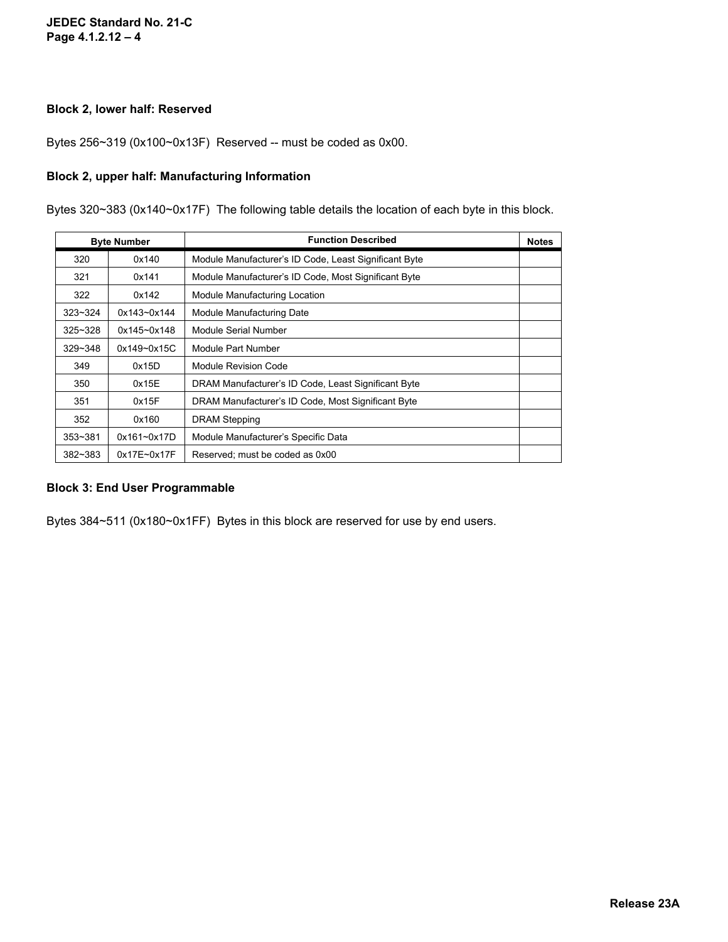#### **JEDEC Standard No. 21-C Page 4.1.2.12 – 4**

#### **Block 2, lower half: Reserved**

Bytes 256~319 (0x100~0x13F) Reserved -- must be coded as 0x00.

#### **Block 2, upper half: Manufacturing Information**

Bytes 320~383 (0x140~0x17F) The following table details the location of each byte in this block.

| <b>Byte Number</b> |                 | <b>Function Described</b>                             |  |  |  |
|--------------------|-----------------|-------------------------------------------------------|--|--|--|
| 320                | 0x140           | Module Manufacturer's ID Code, Least Significant Byte |  |  |  |
| 321                | 0x141           | Module Manufacturer's ID Code, Most Significant Byte  |  |  |  |
| 322                | 0x142           | Module Manufacturing Location                         |  |  |  |
| $323 - 324$        | 0x143~0x144     | Module Manufacturing Date                             |  |  |  |
| $325 - 328$        | 0x145~0x148     | Module Serial Number                                  |  |  |  |
| $329 - 348$        | $0x149 - 0x15C$ | Module Part Number                                    |  |  |  |
| 349                | 0x15D           | Module Revision Code                                  |  |  |  |
| 350                | 0x15E           | DRAM Manufacturer's ID Code, Least Significant Byte   |  |  |  |
| 351                | 0x15F           | DRAM Manufacturer's ID Code, Most Significant Byte    |  |  |  |
| 352                | 0x160           | <b>DRAM Stepping</b>                                  |  |  |  |
| $353 - 381$        | $0x161 - 0x17D$ | Module Manufacturer's Specific Data                   |  |  |  |
| 382~383            | $0x17E - 0x17F$ | Reserved; must be coded as 0x00                       |  |  |  |

#### **Block 3: End User Programmable**

Bytes 384~511 (0x180~0x1FF) Bytes in this block are reserved for use by end users.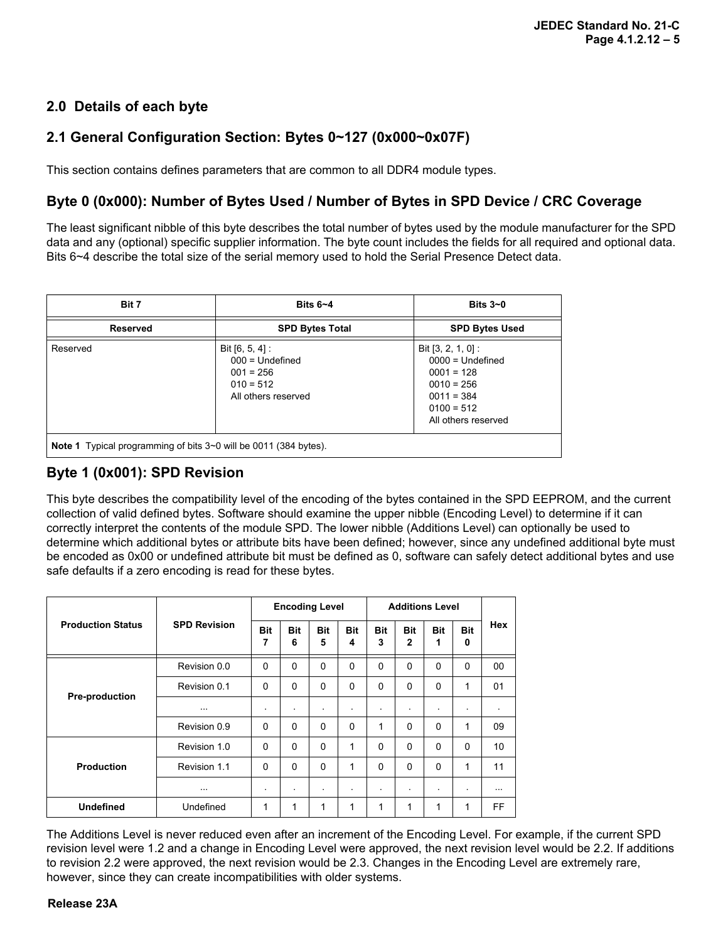### **2.0 Details of each byte**

### **2.1 General Configuration Section: Bytes 0~127 (0x000~0x07F)**

This section contains defines parameters that are common to all DDR4 module types.

### **Byte 0 (0x000): Number of Bytes Used / Number of Bytes in SPD Device / CRC Coverage**

The least significant nibble of this byte describes the total number of bytes used by the module manufacturer for the SPD data and any (optional) specific supplier information. The byte count includes the fields for all required and optional data. Bits 6~4 describe the total size of the serial memory used to hold the Serial Presence Detect data.

| Bit 7                                                                   | Bits $6 - 4$                                                                                | Bits $3-0$                                                                                                                        |  |  |  |  |  |
|-------------------------------------------------------------------------|---------------------------------------------------------------------------------------------|-----------------------------------------------------------------------------------------------------------------------------------|--|--|--|--|--|
| <b>Reserved</b>                                                         | <b>SPD Bytes Total</b>                                                                      | <b>SPD Bytes Used</b>                                                                                                             |  |  |  |  |  |
| Reserved                                                                | Bit $[6, 5, 4]$ :<br>$000 =$ Undefined<br>$001 = 256$<br>$010 = 512$<br>All others reserved | Bit $[3, 2, 1, 0]$ :<br>$0000 =$ Undefined<br>$0001 = 128$<br>$0010 = 256$<br>$0011 = 384$<br>$0100 = 512$<br>All others reserved |  |  |  |  |  |
| <b>Note 1</b> Typical programming of bits 3~0 will be 0011 (384 bytes). |                                                                                             |                                                                                                                                   |  |  |  |  |  |

### **Byte 1 (0x001): SPD Revision**

This byte describes the compatibility level of the encoding of the bytes contained in the SPD EEPROM, and the current collection of valid defined bytes. Software should examine the upper nibble (Encoding Level) to determine if it can correctly interpret the contents of the module SPD. The lower nibble (Additions Level) can optionally be used to determine which additional bytes or attribute bits have been defined; however, since any undefined additional byte must be encoded as 0x00 or undefined attribute bit must be defined as 0, software can safely detect additional bytes and use safe defaults if a zero encoding is read for these bytes.

|                          |                     | <b>Encoding Level</b> |                 |             | <b>Additions Level</b> |             |                            |                 |                 |            |
|--------------------------|---------------------|-----------------------|-----------------|-------------|------------------------|-------------|----------------------------|-----------------|-----------------|------------|
| <b>Production Status</b> | <b>SPD Revision</b> | <b>Bit</b><br>7       | <b>Bit</b><br>6 | Bit<br>5    | Bit<br>4               | Bit<br>3    | <b>Bit</b><br>$\mathbf{2}$ | <b>Bit</b><br>1 | <b>Bit</b><br>0 | <b>Hex</b> |
|                          | Revision 0.0        | $\mathbf{0}$          | $\Omega$        | $\mathbf 0$ | 0                      | $\mathbf 0$ | $\mathbf 0$                | $\Omega$        | $\mathbf 0$     | 00         |
| <b>Pre-production</b>    | Revision 0.1        | $\mathbf{0}$          | $\Omega$        | $\Omega$    | $\Omega$               | $\Omega$    | $\Omega$                   | $\Omega$        | 1               | 01         |
|                          | $\cdots$            | $\blacksquare$        | ٠               | ٠           | $\bullet$              | ٠           | ٠                          | $\mathbf{r}$    | ٠               | $\bullet$  |
|                          | Revision 0.9        | $\mathbf{0}$          | $\Omega$        | $\Omega$    | $\Omega$               | 1           | $\Omega$                   | $\Omega$        | 1               | 09         |
|                          | Revision 1.0        | 0                     | $\Omega$        | $\Omega$    | 1                      | $\Omega$    | $\Omega$                   | $\Omega$        | $\Omega$        | 10         |
| <b>Production</b>        | Revision 1.1        | $\mathbf{0}$          | $\Omega$        | $\Omega$    | 1                      | $\Omega$    | $\Omega$                   | $\Omega$        | 1               | 11         |
|                          | $\cdots$            | $\blacksquare$        | ٠               | ٠           | $\bullet$              | ٠           | ٠                          | $\mathbf{r}$    | ٠               | $\cdots$   |
| <b>Undefined</b>         | Undefined           | 1                     | 1               | 1           | 1                      | 1           | 1                          | 1               | 1               | FF         |

The Additions Level is never reduced even after an increment of the Encoding Level. For example, if the current SPD revision level were 1.2 and a change in Encoding Level were approved, the next revision level would be 2.2. If additions to revision 2.2 were approved, the next revision would be 2.3. Changes in the Encoding Level are extremely rare, however, since they can create incompatibilities with older systems.

#### **Release 23A**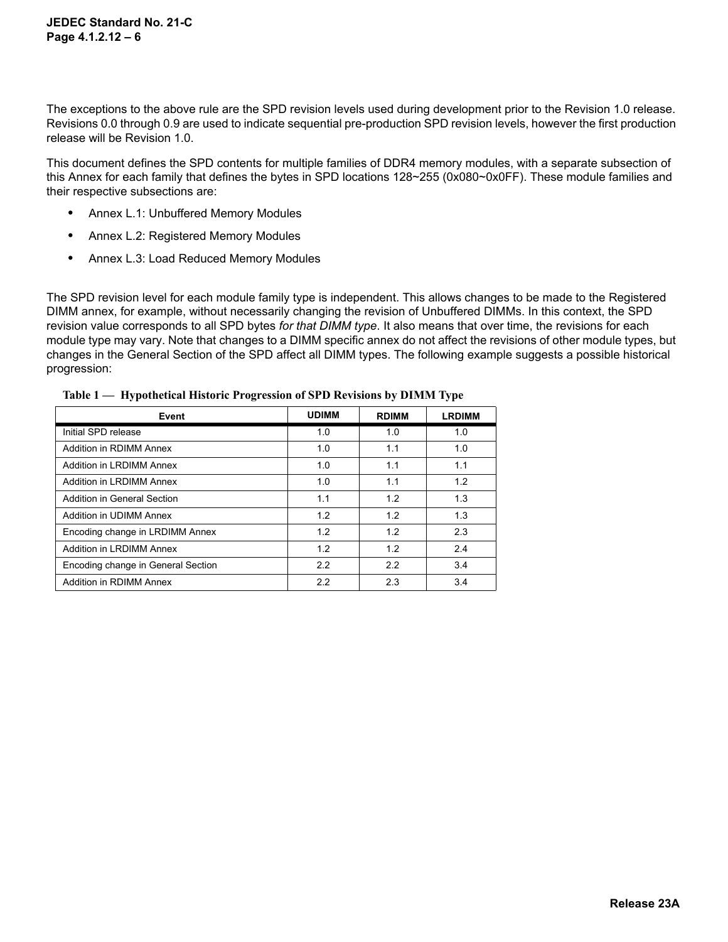The exceptions to the above rule are the SPD revision levels used during development prior to the Revision 1.0 release. Revisions 0.0 through 0.9 are used to indicate sequential pre-production SPD revision levels, however the first production release will be Revision 1.0.

This document defines the SPD contents for multiple families of DDR4 memory modules, with a separate subsection of this Annex for each family that defines the bytes in SPD locations 128~255 (0x080~0x0FF). These module families and their respective subsections are:

- **•** Annex L.1: Unbuffered Memory Modules
- **•** Annex L.2: Registered Memory Modules
- **•** Annex L.3: Load Reduced Memory Modules

The SPD revision level for each module family type is independent. This allows changes to be made to the Registered DIMM annex, for example, without necessarily changing the revision of Unbuffered DIMMs. In this context, the SPD revision value corresponds to all SPD bytes *for that DIMM type*. It also means that over time, the revisions for each module type may vary. Note that changes to a DIMM specific annex do not affect the revisions of other module types, but changes in the General Section of the SPD affect all DIMM types. The following example suggests a possible historical progression:

| Event                              | <b>UDIMM</b> | <b>RDIMM</b> | <b>LRDIMM</b> |
|------------------------------------|--------------|--------------|---------------|
| Initial SPD release                | 1.0          | 1.0          | 1.0           |
| Addition in RDIMM Annex            | 1.0          | 1.1          | 1.0           |
| Addition in LRDIMM Annex           | 1.0          | 1.1          | 1.1           |
| Addition in LRDIMM Annex           | 1.0          | 1.1          | 1.2           |
| Addition in General Section        | 1.1          | 1.2          | 1.3           |
| Addition in UDIMM Annex            | 1.2          | 1.2          | 1.3           |
| Encoding change in LRDIMM Annex    | 1.2          | 1.2          | 2.3           |
| Addition in LRDIMM Annex           | 1.2          | 1.2          | 2.4           |
| Encoding change in General Section | 2.2          | 2.2          | 3.4           |
| Addition in RDIMM Annex            | 2.2          | 2.3          | 3.4           |

**Table 1 — Hypothetical Historic Progression of SPD Revisions by DIMM Type**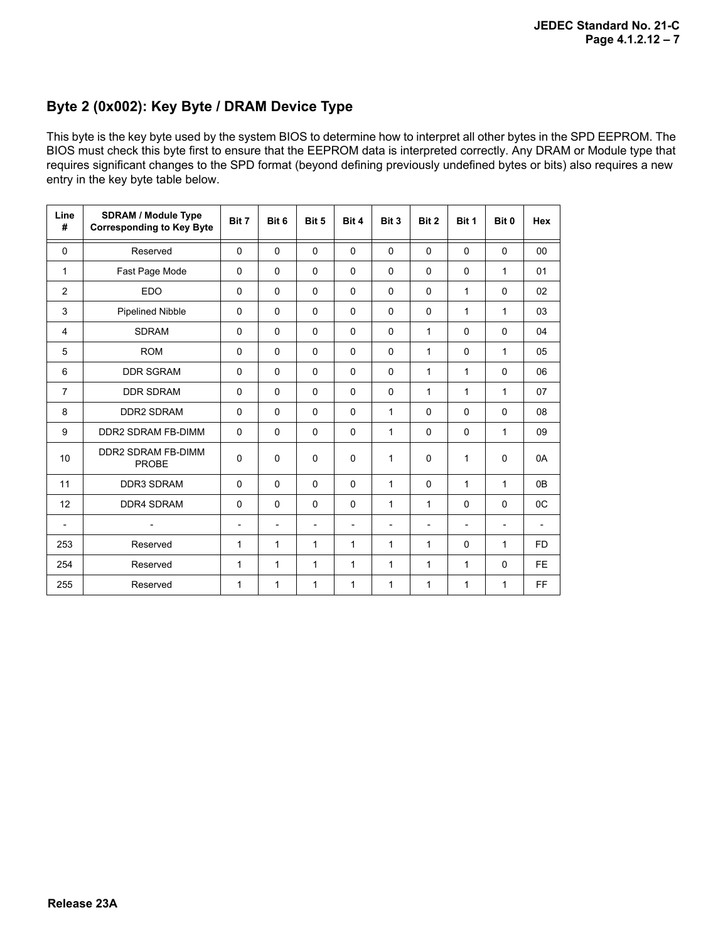### **Byte 2 (0x002): Key Byte / DRAM Device Type**

This byte is the key byte used by the system BIOS to determine how to interpret all other bytes in the SPD EEPROM. The BIOS must check this byte first to ensure that the EEPROM data is interpreted correctly. Any DRAM or Module type that requires significant changes to the SPD format (beyond defining previously undefined bytes or bits) also requires a new entry in the key byte table below.

| Line<br>#                | <b>SDRAM / Module Type</b><br><b>Corresponding to Key Byte</b> | Bit 7                    | Bit 6                    | Bit 5                    | Bit 4                    | Bit 3                    | Bit 2                    | Bit 1                    | Bit 0                    | <b>Hex</b>     |
|--------------------------|----------------------------------------------------------------|--------------------------|--------------------------|--------------------------|--------------------------|--------------------------|--------------------------|--------------------------|--------------------------|----------------|
| $\Omega$                 | Reserved                                                       | $\Omega$                 | $\Omega$                 | $\Omega$                 | $\Omega$                 | $\Omega$                 | $\Omega$                 | $\Omega$                 | $\Omega$                 | 00             |
| 1                        | Fast Page Mode                                                 | 0                        | $\Omega$                 | 0                        | 0                        | 0                        | $\Omega$                 | $\Omega$                 | 1                        | 01             |
| $\overline{2}$           | <b>EDO</b>                                                     | 0                        | $\Omega$                 | $\Omega$                 | 0                        | 0                        | $\Omega$                 | 1                        | $\Omega$                 | 02             |
| 3                        | <b>Pipelined Nibble</b>                                        | $\Omega$                 | $\Omega$                 | 0                        | $\Omega$                 | 0                        | $\mathbf{0}$             | 1                        | 1                        | 03             |
| $\overline{4}$           | <b>SDRAM</b>                                                   | $\Omega$                 | $\Omega$                 | $\Omega$                 | $\Omega$                 | 0                        | 1                        | $\Omega$                 | $\Omega$                 | 04             |
| 5                        | <b>ROM</b>                                                     | 0                        | $\mathbf 0$              | 0                        | 0                        | 0                        | $\mathbf 1$              | 0                        | 1                        | 05             |
| 6                        | <b>DDR SGRAM</b>                                               | 0                        | $\mathbf 0$              | 0                        | 0                        | 0                        | $\mathbf 1$              | 1                        | 0                        | 06             |
| $\overline{7}$           | <b>DDR SDRAM</b>                                               | 0                        | $\Omega$                 | $\Omega$                 | 0                        | 0                        | $\mathbf 1$              | 1                        | 1                        | 07             |
| 8                        | <b>DDR2 SDRAM</b>                                              | 0                        | $\Omega$                 | $\Omega$                 | $\Omega$                 | 1                        | $\Omega$                 | $\Omega$                 | $\Omega$                 | 08             |
| 9                        | DDR2 SDRAM FB-DIMM                                             | 0                        | $\Omega$                 | 0                        | $\mathbf 0$              | $\mathbf{1}$             | $\mathbf{0}$             | $\Omega$                 | 1                        | 09             |
| 10                       | DDR2 SDRAM FB-DIMM<br><b>PROBE</b>                             | 0                        | $\Omega$                 | 0                        | $\Omega$                 | 1                        | $\Omega$                 | 1                        | $\Omega$                 | 0A             |
| 11                       | <b>DDR3 SDRAM</b>                                              | $\Omega$                 | $\Omega$                 | $\Omega$                 | 0                        | $\mathbf{1}$             | $\Omega$                 | 1                        | 1                        | 0 <sub>B</sub> |
| 12                       | <b>DDR4 SDRAM</b>                                              | $\Omega$                 | $\Omega$                 | $\Omega$                 | $\Omega$                 | 1                        | $\mathbf{1}$             | $\Omega$                 | $\Omega$                 | 0 <sup>C</sup> |
| $\overline{\phantom{a}}$ |                                                                | $\overline{\phantom{a}}$ | $\overline{\phantom{a}}$ | $\overline{\phantom{a}}$ | $\overline{\phantom{a}}$ | $\overline{\phantom{a}}$ | $\overline{\phantom{a}}$ | $\overline{\phantom{a}}$ | $\overline{\phantom{a}}$ |                |
| 253                      | Reserved                                                       | 1                        | 1                        | 1                        | $\mathbf{1}$             | 1                        | $\mathbf 1$              | $\Omega$                 | 1                        | <b>FD</b>      |
| 254                      | Reserved                                                       | 1                        | 1                        | 1                        | 1                        | 1                        | $\mathbf 1$              | 1                        | $\Omega$                 | FE             |
| 255                      | Reserved                                                       | 1                        | 1                        | 1                        | 1                        | 1                        | 1                        | 1                        | 1                        | FF             |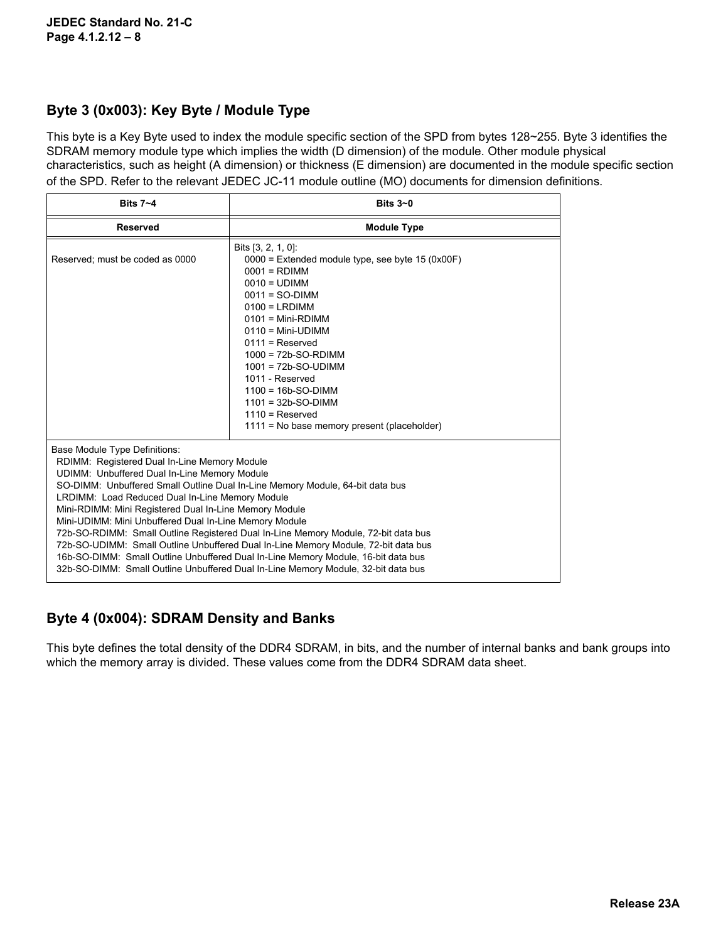### **Byte 3 (0x003): Key Byte / Module Type**

This byte is a Key Byte used to index the module specific section of the SPD from bytes 128~255. Byte 3 identifies the SDRAM memory module type which implies the width (D dimension) of the module. Other module physical characteristics, such as height (A dimension) or thickness (E dimension) are documented in the module specific section of the SPD. Refer to the relevant JEDEC JC-11 module outline (MO) documents for dimension definitions.

| Bits $7 - 4$                                                                                                                                                                                                                                                                                                                                                                                                                                                                                                                                                                                                                                                                                                                                | Bits $3-0$                                                                                                                                                                                                                                                                                                                                                                  |  |  |  |  |
|---------------------------------------------------------------------------------------------------------------------------------------------------------------------------------------------------------------------------------------------------------------------------------------------------------------------------------------------------------------------------------------------------------------------------------------------------------------------------------------------------------------------------------------------------------------------------------------------------------------------------------------------------------------------------------------------------------------------------------------------|-----------------------------------------------------------------------------------------------------------------------------------------------------------------------------------------------------------------------------------------------------------------------------------------------------------------------------------------------------------------------------|--|--|--|--|
| <b>Reserved</b>                                                                                                                                                                                                                                                                                                                                                                                                                                                                                                                                                                                                                                                                                                                             | <b>Module Type</b>                                                                                                                                                                                                                                                                                                                                                          |  |  |  |  |
| Reserved; must be coded as 0000                                                                                                                                                                                                                                                                                                                                                                                                                                                                                                                                                                                                                                                                                                             | Bits $[3, 2, 1, 0]$ :<br>$0000 =$ Extended module type, see byte 15 (0x00F)<br>$0001 = \text{RDIMM}$<br>$0010 = UDIMM$<br>$0011 = SO-DIMM$<br>$0100 = LRDIMM$<br>$0101$ = Mini-RDIMM<br>$0110 = Mini$ -UDIMM<br>$0111$ = Reserved<br>$1000 = 72b-SO-RDIMM$<br>$1001 = 72b-SO-UDIMM$<br>1011 - Reserved<br>$1100 = 16b-SO-DIMM$<br>$1101 = 32b-SO-DIMM$<br>$1110$ = Reserved |  |  |  |  |
|                                                                                                                                                                                                                                                                                                                                                                                                                                                                                                                                                                                                                                                                                                                                             | 1111 = No base memory present (placeholder)                                                                                                                                                                                                                                                                                                                                 |  |  |  |  |
| Base Module Type Definitions:<br>RDIMM: Registered Dual In-Line Memory Module<br>UDIMM: Unbuffered Dual In-Line Memory Module<br>SO-DIMM: Unbuffered Small Outline Dual In-Line Memory Module, 64-bit data bus<br>LRDIMM: Load Reduced Dual In-Line Memory Module<br>Mini-RDIMM: Mini Registered Dual In-Line Memory Module<br>Mini-UDIMM: Mini Unbuffered Dual In-Line Memory Module<br>72b-SO-RDIMM: Small Outline Registered Dual In-Line Memory Module, 72-bit data bus<br>72b-SO-UDIMM: Small Outline Unbuffered Dual In-Line Memory Module, 72-bit data bus<br>16b-SO-DIMM: Small Outline Unbuffered Dual In-Line Memory Module, 16-bit data bus<br>32b-SO-DIMM: Small Outline Unbuffered Dual In-Line Memory Module, 32-bit data bus |                                                                                                                                                                                                                                                                                                                                                                             |  |  |  |  |

## **Byte 4 (0x004): SDRAM Density and Banks**

This byte defines the total density of the DDR4 SDRAM, in bits, and the number of internal banks and bank groups into which the memory array is divided. These values come from the DDR4 SDRAM data sheet.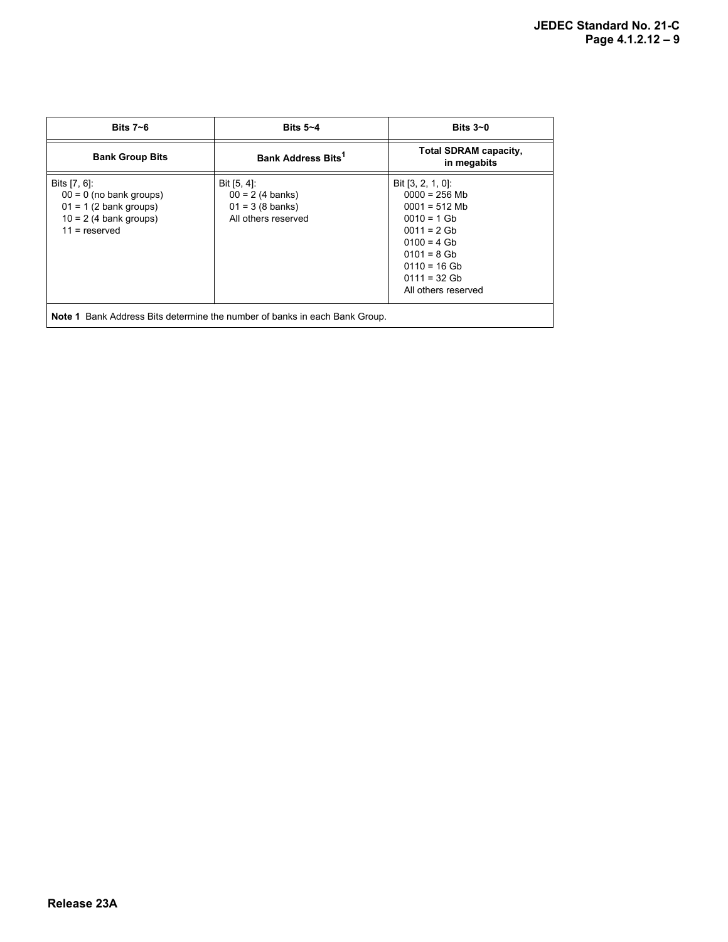| Bits $7 - 6$                                                                                                         | Bits $5 - 4$                                                                          | Bits $3-0$                                                                                                                                                                                |  |  |  |  |
|----------------------------------------------------------------------------------------------------------------------|---------------------------------------------------------------------------------------|-------------------------------------------------------------------------------------------------------------------------------------------------------------------------------------------|--|--|--|--|
| <b>Bank Group Bits</b>                                                                                               | Bank Address Bits <sup>1</sup>                                                        | <b>Total SDRAM capacity,</b><br>in megabits                                                                                                                                               |  |  |  |  |
| Bits [7, 6]:<br>$00 = 0$ (no bank groups)<br>$01 = 1$ (2 bank groups)<br>$10 = 2$ (4 bank groups)<br>$11 =$ reserved | Bit [5, 4]:<br>$00 = 2(4 \text{ banks})$<br>$01 = 3 (8$ banks)<br>All others reserved | Bit $[3, 2, 1, 0]$ :<br>$0000 = 256$ Mb<br>$0001 = 512$ Mb<br>$0010 = 1$ Gb<br>$0011 = 2$ Gb<br>$0100 = 4$ Gb<br>$0101 = 8$ Gb<br>$0110 = 16$ Gb<br>$0111 = 32$ Gb<br>All others reserved |  |  |  |  |
| <b>Note 1</b> Bank Address Bits determine the number of banks in each Bank Group.                                    |                                                                                       |                                                                                                                                                                                           |  |  |  |  |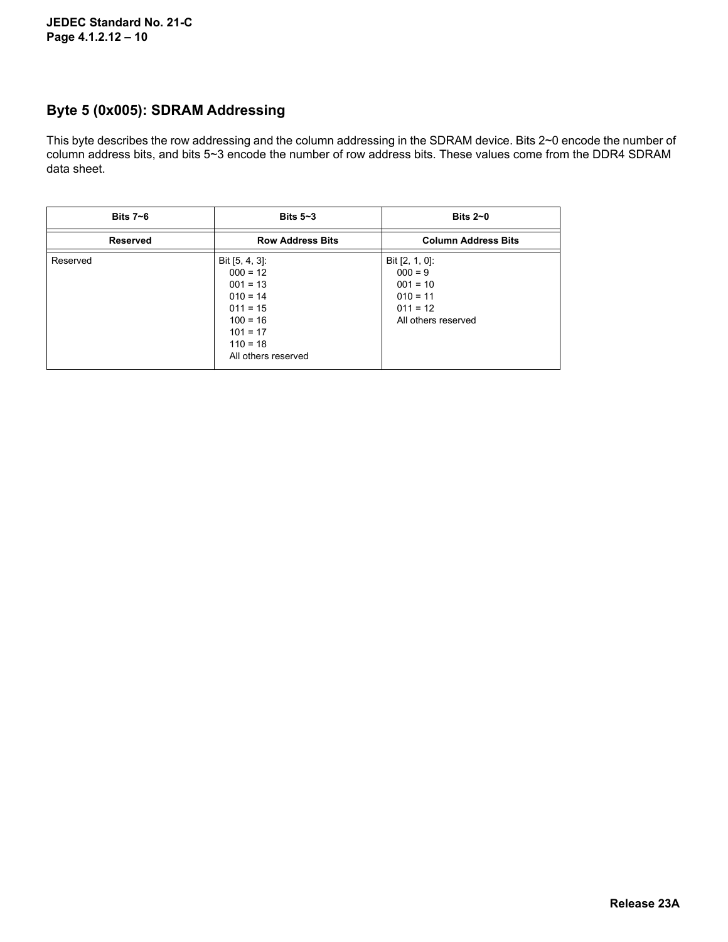### **Byte 5 (0x005): SDRAM Addressing**

This byte describes the row addressing and the column addressing in the SDRAM device. Bits 2~0 encode the number of column address bits, and bits 5~3 encode the number of row address bits. These values come from the DDR4 SDRAM data sheet.

| Bits $7 - 6$    | Bits $5-3$                                                                                                                                 | Bits $2\neg$ 0                                                                                  |
|-----------------|--------------------------------------------------------------------------------------------------------------------------------------------|-------------------------------------------------------------------------------------------------|
| <b>Reserved</b> | <b>Row Address Bits</b>                                                                                                                    | <b>Column Address Bits</b>                                                                      |
| Reserved        | Bit $[5, 4, 3]$ :<br>$000 = 12$<br>$001 = 13$<br>$010 = 14$<br>$011 = 15$<br>$100 = 16$<br>$101 = 17$<br>$110 = 18$<br>All others reserved | Bit $[2, 1, 0]$ :<br>$000 = 9$<br>$001 = 10$<br>$010 = 11$<br>$011 = 12$<br>All others reserved |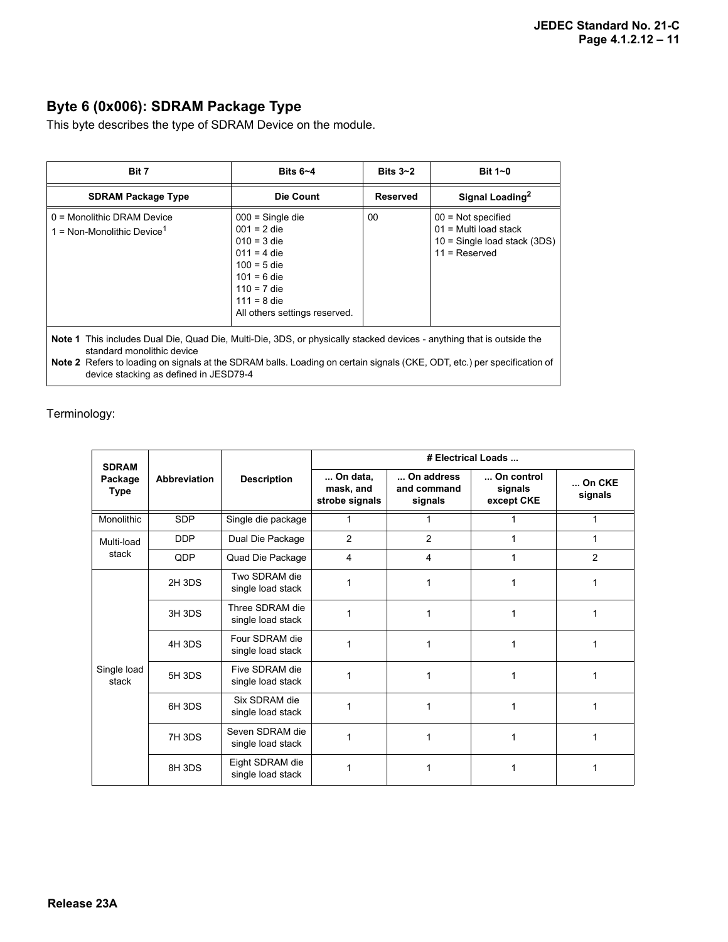## **Byte 6 (0x006): SDRAM Package Type**

This byte describes the type of SDRAM Device on the module.

| Bit 7                                                                                                                                                                                                                                                                                                                            | Bits $6 - 4$                                                                                                                                                               | Bits $3 - 2$    | Bit $1-0$                                                                                          |  |  |  |  |
|----------------------------------------------------------------------------------------------------------------------------------------------------------------------------------------------------------------------------------------------------------------------------------------------------------------------------------|----------------------------------------------------------------------------------------------------------------------------------------------------------------------------|-----------------|----------------------------------------------------------------------------------------------------|--|--|--|--|
| <b>SDRAM Package Type</b>                                                                                                                                                                                                                                                                                                        | Die Count                                                                                                                                                                  | <b>Reserved</b> | Signal Loading <sup>2</sup>                                                                        |  |  |  |  |
| $0 =$ Monolithic DRAM Device<br>1 = Non-Monolithic Device <sup>1</sup>                                                                                                                                                                                                                                                           | $000 =$ Single die<br>$001 = 2$ die<br>$010 = 3$ die<br>$011 = 4$ die<br>$100 = 5$ die<br>$101 = 6$ die<br>$110 = 7$ die<br>$111 = 8$ die<br>All others settings reserved. | 00              | $00 = Not specified$<br>$01$ = Multi load stack<br>10 = Single load stack (3DS)<br>$11 =$ Reserved |  |  |  |  |
| <b>Note 1</b> This includes Dual Die, Quad Die, Multi-Die, 3DS, or physically stacked devices - anything that is outside the<br>standard monolithic device<br>Note 2 Refers to loading on signals at the SDRAM balls. Loading on certain signals (CKE, ODT, etc.) per specification of<br>device stacking as defined in JESD79-4 |                                                                                                                                                                            |                 |                                                                                                    |  |  |  |  |

#### Terminology:

| <b>SDRAM</b>           | Abbreviation | <b>Description</b>                   | # Electrical Loads                      |                                      |                                     |                      |
|------------------------|--------------|--------------------------------------|-----------------------------------------|--------------------------------------|-------------------------------------|----------------------|
| Package<br><b>Type</b> |              |                                      | On data.<br>mask, and<br>strobe signals | On address<br>and command<br>signals | On control<br>signals<br>except CKE | $$ On CKE<br>signals |
| <b>Monolithic</b>      | <b>SDP</b>   | Single die package                   | 1                                       |                                      |                                     |                      |
| Multi-load             | <b>DDP</b>   | Dual Die Package                     | $\overline{2}$                          | $\overline{2}$                       |                                     | 1                    |
| stack                  | QDP          | Quad Die Package                     | $\overline{4}$                          | $\overline{4}$                       | 1                                   | $\overline{2}$       |
| Single load<br>stack   | 2H 3DS       | Two SDRAM die<br>single load stack   | 1                                       | 1                                    | 1                                   | 1                    |
|                        | 3H 3DS       | Three SDRAM die<br>single load stack | 1                                       | 1                                    |                                     |                      |
|                        | 4H 3DS       | Four SDRAM die<br>single load stack  | 1                                       | $\mathbf{1}$                         | 1                                   | 1                    |
|                        | 5H 3DS       | Five SDRAM die<br>single load stack  | 1                                       | 1                                    | 1                                   | 1                    |
|                        | 6H 3DS       | Six SDRAM die<br>single load stack   | 1                                       | 1                                    | 1                                   | 1                    |
|                        | 7H 3DS       | Seven SDRAM die<br>single load stack | 1                                       | 1                                    | 1                                   | 1                    |
|                        | 8H 3DS       | Eight SDRAM die<br>single load stack | 1                                       |                                      |                                     |                      |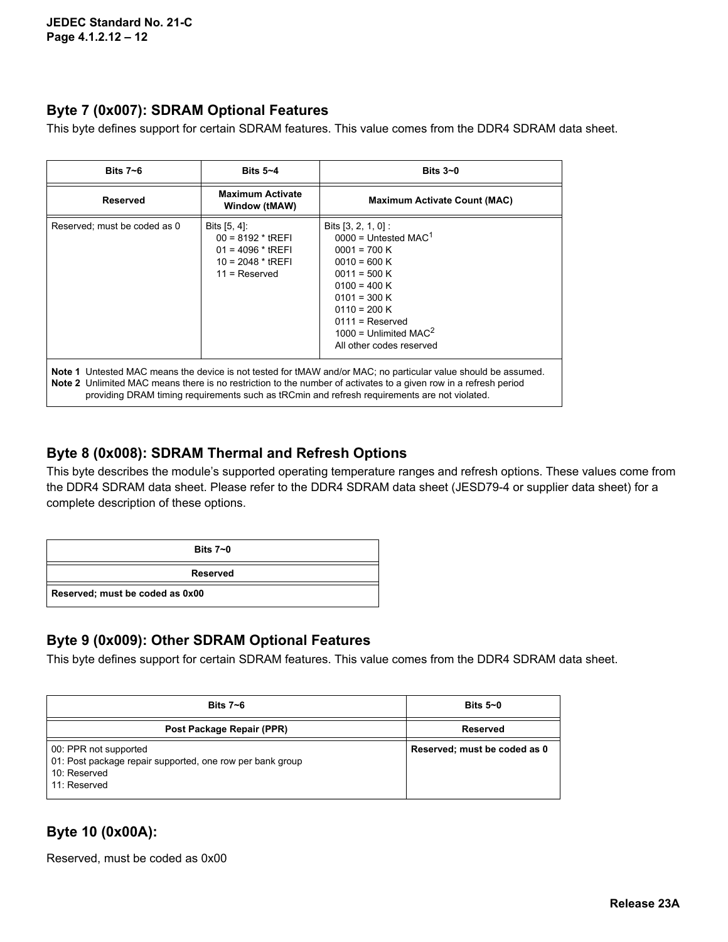### **Byte 7 (0x007): SDRAM Optional Features**

This byte defines support for certain SDRAM features. This value comes from the DDR4 SDRAM data sheet.

| Bits $7 - 6$                                                                                                                                                                                                                                                                                                                                     | Bits $5 - 4$                                                                                           | Bits $3-0$                                                                                                                                                                                                                                                    |  |
|--------------------------------------------------------------------------------------------------------------------------------------------------------------------------------------------------------------------------------------------------------------------------------------------------------------------------------------------------|--------------------------------------------------------------------------------------------------------|---------------------------------------------------------------------------------------------------------------------------------------------------------------------------------------------------------------------------------------------------------------|--|
| <b>Reserved</b>                                                                                                                                                                                                                                                                                                                                  | <b>Maximum Activate</b><br>Window (tMAW)                                                               | <b>Maximum Activate Count (MAC)</b>                                                                                                                                                                                                                           |  |
| Reserved; must be coded as 0                                                                                                                                                                                                                                                                                                                     | Bits $[5, 4]$ :<br>$00 = 8192 * tREF$<br>$01 = 4096 * tREFI$<br>$10 = 2048 * tREFI$<br>$11 =$ Reserved | Bits $[3, 2, 1, 0]$ :<br>$0000 =$ Untested MAC <sup>1</sup><br>$0001 = 700 K$<br>$0010 = 600 K$<br>$0011 = 500 K$<br>$0100 = 400 K$<br>$0101 = 300 K$<br>$0110 = 200 K$<br>$0111 =$ Reserved<br>1000 = Unlimited MAC <sup>2</sup><br>All other codes reserved |  |
| <b>Note 1</b> Untested MAC means the device is not tested for tMAW and/or MAC; no particular value should be assumed.<br><b>Note 2</b> Unlimited MAC means there is no restriction to the number of activates to a given row in a refresh period<br>providing DRAM timing requirements such as tRCmin and refresh requirements are not violated. |                                                                                                        |                                                                                                                                                                                                                                                               |  |

#### **Byte 8 (0x008): SDRAM Thermal and Refresh Options**

This byte describes the module's supported operating temperature ranges and refresh options. These values come from the DDR4 SDRAM data sheet. Please refer to the DDR4 SDRAM data sheet (JESD79-4 or supplier data sheet) for a complete description of these options.

| Bits $7 - 0$                    |  |
|---------------------------------|--|
| <b>Reserved</b>                 |  |
| Reserved; must be coded as 0x00 |  |

### **Byte 9 (0x009): Other SDRAM Optional Features**

This byte defines support for certain SDRAM features. This value comes from the DDR4 SDRAM data sheet.

| Bits $7 - 6$                                                                                                       | Bits $5-0$                   |
|--------------------------------------------------------------------------------------------------------------------|------------------------------|
| Post Package Repair (PPR)                                                                                          | Reserved                     |
| 00: PPR not supported<br>01: Post package repair supported, one row per bank group<br>10: Reserved<br>11: Reserved | Reserved; must be coded as 0 |

## **Byte 10 (0x00A):**

Reserved, must be coded as 0x00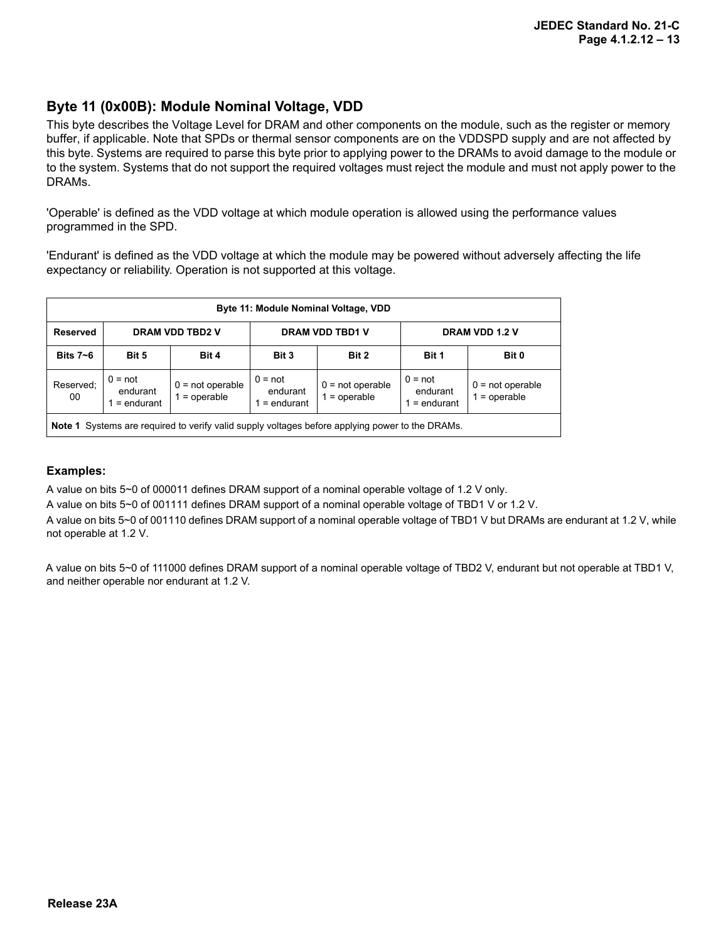#### **Byte 11 (0x00B): Module Nominal Voltage, VDD**

This byte describes the Voltage Level for DRAM and other components on the module, such as the register or memory buffer, if applicable. Note that SPDs or thermal sensor components are on the VDDSPD supply and are not affected by this byte. Systems are required to parse this byte prior to applying power to the DRAMs to avoid damage to the module or to the system. Systems that do not support the required voltages must reject the module and must not apply power to the DRAMs.

'Operable' is defined as the VDD voltage at which module operation is allowed using the performance values programmed in the SPD.

'Endurant' is defined as the VDD voltage at which the module may be powered without adversely affecting the life expectancy or reliability. Operation is not supported at this voltage.

| Byte 11: Module Nominal Voltage, VDD                                                                   |                                                                                                                                                                                                                                       |  |  |  |  |  |
|--------------------------------------------------------------------------------------------------------|---------------------------------------------------------------------------------------------------------------------------------------------------------------------------------------------------------------------------------------|--|--|--|--|--|
| <b>Reserved</b>                                                                                        | <b>DRAM VDD TBD2 V</b><br>DRAM VDD 1.2 V<br><b>DRAM VDD TBD1 V</b>                                                                                                                                                                    |  |  |  |  |  |
| Bits $7-6$                                                                                             | Bit 5<br>Bit 2<br>Bit 3<br>Bit 0<br>Bit 1<br>Bit 4                                                                                                                                                                                    |  |  |  |  |  |
| Reserved:<br>00                                                                                        | $0 = not$<br>$0 = not$<br>$0 = not$<br>$0 = not openable$<br>$0 = not open$<br>$0 = not open$<br>endurant<br>endurant<br>endurant<br>$1 =$ operable<br>$1 =$ operable<br>$=$ operable<br>$=$ endurant<br>$=$ endurant<br>$=$ endurant |  |  |  |  |  |
| <b>Note 1</b> Systems are required to verify valid supply voltages before applying power to the DRAMs. |                                                                                                                                                                                                                                       |  |  |  |  |  |

#### **Examples:**

A value on bits 5~0 of 000011 defines DRAM support of a nominal operable voltage of 1.2 V only.

A value on bits 5~0 of 001111 defines DRAM support of a nominal operable voltage of TBD1 V or 1.2 V.

A value on bits 5~0 of 001110 defines DRAM support of a nominal operable voltage of TBD1 V but DRAMs are endurant at 1.2 V, while not operable at 1.2 V.

A value on bits 5~0 of 111000 defines DRAM support of a nominal operable voltage of TBD2 V, endurant but not operable at TBD1 V, and neither operable nor endurant at 1.2 V.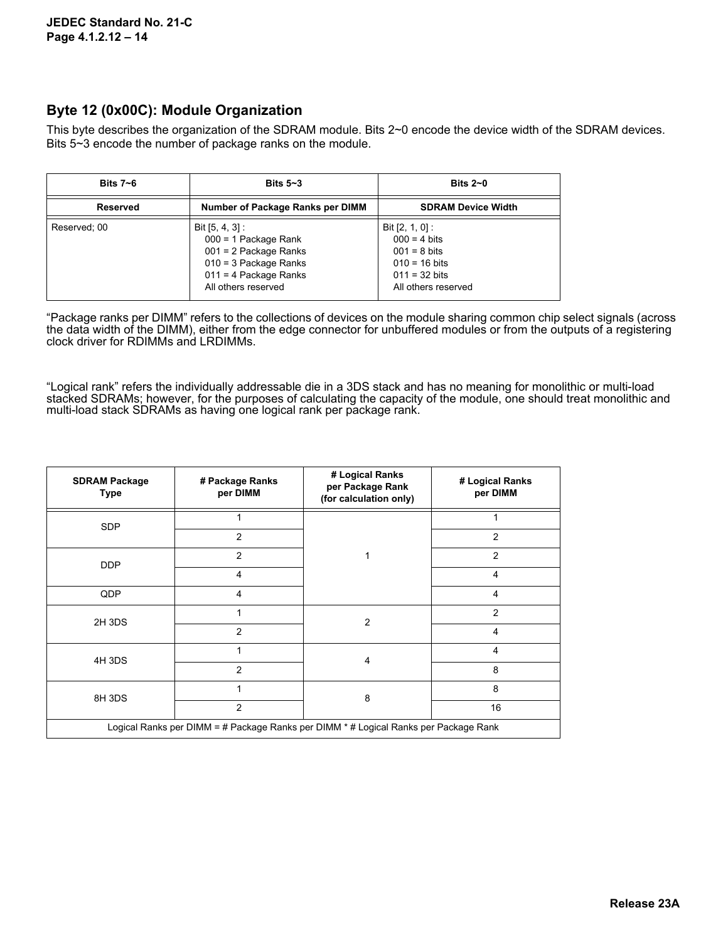#### **Byte 12 (0x00C): Module Organization**

This byte describes the organization of the SDRAM module. Bits 2~0 encode the device width of the SDRAM devices. Bits 5~3 encode the number of package ranks on the module.

| Bits $7 - 6$    | Bits $5-3$                                                                                                                                        | Bits $2\neg$ 0                                                                                                                             |
|-----------------|---------------------------------------------------------------------------------------------------------------------------------------------------|--------------------------------------------------------------------------------------------------------------------------------------------|
| <b>Reserved</b> | Number of Package Ranks per DIMM                                                                                                                  | <b>SDRAM Device Width</b>                                                                                                                  |
| Reserved; 00    | Bit $[5, 4, 3]$ :<br>000 = 1 Package Rank<br>$001 = 2$ Package Ranks<br>$010 = 3$ Package Ranks<br>$011 = 4$ Package Ranks<br>All others reserved | Bit $[2, 1, 0]$ :<br>$000 = 4 \text{ bits}$<br>$001 = 8 \text{ bits}$<br>$010 = 16$ bits<br>$011 = 32 \text{ bits}$<br>All others reserved |

"Package ranks per DIMM" refers to the collections of devices on the module sharing common chip select signals (across the data width of the DIMM), either from the edge connector for unbuffered modules or from the outputs of a registering clock driver for RDIMMs and LRDIMMs.

"Logical rank" refers the individually addressable die in a 3DS stack and has no meaning for monolithic or multi-load stacked SDRAMs; however, for the purposes of calculating the capacity of the module, one should treat monolithic and multi-load stack SDRAMs as having one logical rank per package rank.

| <b>SDRAM Package</b><br><b>Type</b>                                                  | # Package Ranks<br>per DIMM | # Logical Ranks<br>per Package Rank<br>(for calculation only) | # Logical Ranks<br>per DIMM |
|--------------------------------------------------------------------------------------|-----------------------------|---------------------------------------------------------------|-----------------------------|
| <b>SDP</b>                                                                           |                             |                                                               |                             |
|                                                                                      | $\overline{2}$              |                                                               | $\overline{2}$              |
| <b>DDP</b>                                                                           | 2                           |                                                               | $\overline{2}$              |
|                                                                                      | 4                           |                                                               | 4                           |
| QDP                                                                                  | 4                           |                                                               | $\overline{4}$              |
| 2H 3DS                                                                               | 1                           | $\overline{2}$                                                | $\overline{2}$              |
|                                                                                      | $\overline{2}$              |                                                               | $\overline{4}$              |
| 4H 3DS                                                                               | 1                           | $\overline{4}$                                                | $\overline{4}$              |
|                                                                                      | $\overline{2}$              |                                                               | 8                           |
| 8H 3DS                                                                               |                             | 8                                                             | 8                           |
|                                                                                      | $\overline{2}$              |                                                               | 16                          |
| Logical Ranks per DIMM = # Package Ranks per DIMM * # Logical Ranks per Package Rank |                             |                                                               |                             |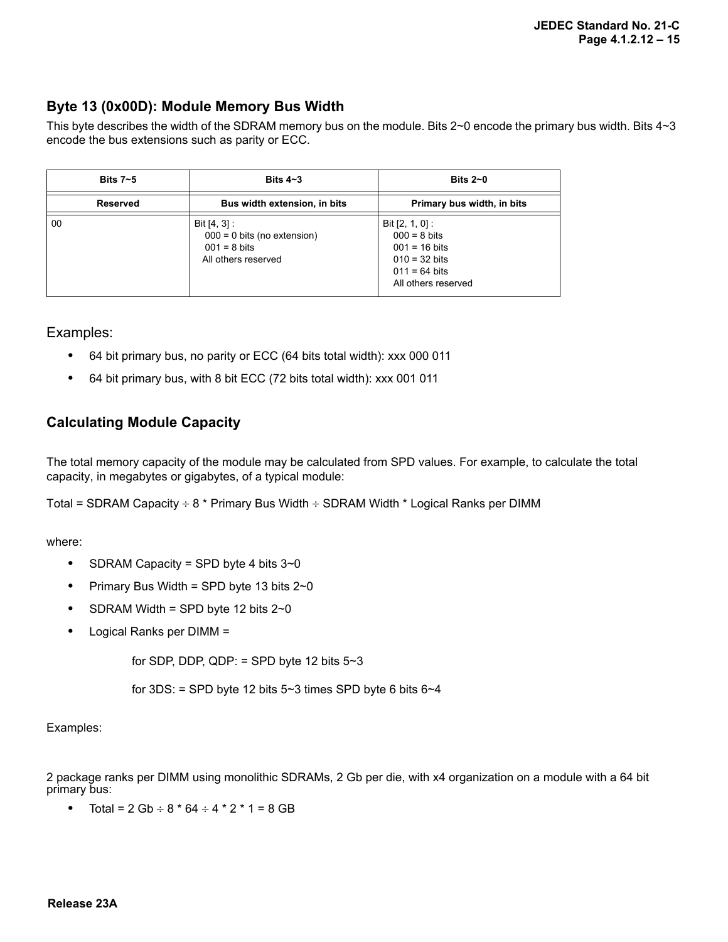### **Byte 13 (0x00D): Module Memory Bus Width**

This byte describes the width of the SDRAM memory bus on the module. Bits 2~0 encode the primary bus width. Bits 4~3 encode the bus extensions such as parity or ECC.

| Bits $7-5$      | Bits $4 - 3$                                                                                     | Bits $2-0$                                                                                                                                  |
|-----------------|--------------------------------------------------------------------------------------------------|---------------------------------------------------------------------------------------------------------------------------------------------|
| <b>Reserved</b> | Bus width extension, in bits                                                                     | Primary bus width, in bits                                                                                                                  |
| 00              | Bit $[4, 3]$ :<br>$000 = 0$ bits (no extension)<br>$001 = 8 \text{ bits}$<br>All others reserved | Bit $[2, 1, 0]$ :<br>$000 = 8 \text{ bits}$<br>$001 = 16 \text{ bits}$<br>$010 = 32 \text{ bits}$<br>$011 = 64$ bits<br>All others reserved |

Examples:

- **•** 64 bit primary bus, no parity or ECC (64 bits total width): xxx 000 011
- **•** 64 bit primary bus, with 8 bit ECC (72 bits total width): xxx 001 011

### **Calculating Module Capacity**

The total memory capacity of the module may be calculated from SPD values. For example, to calculate the total capacity, in megabytes or gigabytes, of a typical module:

Total = SDRAM Capacity  $\div$  8  $*$  Primary Bus Width  $\div$  SDRAM Width  $*$  Logical Ranks per DIMM

where:

- **•** SDRAM Capacity = SPD byte 4 bits 3~0
- **•** Primary Bus Width = SPD byte 13 bits 2~0
- **•** SDRAM Width = SPD byte 12 bits 2~0
- **•** Logical Ranks per DIMM =

for SDP, DDP, QDP:  $=$  SPD byte 12 bits  $5~3$ 

for  $3DS$ : = SPD byte 12 bits  $5~3$  times SPD byte 6 bits  $6~4$ 

Examples:

2 package ranks per DIMM using monolithic SDRAMs, 2 Gb per die, with x4 organization on a module with a 64 bit primary bus:

• Total =  $2$  Gb  $\div$  8  $*$  64  $\div$  4  $*$  2  $*$  1 = 8 GB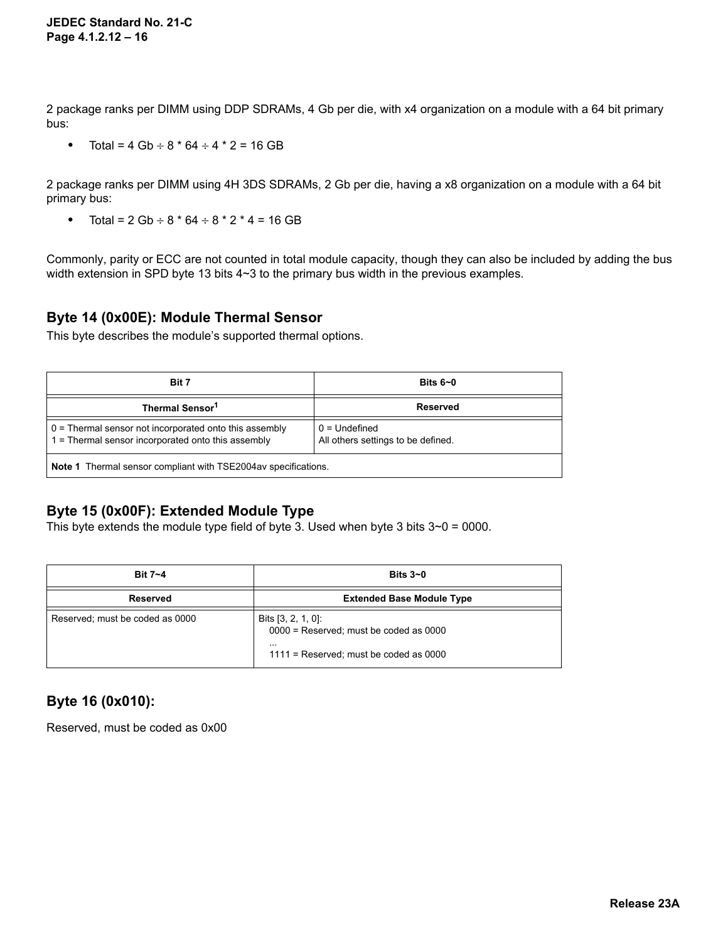2 package ranks per DIMM using DDP SDRAMs, 4 Gb per die, with x4 organization on a module with a 64 bit primary bus:

• Total =  $4$  Gb  $\div$  8  $*$  64  $\div$  4  $*$  2 = 16 GB

2 package ranks per DIMM using 4H 3DS SDRAMs, 2 Gb per die, having a x8 organization on a module with a 64 bit primary bus:

• Total =  $2$  Gb  $\div$  8  $*$  64  $\div$  8  $*$  2  $*$  4 = 16 GB

Commonly, parity or ECC are not counted in total module capacity, though they can also be included by adding the bus width extension in SPD byte 13 bits 4~3 to the primary bus width in the previous examples.

#### **Byte 14 (0x00E): Module Thermal Sensor**

This byte describes the module's supported thermal options.

| Bit 7                                                                                                            | Bits $6-0$                                            |  |
|------------------------------------------------------------------------------------------------------------------|-------------------------------------------------------|--|
| Thermal Sensor <sup>1</sup>                                                                                      | <b>Reserved</b>                                       |  |
| $0$ = Thermal sensor not incorporated onto this assembly<br>$1 =$ Thermal sensor incorporated onto this assembly | $0 =$ Undefined<br>All others settings to be defined. |  |
| <b>Note 1</b> Thermal sensor compliant with TSE2004av specifications.                                            |                                                       |  |

#### **Byte 15 (0x00F): Extended Module Type**

This byte extends the module type field of byte 3. Used when byte 3 bits  $3~0 = 0000$ .

| Bit 7~4                         | Bits $3-0$                                                                                                                |
|---------------------------------|---------------------------------------------------------------------------------------------------------------------------|
| Reserved                        | <b>Extended Base Module Type</b>                                                                                          |
| Reserved; must be coded as 0000 | Bits $[3, 2, 1, 0]$ :<br>$0000$ = Reserved; must be coded as 0000<br>$\cdots$<br>$1111$ = Reserved; must be coded as 0000 |

### **Byte 16 (0x010):**

Reserved, must be coded as 0x00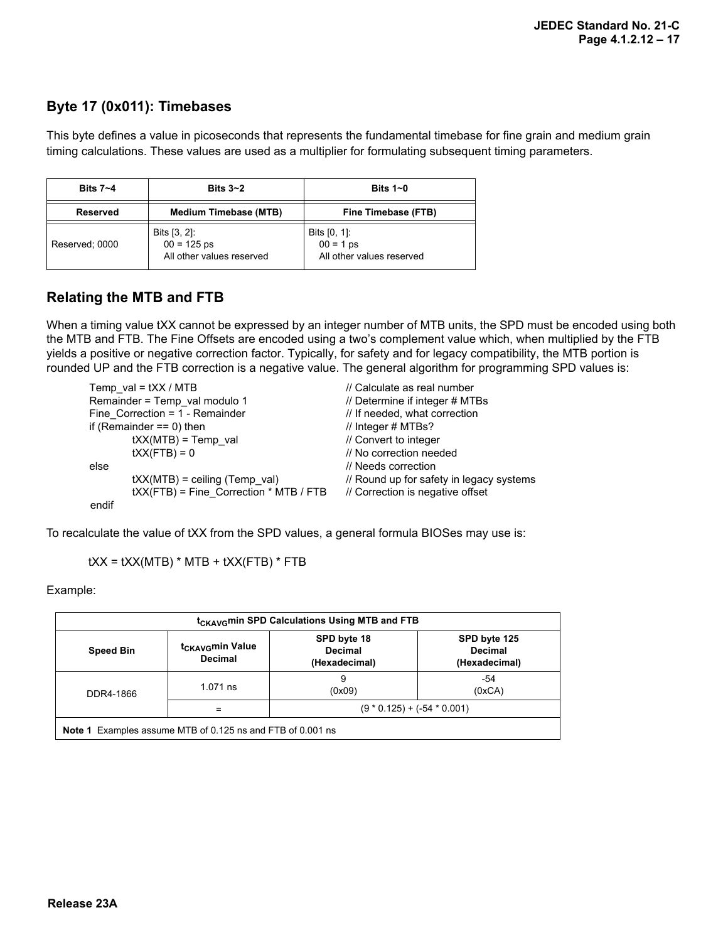## **Byte 17 (0x011): Timebases**

This byte defines a value in picoseconds that represents the fundamental timebase for fine grain and medium grain timing calculations. These values are used as a multiplier for formulating subsequent timing parameters.

| Bits $3-2$<br>Bits $7 - 4$ |                                                               | Bits $1-0$                                               |  |
|----------------------------|---------------------------------------------------------------|----------------------------------------------------------|--|
| Reserved                   | <b>Medium Timebase (MTB)</b>                                  | Fine Timebase (FTB)                                      |  |
| Reserved; 0000             | Bits $[3, 2]$ :<br>$00 = 125$ ps<br>All other values reserved | Bits [0, 1]:<br>$00 = 1$ ps<br>All other values reserved |  |

## **Relating the MTB and FTB**

When a timing value tXX cannot be expressed by an integer number of MTB units, the SPD must be encoded using both the MTB and FTB. The Fine Offsets are encoded using a two's complement value which, when multiplied by the FTB yields a positive or negative correction factor. Typically, for safety and for legacy compatibility, the MTB portion is rounded UP and the FTB correction is a negative value. The general algorithm for programming SPD values is:

| Temp val = $tXX / MTB$        |                                        | // Calculate as real number              |  |
|-------------------------------|----------------------------------------|------------------------------------------|--|
| Remainder = Temp val modulo 1 |                                        | // Determine if integer # MTBs           |  |
|                               | Fine Correction = 1 - Remainder        | // If needed, what correction            |  |
|                               | if (Remainder $== 0$ ) then            | // Integer # MTBs?                       |  |
|                               | $tXX(MTB) = Temp$ val                  | // Convert to integer                    |  |
|                               | $tXX(FTB) = 0$                         | // No correction needed                  |  |
| else                          |                                        | // Needs correction                      |  |
|                               | $\text{tXX(MTB)} =$ ceiling (Temp val) | // Round up for safety in legacy systems |  |
|                               | tXX(FTB) = Fine_Correction * MTB / FTB | // Correction is negative offset         |  |
|                               |                                        |                                          |  |

endif

To recalculate the value of tXX from the SPD values, a general formula BIOSes may use is:

 $tXX = tXX(MTB) * MTB + tXX(FTB) * FTB$ 

Example:

| t <sub>CKAVG</sub> min SPD Calculations Using MTB and FTB                                                                                                               |                                      |             |               |  |  |  |  |  |  |  |  |
|-------------------------------------------------------------------------------------------------------------------------------------------------------------------------|--------------------------------------|-------------|---------------|--|--|--|--|--|--|--|--|
| SPD byte 18<br>SPD byte 125<br>t <sub>CKAVG</sub> min Value<br><b>Decimal</b><br><b>Decimal</b><br><b>Speed Bin</b><br><b>Decimal</b><br>(Hexadecimal)<br>(Hexadecimal) |                                      |             |               |  |  |  |  |  |  |  |  |
| DDR4-1866                                                                                                                                                               | $1.071$ ns                           | 9<br>(0x09) | -54<br>(0xCA) |  |  |  |  |  |  |  |  |
|                                                                                                                                                                         | $(9 * 0.125) + (-54 * 0.001)$<br>$=$ |             |               |  |  |  |  |  |  |  |  |
| <b>Note 1</b> Examples assume MTB of 0.125 ns and FTB of 0.001 ns                                                                                                       |                                      |             |               |  |  |  |  |  |  |  |  |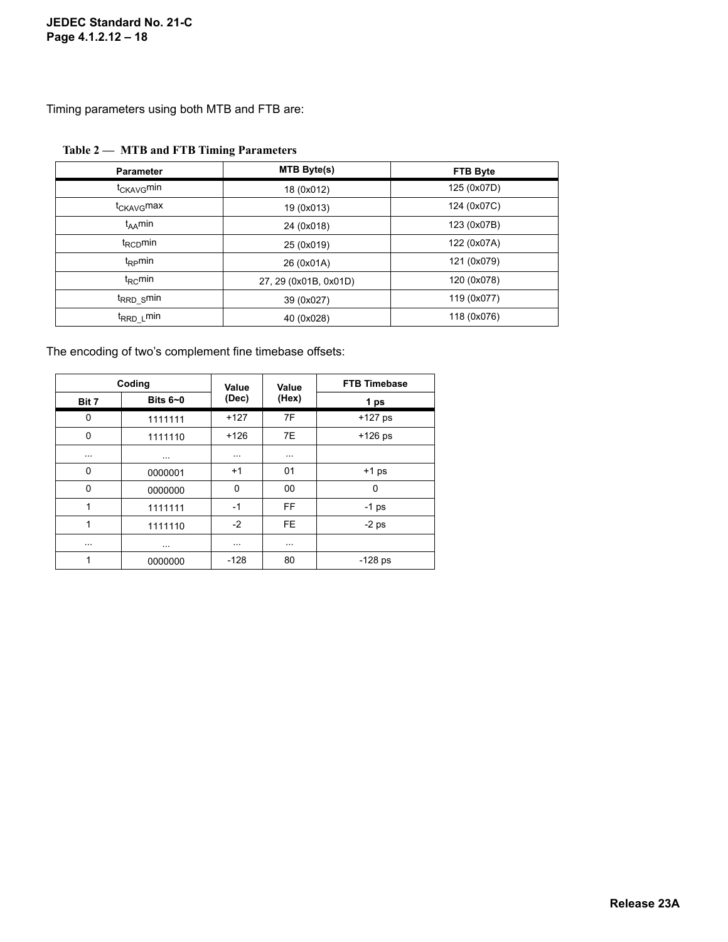#### **JEDEC Standard No. 21-C Page 4.1.2.12 – 18**

Timing parameters using both MTB and FTB are:

| <b>Parameter</b>       | <b>MTB Byte(s)</b>    | <b>FTB Byte</b> |  |  |
|------------------------|-----------------------|-----------------|--|--|
| t <sub>CKAVG</sub> min | 18 (0x012)            | 125 (0x07D)     |  |  |
| t <sub>CKAVG</sub> max | 19 (0x013)            | 124 (0x07C)     |  |  |
| $t_{AA}$ min           | 24 (0x018)            | 123 (0x07B)     |  |  |
| $t_{\text{RCD}}$ min   | 25 (0x019)            | 122 (0x07A)     |  |  |
| $t_{\rm RP}$ min       | 26 (0x01A)            | 121 (0x079)     |  |  |
| $t_{RC}$ min           | 27, 29 (0x01B, 0x01D) | 120 (0x078)     |  |  |
| t <sub>RRD_S</sub> min | 39 (0x027)            | 119 (0x077)     |  |  |
| t <sub>RRD_L</sub> min | 40 (0x028)            | 118 (0x076)     |  |  |

#### **Table 2 — MTB and FTB Timing Parameters**

The encoding of two's complement fine timebase offsets:

|             | Coding     | Value    | Value     | <b>FTB Timebase</b> |
|-------------|------------|----------|-----------|---------------------|
| Bit 7       | Bits $6-0$ | (Dec)    | (Hex)     | 1 ps                |
| 0           | 1111111    | $+127$   | 7F        | $+127$ ps           |
| $\mathbf 0$ | 1111110    | $+126$   | 7E        | $+126$ ps           |
| $\cdots$    | $\cdots$   | $\cdots$ | $\cdots$  |                     |
| 0           | 0000001    | $+1$     | 01        | $+1$ ps             |
| $\mathbf 0$ | 0000000    | 0        | 00        | $\mathbf 0$         |
| 1           | 1111111    | $-1$     | <b>FF</b> | $-1$ ps             |
| 1           | 1111110    | $-2$     | <b>FE</b> | $-2$ ps             |
| $\cdots$    | $\cdots$   | $\cdots$ | $\cdots$  |                     |
| 1           | 0000000    | $-128$   | 80        | $-128$ ps           |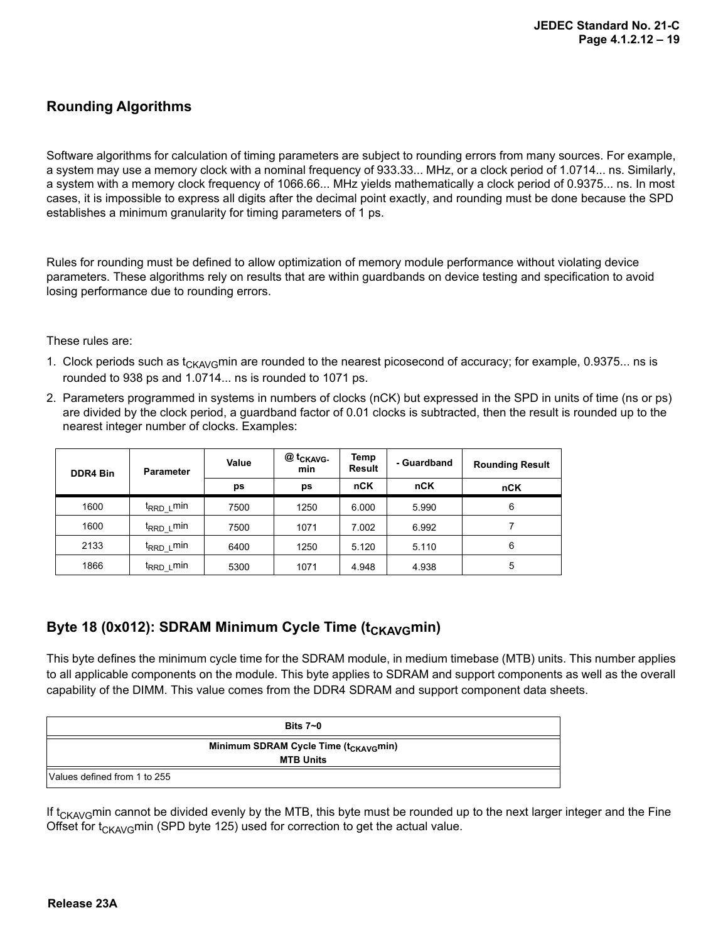### **Rounding Algorithms**

Software algorithms for calculation of timing parameters are subject to rounding errors from many sources. For example, a system may use a memory clock with a nominal frequency of 933.33... MHz, or a clock period of 1.0714... ns. Similarly, a system with a memory clock frequency of 1066.66... MHz yields mathematically a clock period of 0.9375... ns. In most cases, it is impossible to express all digits after the decimal point exactly, and rounding must be done because the SPD establishes a minimum granularity for timing parameters of 1 ps.

Rules for rounding must be defined to allow optimization of memory module performance without violating device parameters. These algorithms rely on results that are within guardbands on device testing and specification to avoid losing performance due to rounding errors.

#### These rules are:

- 1. Clock periods such as  $t_{CKAVG}$ min are rounded to the nearest picosecond of accuracy; for example, 0.9375... ns is rounded to 938 ps and 1.0714... ns is rounded to 1071 ps.
- 2. Parameters programmed in systems in numbers of clocks (nCK) but expressed in the SPD in units of time (ns or ps) are divided by the clock period, a guardband factor of 0.01 clocks is subtracted, then the result is rounded up to the nearest integer number of clocks. Examples:

| <b>DDR4 Bin</b> | <b>Parameter</b>       | Value                 | @ t <sub>CKAVG-</sub><br>min | Temp<br>Result | - Guardband | <b>Rounding Result</b> |
|-----------------|------------------------|-----------------------|------------------------------|----------------|-------------|------------------------|
|                 |                        | ps                    | ps                           | nCK            | nCK         | nCK                    |
| 1600            | t <sub>RRD_L</sub> min | 7500                  | 1250                         | 6.000          | 5.990       | 6                      |
| 1600            | t <sub>RRD_L</sub> min | 7500                  | 1071                         | 7.002          | 6.992       |                        |
| 2133            | t <sub>RRD_L</sub> min | 1250<br>5.120<br>6400 |                              | 5.110          | 6           |                        |
| 1866            | t <sub>rrd L</sub> min | 5300                  | 1071                         | 4.948          | 4.938       | 5                      |

#### Byte 18 (0x012): SDRAM Minimum Cycle Time (t<sub>CKAVG</sub>min)

This byte defines the minimum cycle time for the SDRAM module, in medium timebase (MTB) units. This number applies to all applicable components on the module. This byte applies to SDRAM and support components as well as the overall capability of the DIMM. This value comes from the DDR4 SDRAM and support component data sheets.

|                              | Bits $7 - 0$                                      |
|------------------------------|---------------------------------------------------|
|                              | Minimum SDRAM Cycle Time (t <sub>CKAVG</sub> min) |
|                              | <b>MTB Units</b>                                  |
| Values defined from 1 to 255 |                                                   |

If  $t_{CKA/VG}$ min cannot be divided evenly by the MTB, this byte must be rounded up to the next larger integer and the Fine Offset for  $t_{CKAVG}$ min (SPD byte 125) used for correction to get the actual value.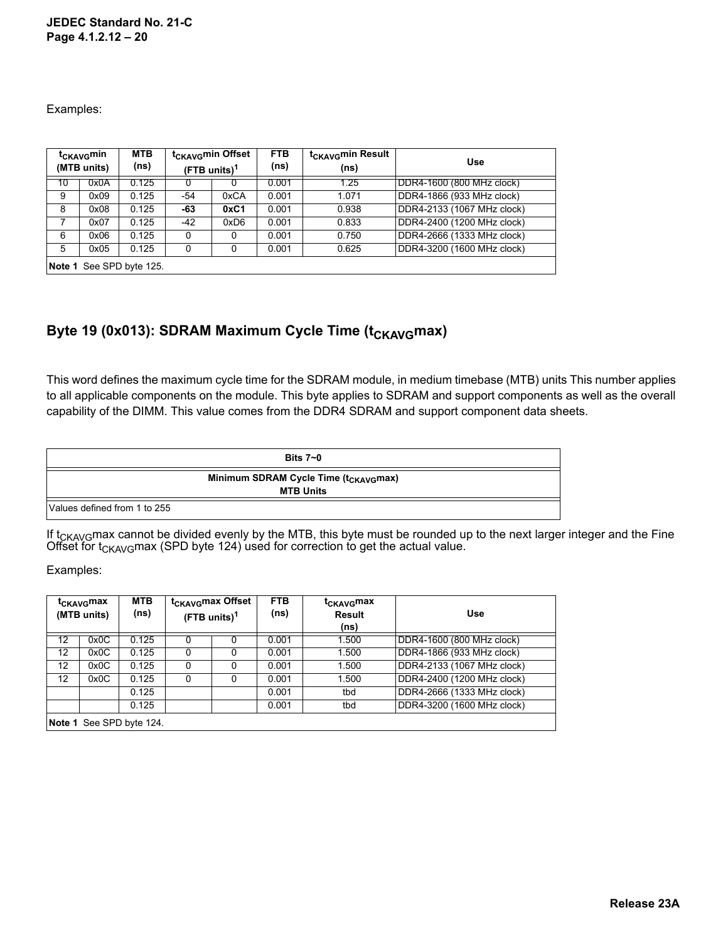#### **JEDEC Standard No. 21-C Page 4.1.2.12 – 20**

Examples:

| t <sub>CKAVG</sub> min<br>(MTB units) |                          | <b>MTB</b><br>(ns) | (FTB units) <sup>1</sup> | t <sub>CKAVG</sub> min Offset | <b>FTB</b><br>(ns) | t <sub>CKAVG</sub> min Result<br>(ns) | <b>Use</b>                 |  |  |  |  |  |
|---------------------------------------|--------------------------|--------------------|--------------------------|-------------------------------|--------------------|---------------------------------------|----------------------------|--|--|--|--|--|
| 10                                    | 0x0A                     | 0.125              |                          |                               | 0.001              | 1.25                                  | [DDR4-1600 (800 MHz clock) |  |  |  |  |  |
| 9                                     | 0x09                     | 0.125              | -54                      | 0xCA                          |                    | 1.071                                 | DDR4-1866 (933 MHz clock)  |  |  |  |  |  |
| 8                                     | 0x08                     | 0.125              | -63                      | 0xC1                          | 0.001              | 0.938                                 | DDR4-2133 (1067 MHz clock) |  |  |  |  |  |
| 7                                     | 0x07                     | 0.125              | -42                      | 0xD6                          | 0.001              | 0.833                                 | DDR4-2400 (1200 MHz clock) |  |  |  |  |  |
| 6                                     | 0x06                     | 0.125              | 0                        | 0                             | 0.001              | 0.750                                 | DDR4-2666 (1333 MHz clock) |  |  |  |  |  |
| 5                                     | 0x05                     | 0.125              | $\Omega$<br>0            |                               | 0.001              | 0.625                                 | DDR4-3200 (1600 MHz clock) |  |  |  |  |  |
|                                       | Note 1 See SPD byte 125. |                    |                          |                               |                    |                                       |                            |  |  |  |  |  |

## Byte 19 (0x013): SDRAM Maximum Cycle Time (t<sub>CKAVG</sub>max)

This word defines the maximum cycle time for the SDRAM module, in medium timebase (MTB) units This number applies to all applicable components on the module. This byte applies to SDRAM and support components as well as the overall capability of the DIMM. This value comes from the DDR4 SDRAM and support component data sheets.

|                              | Bits $7\negmedspace\negmedspace\negmedspace\negmedspace\negmedspace\negthinspace\negthinspace 0$ |
|------------------------------|--------------------------------------------------------------------------------------------------|
|                              | Minimum SDRAM Cycle Time (t <sub>CKAVG</sub> max)                                                |
|                              | <b>MTB Units</b>                                                                                 |
| Values defined from 1 to 255 |                                                                                                  |

If t<sub>CKAVG</sub>max cannot be divided evenly by the MTB, this byte must be rounded up to the next larger integer and the Fine Offset for t<sub>CKAVG</sub>max (SPD byte 124) used for correction to get the actual value.

Examples:

|                   | τ <sub>CΚΑVG</sub> max<br>(MTB units) | <b>MTB</b><br>(ns) |   | t <sub>CKAVG</sub> max Offset<br>$(FTB units)^1$ | <b>FTB</b><br>(ns) | t <sub>CKAVG</sub> max<br><b>Result</b><br>(ns) | Use                        |
|-------------------|---------------------------------------|--------------------|---|--------------------------------------------------|--------------------|-------------------------------------------------|----------------------------|
| 12                | 0x0C                                  | 0.125              |   |                                                  | 0.001              | 1.500                                           | DDR4-1600 (800 MHz clock)  |
| $12 \overline{ }$ | 0x0C                                  | 0.125              | 0 |                                                  |                    | 1.500                                           | DDR4-1866 (933 MHz clock)  |
| 12                | 0x0C                                  | 0.125              | 0 | 0                                                | 0.001              | 1.500                                           | DDR4-2133 (1067 MHz clock) |
| $12 \overline{ }$ | 0x0C                                  | 0.125              | 0 | 0                                                | 0.001              | 1.500                                           | DDR4-2400 (1200 MHz clock) |
|                   |                                       | 0.125              |   |                                                  | 0.001              | tbd                                             | DDR4-2666 (1333 MHz clock) |
|                   |                                       | 0.125              |   |                                                  | 0.001              | tbd                                             | DDR4-3200 (1600 MHz clock) |
|                   | Note 1 See SPD byte 124.              |                    |   |                                                  |                    |                                                 |                            |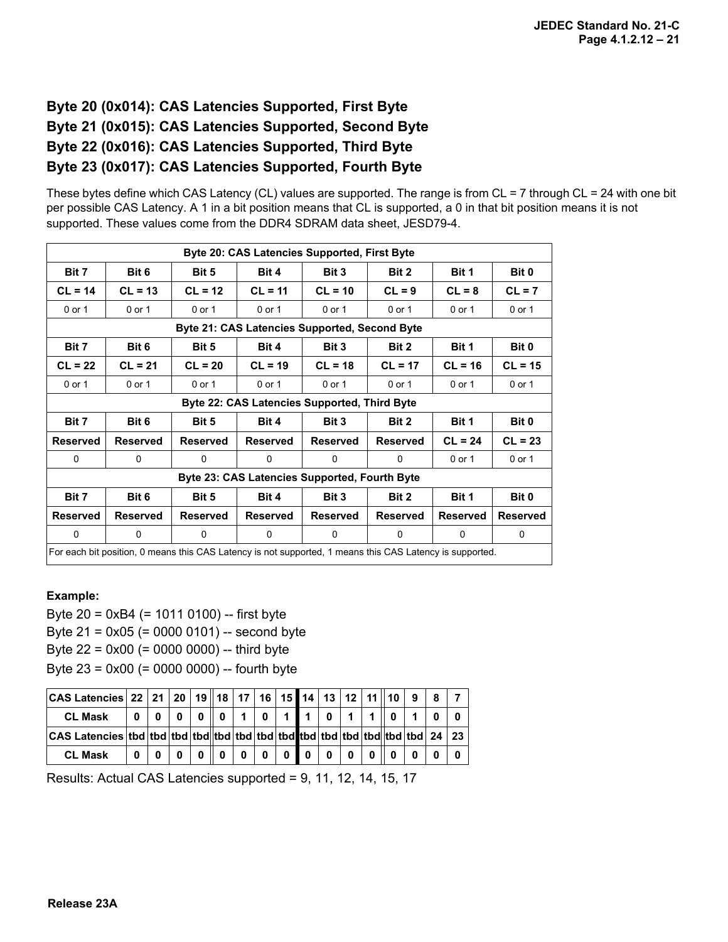## **Byte 20 (0x014): CAS Latencies Supported, First Byte Byte 21 (0x015): CAS Latencies Supported, Second Byte Byte 22 (0x016): CAS Latencies Supported, Third Byte Byte 23 (0x017): CAS Latencies Supported, Fourth Byte**

These bytes define which CAS Latency (CL) values are supported. The range is from CL = 7 through CL = 24 with one bit per possible CAS Latency. A 1 in a bit position means that CL is supported, a 0 in that bit position means it is not supported. These values come from the DDR4 SDRAM data sheet, JESD79-4.

|                                                      | <b>Byte 20: CAS Latencies Supported, First Byte</b>         |                 |                                                                                                          |                 |                 |                 |                 |  |  |  |  |  |  |
|------------------------------------------------------|-------------------------------------------------------------|-----------------|----------------------------------------------------------------------------------------------------------|-----------------|-----------------|-----------------|-----------------|--|--|--|--|--|--|
| Bit 7                                                | Bit 6                                                       | Bit 5           | Bit 4                                                                                                    | Bit 3           | Bit 2           | Bit 1           | Bit 0           |  |  |  |  |  |  |
| $CL = 14$                                            | $CL = 13$                                                   | $CL = 12$       | $CL = 11$                                                                                                | $CL = 10$       | $CL = 9$        | $CL = 8$        | $CL = 7$        |  |  |  |  |  |  |
| 0 or 1                                               | $0$ or 1                                                    | $0$ or 1        | $0$ or 1                                                                                                 | $0$ or 1        | $0$ or 1        | $0$ or 1        | 0 or 1          |  |  |  |  |  |  |
| <b>Byte 21: CAS Latencies Supported, Second Byte</b> |                                                             |                 |                                                                                                          |                 |                 |                 |                 |  |  |  |  |  |  |
| Bit 7                                                | Bit 6<br>Bit 5<br>Bit 4<br>Bit 3<br>Bit 2<br>Bit 1<br>Bit 0 |                 |                                                                                                          |                 |                 |                 |                 |  |  |  |  |  |  |
| $CL = 22$                                            | $CL = 21$                                                   | $CL = 20$       | $CL = 19$                                                                                                | $CL = 18$       | $CL = 17$       | $CL = 16$       | $CL = 15$       |  |  |  |  |  |  |
| 0 or 1                                               | $0$ or 1                                                    | $0$ or 1        | 0 or 1                                                                                                   | $0$ or 1        | $0$ or 1        | $0$ or 1        | 0 or 1          |  |  |  |  |  |  |
|                                                      |                                                             |                 | Byte 22: CAS Latencies Supported, Third Byte                                                             |                 |                 |                 |                 |  |  |  |  |  |  |
| Bit 7                                                | Bit 6                                                       | Bit 5           | Bit 4                                                                                                    | Bit 3           | Bit 2           | Bit 1           | Bit 0           |  |  |  |  |  |  |
| <b>Reserved</b>                                      | <b>Reserved</b>                                             | <b>Reserved</b> | <b>Reserved</b>                                                                                          | <b>Reserved</b> | <b>Reserved</b> | $CL = 24$       | $CL = 23$       |  |  |  |  |  |  |
| 0                                                    | 0                                                           | $\Omega$        | $\Omega$                                                                                                 | $\Omega$        | 0               | 0 or 1          | 0 or 1          |  |  |  |  |  |  |
|                                                      |                                                             |                 | Byte 23: CAS Latencies Supported, Fourth Byte                                                            |                 |                 |                 |                 |  |  |  |  |  |  |
| Bit 7                                                | Bit 6                                                       | Bit 5           | Bit 4                                                                                                    | Bit 3           | Bit 2           | Bit 1           | Bit 0           |  |  |  |  |  |  |
| <b>Reserved</b>                                      | <b>Reserved</b>                                             | <b>Reserved</b> | <b>Reserved</b>                                                                                          | <b>Reserved</b> | <b>Reserved</b> | <b>Reserved</b> | <b>Reserved</b> |  |  |  |  |  |  |
| $\mathbf{0}$                                         | $\Omega$                                                    | $\Omega$        | $\Omega$                                                                                                 | $\Omega$        | $\Omega$        | $\Omega$        | $\mathbf{0}$    |  |  |  |  |  |  |
|                                                      |                                                             |                 | For each bit position, 0 means this CAS Latency is not supported, 1 means this CAS Latency is supported. |                 |                 |                 |                 |  |  |  |  |  |  |

#### **Example:**

Byte 20 = 0xB4 (= 1011 0100) -- first byte Byte 21 = 0x05 (= 0000 0101) -- second byte

Byte  $22 = 0x00 (= 0000 0000) -$  third byte

Byte 23 = 0x00 (= 0000 0000) -- fourth byte

| CAS Latencies 22   21   20   19    18   17   16   15    14   13   12   11    10   9 |           |  |                                               |                |                |              |  |           |        |  |
|-------------------------------------------------------------------------------------|-----------|--|-----------------------------------------------|----------------|----------------|--------------|--|-----------|--------|--|
| <b>CL Mask</b>                                                                      | 0 0 0 0 0 |  | 0    1                                        | $\overline{0}$ | $\overline{1}$ | $\mathbf{0}$ |  |           |        |  |
|                                                                                     |           |  |                                               |                |                |              |  |           |        |  |
| <b>CL Mask</b>                                                                      |           |  | $0   0   0   0   0   0   0   0   0   0   0  $ |                |                |              |  | 0   0   0 | $.0$ ' |  |

Results: Actual CAS Latencies supported = 9, 11, 12, 14, 15, 17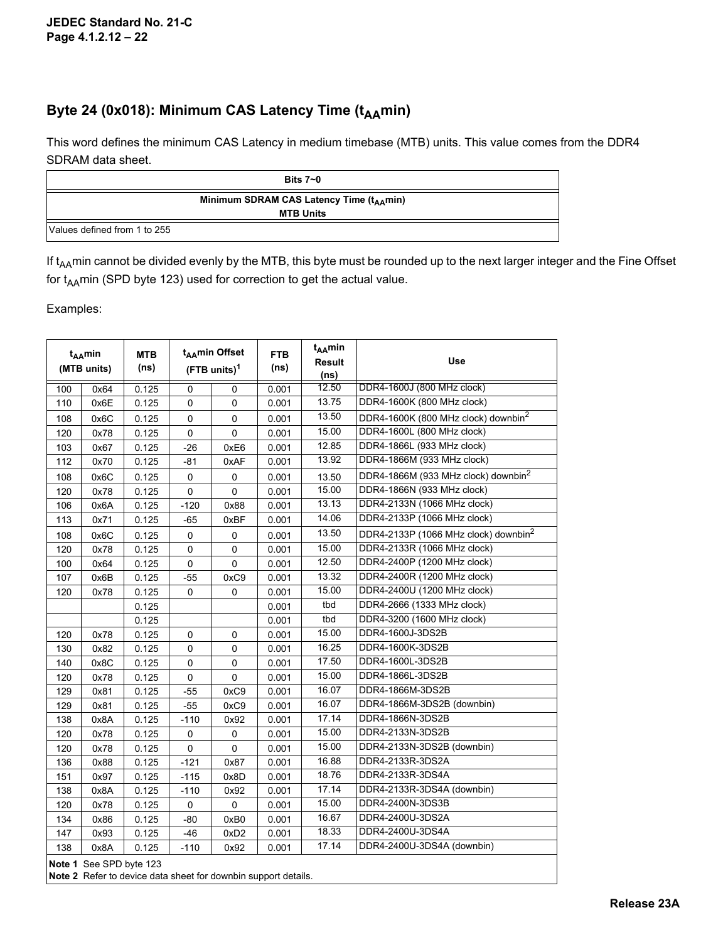## Byte 24 (0x018): Minimum CAS Latency Time (t<sub>AA</sub>min)

This word defines the minimum CAS Latency in medium timebase (MTB) units. This value comes from the DDR4 SDRAM data sheet.

|                              | Bits $7 - 0$                                                             |
|------------------------------|--------------------------------------------------------------------------|
|                              | Minimum SDRAM CAS Latency Time (t <sub>AA</sub> min)<br><b>MTB Units</b> |
| Values defined from 1 to 255 |                                                                          |

If  $t_{AA}$ min cannot be divided evenly by the MTB, this byte must be rounded up to the next larger integer and the Fine Offset for  $t_{AA}$ min (SPD byte 123) used for correction to get the actual value.

Examples:

|     | t <sub>AA</sub> min<br><b>MTB</b><br>(MTB units) |       |             | t <sub>AA</sub> min Offset<br>$(FTB$ units) <sup>1</sup> | <b>FTB</b><br>(ns) | t <sub>AA</sub> min<br><b>Result</b><br>(n <sub>s</sub> ) | <b>Use</b>                                       |
|-----|--------------------------------------------------|-------|-------------|----------------------------------------------------------|--------------------|-----------------------------------------------------------|--------------------------------------------------|
| 100 | 0x64                                             | 0.125 | 0           | 0                                                        | 0.001              | 12.50                                                     | DDR4-1600J (800 MHz clock)                       |
| 110 | 0x6E                                             | 0.125 | $\mathbf 0$ | 0                                                        | 0.001              | 13.75                                                     | DDR4-1600K (800 MHz clock)                       |
| 108 | 0x6C                                             | 0.125 | 0           | 0                                                        | 0.001              | 13.50                                                     | DDR4-1600K (800 MHz clock) downbin <sup>2</sup>  |
| 120 | 0x78                                             | 0.125 | 0           | $\Omega$                                                 | 0.001              | 15.00                                                     | DDR4-1600L (800 MHz clock)                       |
| 103 | 0x67                                             | 0.125 | $-26$       | 0xE6                                                     | 0.001              | 12.85                                                     | DDR4-1866L (933 MHz clock)                       |
| 112 | 0x70                                             | 0.125 | $-81$       | 0xAF                                                     | 0.001              | 13.92                                                     | DDR4-1866M (933 MHz clock)                       |
| 108 | 0x6C                                             | 0.125 | 0           | 0                                                        | 0.001              | 13.50                                                     | DDR4-1866M (933 MHz clock) downbin <sup>2</sup>  |
| 120 | 0x78                                             | 0.125 | 0           | 0                                                        | 0.001              | 15.00                                                     | DDR4-1866N (933 MHz clock)                       |
| 106 | 0x6A                                             | 0.125 | $-120$      | 0x88                                                     | 0.001              | 13.13                                                     | DDR4-2133N (1066 MHz clock)                      |
| 113 | 0x71                                             | 0.125 | -65         | 0xBF                                                     | 0.001              | 14.06                                                     | DDR4-2133P (1066 MHz clock)                      |
| 108 | 0x6C                                             | 0.125 | 0           | 0                                                        | 0.001              | 13.50                                                     | DDR4-2133P (1066 MHz clock) downbin <sup>2</sup> |
| 120 | 0x78                                             | 0.125 | 0           | $\mathbf 0$                                              | 0.001              | 15.00                                                     | DDR4-2133R (1066 MHz clock)                      |
| 100 | 0x64                                             | 0.125 | 0           | 0                                                        | 0.001              | 12.50                                                     | DDR4-2400P (1200 MHz clock)                      |
| 107 | 0x6B                                             | 0.125 | -55         | 0xC9                                                     | 0.001              | 13.32                                                     | DDR4-2400R (1200 MHz clock)                      |
| 120 | 0x78                                             | 0.125 | 0           | 0                                                        | 0.001              | 15.00                                                     | DDR4-2400U (1200 MHz clock)                      |
|     |                                                  | 0.125 |             |                                                          | 0.001              | tbd                                                       | DDR4-2666 (1333 MHz clock)                       |
|     |                                                  | 0.125 |             |                                                          | 0.001              | tbd                                                       | DDR4-3200 (1600 MHz clock)                       |
| 120 | 0x78                                             | 0.125 | 0           | 0                                                        | 0.001              | 15.00                                                     | DDR4-1600J-3DS2B                                 |
| 130 | 0x82                                             | 0.125 | 0           | 0                                                        | 0.001              | 16.25                                                     | DDR4-1600K-3DS2B                                 |
| 140 | 0x8C                                             | 0.125 | 0           | 0                                                        | 0.001              | 17.50                                                     | DDR4-1600L-3DS2B                                 |
| 120 | 0x78                                             | 0.125 | 0           | 0                                                        | 0.001              | 15.00                                                     | DDR4-1866L-3DS2B                                 |
| 129 | 0x81                                             | 0.125 | $-55$       | 0xC9                                                     | 0.001              | 16.07                                                     | DDR4-1866M-3DS2B                                 |
| 129 | 0x81                                             | 0.125 | $-55$       | 0xC9                                                     | 0.001              | 16.07                                                     | DDR4-1866M-3DS2B (downbin)                       |
| 138 | A8x0                                             | 0.125 | $-110$      | 0x92                                                     | 0.001              | 17.14                                                     | DDR4-1866N-3DS2B                                 |
| 120 | 0x78                                             | 0.125 | 0           | 0                                                        | 0.001              | 15.00                                                     | DDR4-2133N-3DS2B                                 |
| 120 | 0x78                                             | 0.125 | 0           | 0                                                        | 0.001              | 15.00                                                     | DDR4-2133N-3DS2B (downbin)                       |
| 136 | 0x88                                             | 0.125 | $-121$      | 0x87                                                     | 0.001              | 16.88                                                     | DDR4-2133R-3DS2A                                 |
| 151 | 0x97                                             | 0.125 | $-115$      | 0x8D                                                     | 0.001              | 18.76                                                     | DDR4-2133R-3DS4A                                 |
| 138 | 0x8A                                             | 0.125 | $-110$      | 0x92                                                     | 0.001              | 17.14                                                     | DDR4-2133R-3DS4A (downbin)                       |
| 120 | 0x78                                             | 0.125 | $\mathbf 0$ | 0                                                        | 0.001              | 15.00                                                     | DDR4-2400N-3DS3B                                 |
| 134 | 0x86                                             | 0.125 | $-80$       | 0xB0                                                     | 0.001              | 16.67                                                     | DDR4-2400U-3DS2A                                 |
| 147 | 0x93                                             | 0.125 | $-46$       | 0xD2                                                     | 0.001              | 18.33                                                     | DDR4-2400U-3DS4A                                 |
| 138 | 0x8A                                             | 0.125 | $-110$      | 0x92                                                     | 0.001              | 17.14                                                     | DDR4-2400U-3DS4A (downbin)                       |
|     |                                                  |       |             |                                                          |                    |                                                           |                                                  |

**Note 1** See SPD byte 123

**Note 2** Refer to device data sheet for downbin support details.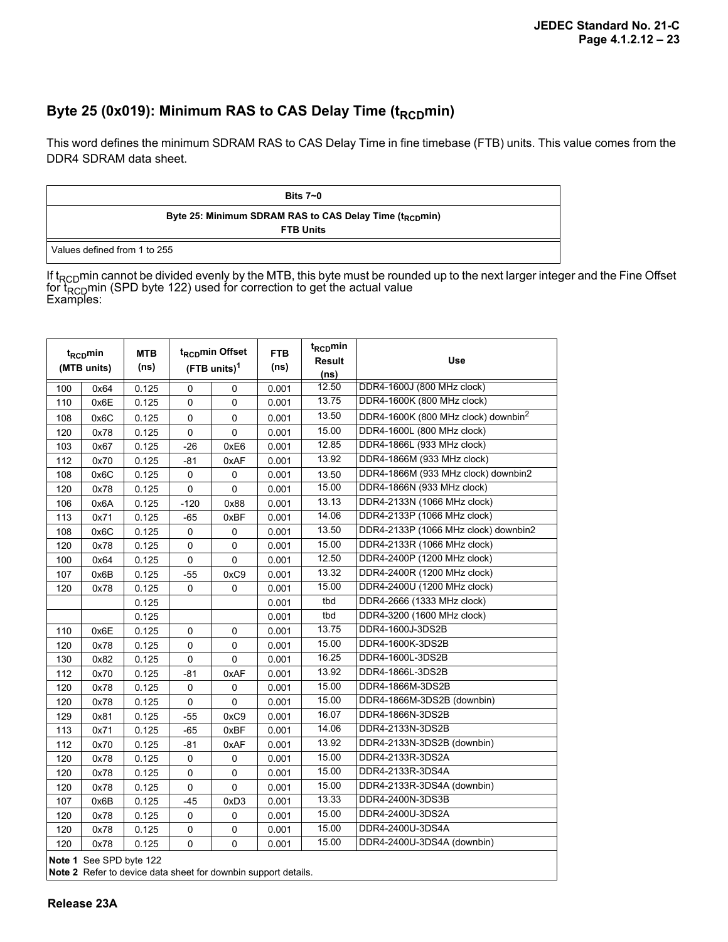## Byte 25 (0x019): Minimum RAS to CAS Delay Time (t<sub>RCD</sub>min)

This word defines the minimum SDRAM RAS to CAS Delay Time in fine timebase (FTB) units. This value comes from the DDR4 SDRAM data sheet.

| Bits $7-0$                                                                              |
|-----------------------------------------------------------------------------------------|
| Byte 25: Minimum SDRAM RAS to CAS Delay Time (t <sub>RCD</sub> min)<br><b>FTB Units</b> |
| Values defined from 1 to 255                                                            |

If t<sub>RCD</sub>min cannot be divided evenly by the MTB, this byte must be rounded up to the next larger integer and the Fine Offset for t<sub>RCD</sub>min (SPD byte 122) used for correction to get the actual value<br>Examples:

| t <sub>RCD</sub> min<br>(MTB units) |                         | <b>MTB</b><br>(ns) | t <sub>RCD</sub> min Offset<br>$(FTB$ units) <sup>1</sup> |             | <b>FTB</b><br>(ns) | t <sub>RCD</sub> min<br><b>Result</b><br>(ns) | Use                                             |  |
|-------------------------------------|-------------------------|--------------------|-----------------------------------------------------------|-------------|--------------------|-----------------------------------------------|-------------------------------------------------|--|
| 100                                 | 0x64                    | 0.125              | 0                                                         | $\Omega$    | 0.001              | 12.50                                         | DDR4-1600J (800 MHz clock)                      |  |
| 110                                 | 0x6E                    | 0.125              | 0                                                         | $\Omega$    | 0.001              | 13.75                                         | DDR4-1600K (800 MHz clock)                      |  |
| 108                                 | 0x6C                    | 0.125              | 0                                                         | $\mathbf 0$ | 0.001              | 13.50                                         | DDR4-1600K (800 MHz clock) downbin <sup>2</sup> |  |
| 120                                 | 0x78                    | 0.125              | 0                                                         | $\mathbf 0$ | 0.001              | 15.00                                         | DDR4-1600L (800 MHz clock)                      |  |
| 103                                 | 0x67                    | 0.125              | $-26$                                                     | 0xE6        | 0.001              | 12.85                                         | DDR4-1866L (933 MHz clock)                      |  |
| 112                                 | 0x70                    | 0.125              | $-81$                                                     | 0xAF        | 0.001              | 13.92                                         | DDR4-1866M (933 MHz clock)                      |  |
| 108                                 | 0x6C                    | 0.125              | 0                                                         | 0           | 0.001              | 13.50                                         | DDR4-1866M (933 MHz clock) downbin2             |  |
| 120                                 | 0x78                    | 0.125              | 0                                                         | $\Omega$    | 0.001              | 15.00                                         | DDR4-1866N (933 MHz clock)                      |  |
| 106                                 | 0x6A                    | 0.125              | $-120$                                                    | 0x88        | 0.001              | 13.13                                         | DDR4-2133N (1066 MHz clock)                     |  |
| 113                                 | 0x71                    | 0.125              | $-65$                                                     | 0xBF        | 0.001              | 14.06                                         | DDR4-2133P (1066 MHz clock)                     |  |
| 108                                 | 0x6C                    | 0.125              | 0                                                         | 0           | 0.001              | 13.50                                         | DDR4-2133P (1066 MHz clock) downbin2            |  |
| 120                                 | 0x78                    | 0.125              | 0                                                         | 0           | 0.001              | 15.00                                         | DDR4-2133R (1066 MHz clock)                     |  |
| 100                                 | 0x64                    | 0.125              | 0                                                         | 0           | 0.001              | 12.50                                         | DDR4-2400P (1200 MHz clock)                     |  |
| 107                                 | 0x6B                    | 0.125              | $-55$                                                     | 0xC9        | 0.001              | 13.32                                         | DDR4-2400R (1200 MHz clock)                     |  |
| 120                                 | 0x78                    | 0.125              | 0                                                         | 0           | 0.001              | 15.00                                         | DDR4-2400U (1200 MHz clock)                     |  |
|                                     |                         | 0.125              |                                                           |             | 0.001              | tbd                                           | DDR4-2666 (1333 MHz clock)                      |  |
|                                     |                         | 0.125              |                                                           |             | 0.001              | tbd                                           | DDR4-3200 (1600 MHz clock)                      |  |
| 110                                 | 0x6E                    | 0.125              | 0                                                         | 0           | 0.001              | 13.75                                         | DDR4-1600J-3DS2B                                |  |
| 120                                 | 0x78                    | 0.125              | 0                                                         | 0           | 0.001              | 15.00                                         | DDR4-1600K-3DS2B                                |  |
| 130                                 | 0x82                    | 0.125              | 0                                                         | 0           | 0.001              | 16.25                                         | DDR4-1600L-3DS2B                                |  |
| 112                                 | 0x70                    | 0.125              | $-81$                                                     | 0xAF        | 0.001              | 13.92                                         | DDR4-1866L-3DS2B                                |  |
| 120                                 | 0x78                    | 0.125              | 0                                                         | 0           | 0.001              | 15.00                                         | DDR4-1866M-3DS2B                                |  |
| 120                                 | 0x78                    | 0.125              | $\mathbf 0$                                               | $\Omega$    | 0.001              | 15.00                                         | DDR4-1866M-3DS2B (downbin)                      |  |
| 129                                 | 0x81                    | 0.125              | $-55$                                                     | 0xC9        | 0.001              | 16.07                                         | DDR4-1866N-3DS2B                                |  |
| 113                                 | 0x71                    | 0.125              | $-65$                                                     | 0xBF        | 0.001              | 14.06                                         | DDR4-2133N-3DS2B                                |  |
| 112                                 | 0x70                    | 0.125              | $-81$                                                     | 0xAF        | 0.001              | 13.92                                         | DDR4-2133N-3DS2B (downbin)                      |  |
| 120                                 | 0x78                    | 0.125              | $\mathbf 0$                                               | $\mathbf 0$ | 0.001              | 15.00                                         | DDR4-2133R-3DS2A                                |  |
| 120                                 | 0x78                    | 0.125              | $\pmb{0}$                                                 | $\mathbf 0$ | 0.001              | 15.00                                         | DDR4-2133R-3DS4A                                |  |
| 120                                 | 0x78                    | 0.125              | $\pmb{0}$                                                 | $\mathbf 0$ | 0.001              | 15.00                                         | DDR4-2133R-3DS4A (downbin)                      |  |
| 107                                 | 0x6B                    | 0.125              | $-45$                                                     | 0xD3        | 0.001              | 13.33                                         | DDR4-2400N-3DS3B                                |  |
| 120                                 | 0x78                    | 0.125              | $\mathbf 0$                                               | 0           | 0.001              | 15.00                                         | DDR4-2400U-3DS2A                                |  |
| 120                                 | 0x78                    | 0.125              | 0                                                         | $\mathbf 0$ | 0.001              | 15.00                                         | DDR4-2400U-3DS4A                                |  |
| 120                                 | 0x78                    | 0.125              | $\mathbf 0$                                               | $\mathbf 0$ | 0.001              | 15.00                                         | DDR4-2400U-3DS4A (downbin)                      |  |
|                                     | Note 1 See SPD byte 122 |                    |                                                           |             |                    |                                               |                                                 |  |

**Note 2** Refer to device data sheet for downbin support details.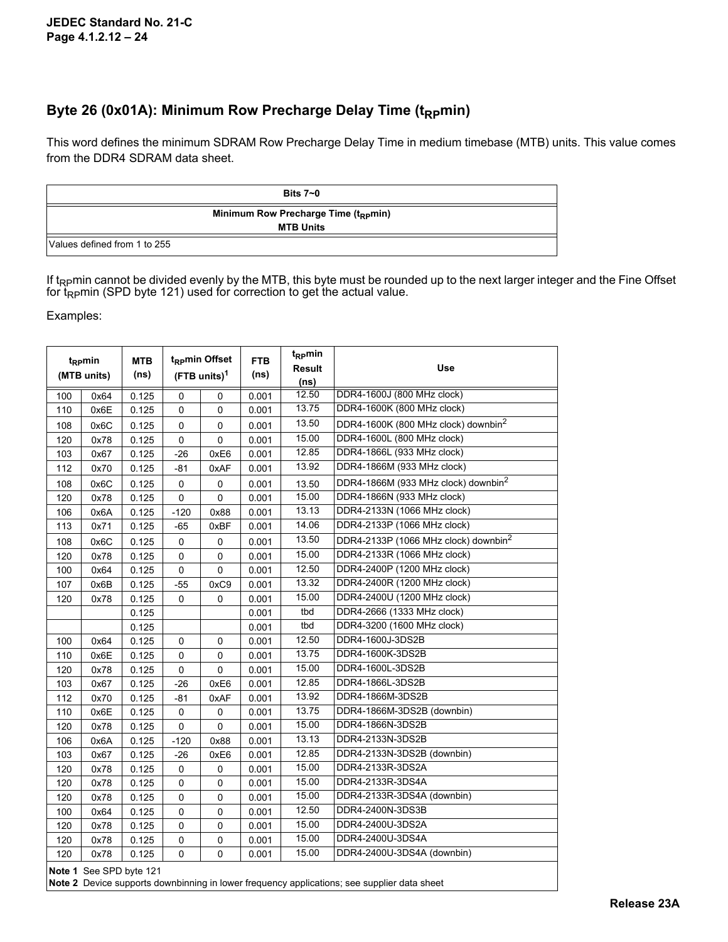### Byte 26 (0x01A): Minimum Row Precharge Delay Time (t<sub>RP</sub>min)

This word defines the minimum SDRAM Row Precharge Delay Time in medium timebase (MTB) units. This value comes from the DDR4 SDRAM data sheet.

|                              | Bits $7-0$                                                           |  |
|------------------------------|----------------------------------------------------------------------|--|
|                              | Minimum Row Precharge Time (t <sub>RP</sub> min)<br><b>MTB Units</b> |  |
| Values defined from 1 to 255 |                                                                      |  |

If t<sub>RP</sub>min cannot be divided evenly by the MTB, this byte must be rounded up to the next larger integer and the Fine Offset for t<sub>RP</sub>min (SPD byte 121) used for correction to get the actual value.

Examples:

| $t_{\rm RP}$ min<br>(MTB units) |                         | <b>MTB</b><br>(ns) | t <sub>RP</sub> min Offset<br>$(FTB$ units) <sup>1</sup> |             | <b>FTB</b><br>(ns) | t <sub>RP</sub> min<br><b>Result</b><br>(ns) | <b>Use</b>                                       |
|---------------------------------|-------------------------|--------------------|----------------------------------------------------------|-------------|--------------------|----------------------------------------------|--------------------------------------------------|
| 100                             | 0x64                    | 0.125              | $\mathbf 0$                                              | 0           | 0.001              | 12.50                                        | DDR4-1600J (800 MHz clock)                       |
| 110                             | 0x6E                    | 0.125              | $\mathbf{0}$                                             | 0           | 0.001              | 13.75                                        | DDR4-1600K (800 MHz clock)                       |
| 108                             | 0x6C                    | 0.125              | $\pmb{0}$                                                | $\pmb{0}$   | 0.001              | 13.50                                        | DDR4-1600K (800 MHz clock) downbin <sup>2</sup>  |
| 120                             | 0x78                    | 0.125              | $\mathbf 0$                                              | 0           | 0.001              | 15.00                                        | DDR4-1600L (800 MHz clock)                       |
| 103                             | 0x67                    | 0.125              | $-26$                                                    | 0xE6        | 0.001              | 12.85                                        | DDR4-1866L (933 MHz clock)                       |
| 112                             | 0x70                    | 0.125              | $-81$                                                    | 0xAF        | 0.001              | 13.92                                        | DDR4-1866M (933 MHz clock)                       |
| 108                             | 0x6C                    | 0.125              | 0                                                        | 0           | 0.001              | 13.50                                        | DDR4-1866M (933 MHz clock) downbin <sup>2</sup>  |
| 120                             | 0x78                    | 0.125              | 0                                                        | 0           | 0.001              | 15.00                                        | DDR4-1866N (933 MHz clock)                       |
| 106                             | 0x6A                    | 0.125              | $-120$                                                   | 0x88        | 0.001              | 13.13                                        | DDR4-2133N (1066 MHz clock)                      |
| 113                             | 0x71                    | 0.125              | $-65$                                                    | 0xBF        | 0.001              | 14.06                                        | DDR4-2133P (1066 MHz clock)                      |
| 108                             | 0x6C                    | 0.125              | 0                                                        | $\mathbf 0$ | 0.001              | 13.50                                        | DDR4-2133P (1066 MHz clock) downbin <sup>2</sup> |
| 120                             | 0x78                    | 0.125              | 0                                                        | $\mathbf 0$ | 0.001              | 15.00                                        | DDR4-2133R (1066 MHz clock)                      |
| 100                             | 0x64                    | 0.125              | 0                                                        | 0           | 0.001              | 12.50                                        | DDR4-2400P (1200 MHz clock)                      |
| 107                             | 0x6B                    | 0.125              | $-55$                                                    | 0xC9        | 0.001              | 13.32                                        | DDR4-2400R (1200 MHz clock)                      |
| 120                             | 0x78                    | 0.125              | 0                                                        | 0           | 0.001              | 15.00                                        | DDR4-2400U (1200 MHz clock)                      |
|                                 |                         | 0.125              |                                                          |             | 0.001              | tbd                                          | DDR4-2666 (1333 MHz clock)                       |
|                                 |                         | 0.125              |                                                          |             | 0.001              | tbd                                          | DDR4-3200 (1600 MHz clock)                       |
| 100                             | 0x64                    | 0.125              | 0                                                        | 0           | 0.001              | 12.50                                        | DDR4-1600J-3DS2B                                 |
| 110                             | 0x6E                    | 0.125              | 0                                                        | 0           | 0.001              | 13.75                                        | DDR4-1600K-3DS2B                                 |
| 120                             | 0x78                    | 0.125              | $\mathbf 0$                                              | 0           | 0.001              | 15.00                                        | DDR4-1600L-3DS2B                                 |
| 103                             | 0x67                    | 0.125              | $-26$                                                    | 0xE6        | 0.001              | 12.85                                        | DDR4-1866L-3DS2B                                 |
| 112                             | 0x70                    | 0.125              | $-81$                                                    | 0xAF        | 0.001              | 13.92                                        | DDR4-1866M-3DS2B                                 |
| 110                             | 0x6E                    | 0.125              | 0                                                        | 0           | 0.001              | 13.75                                        | DDR4-1866M-3DS2B (downbin)                       |
| 120                             | 0x78                    | 0.125              | 0                                                        | 0           | 0.001              | 15.00                                        | DDR4-1866N-3DS2B                                 |
| 106                             | 0x6A                    | 0.125              | $-120$                                                   | 0x88        | 0.001              | 13.13                                        | DDR4-2133N-3DS2B                                 |
| 103                             | 0x67                    | 0.125              | $-26$                                                    | 0xE6        | 0.001              | 12.85                                        | DDR4-2133N-3DS2B (downbin)                       |
| 120                             | 0x78                    | 0.125              | 0                                                        | 0           | 0.001              | 15.00                                        | DDR4-2133R-3DS2A                                 |
| 120                             | 0x78                    | 0.125              | $\pmb{0}$                                                | 0           | 0.001              | 15.00                                        | DDR4-2133R-3DS4A                                 |
| 120                             | 0x78                    | 0.125              | $\mathbf 0$                                              | 0           | 0.001              | 15.00                                        | DDR4-2133R-3DS4A (downbin)                       |
| 100                             | 0x64                    | 0.125              | $\mathbf 0$                                              | 0           | 0.001              | 12.50                                        | DDR4-2400N-3DS3B                                 |
| 120                             | 0x78                    | 0.125              | $\pmb{0}$                                                | 0           | 0.001              | 15.00                                        | DDR4-2400U-3DS2A                                 |
| 120                             | 0x78                    | 0.125              | $\mathbf 0$                                              | 0           | 0.001              | 15.00                                        | DDR4-2400U-3DS4A                                 |
| 120                             | 0x78                    | 0.125              | $\mathbf 0$                                              | 0           | 0.001              | 15.00                                        | DDR4-2400U-3DS4A (downbin)                       |
|                                 | Note 1 See SPD byte 121 |                    |                                                          |             |                    |                                              |                                                  |

**Note 2** Device supports downbinning in lower frequency applications; see supplier data sheet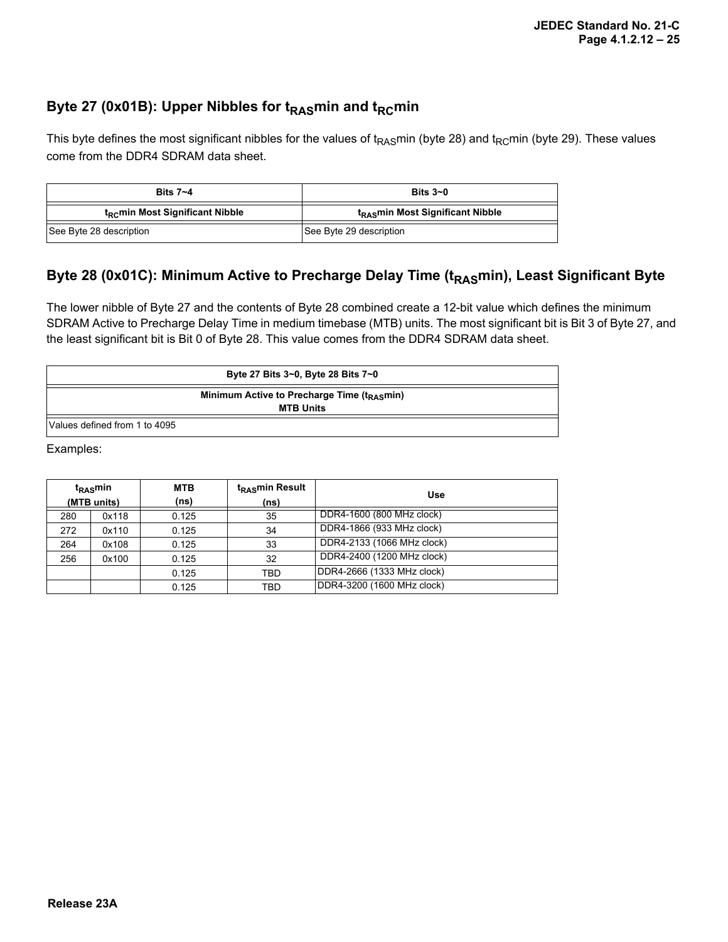### Byte 27 (0x01B): Upper Nibbles for t<sub>RAS</sub>min and t<sub>RC</sub>min

This byte defines the most significant nibbles for the values of t<sub>RAS</sub>min (byte 28) and t<sub>RC</sub>min (byte 29). These values come from the DDR4 SDRAM data sheet.

| Bits $7 - 4$                                | Bits $3-0$                                   |  |  |
|---------------------------------------------|----------------------------------------------|--|--|
| t <sub>RC</sub> min Most Significant Nibble | t <sub>RAS</sub> min Most Significant Nibble |  |  |
| See Byte 28 description                     | See Byte 29 description                      |  |  |

### Byte 28 (0x01C): Minimum Active to Precharge Delay Time (t<sub>RAS</sub>min), Least Significant Byte

The lower nibble of Byte 27 and the contents of Byte 28 combined create a 12-bit value which defines the minimum SDRAM Active to Precharge Delay Time in medium timebase (MTB) units. The most significant bit is Bit 3 of Byte 27, and the least significant bit is Bit 0 of Byte 28. This value comes from the DDR4 SDRAM data sheet.

|                               | Byte 27 Bits 3~0, Byte 28 Bits 7~0                    |
|-------------------------------|-------------------------------------------------------|
|                               | Minimum Active to Precharge Time ( $t_{\rm RAS}$ min) |
|                               | <b>MTB Units</b>                                      |
| Values defined from 1 to 4095 |                                                       |

Examples:

| $t_{\rm RAS}$ min<br>(MTB units) |       | <b>MTB</b><br>(ns) | t <sub>RAS</sub> min Result<br>(ns) | Use                        |
|----------------------------------|-------|--------------------|-------------------------------------|----------------------------|
| 280                              | 0x118 | 0.125              | 35                                  | DDR4-1600 (800 MHz clock)  |
| 272                              | 0x110 | 0.125              | 34                                  | DDR4-1866 (933 MHz clock)  |
| 264                              | 0x108 | 0.125              | 33                                  | DDR4-2133 (1066 MHz clock) |
| 256                              | 0x100 | 0.125              | 32                                  | DDR4-2400 (1200 MHz clock) |
|                                  |       | 0.125              | <b>TBD</b>                          | DDR4-2666 (1333 MHz clock) |
|                                  |       | 0.125              | TBD                                 | DDR4-3200 (1600 MHz clock) |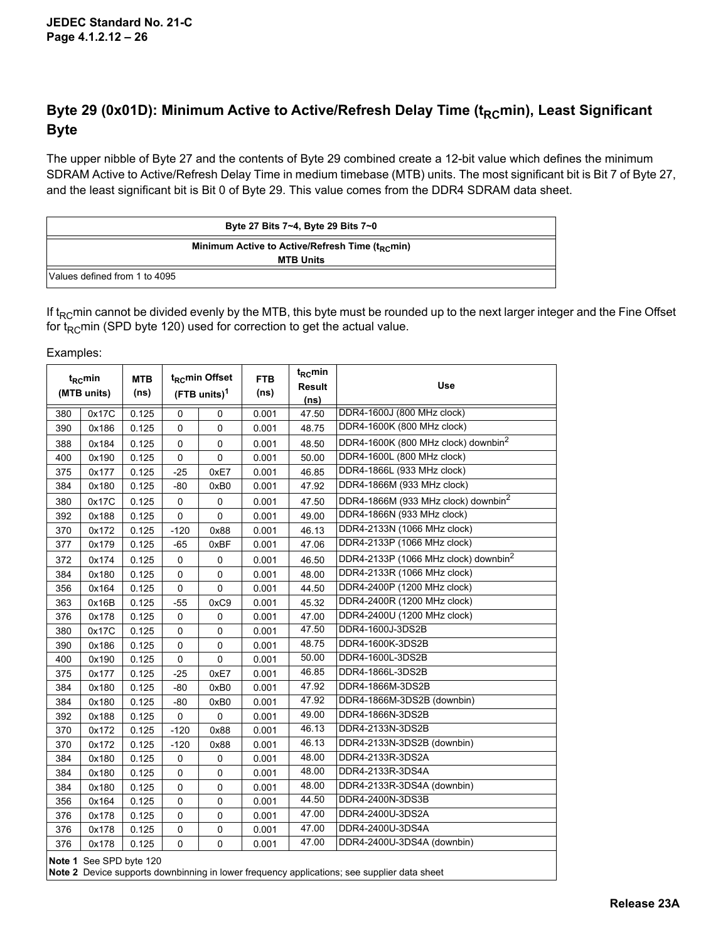## Byte 29 (0x01D): Minimum Active to Active/Refresh Delay Time (t<sub>RC</sub>min), Least Significant **Byte**

The upper nibble of Byte 27 and the contents of Byte 29 combined create a 12-bit value which defines the minimum SDRAM Active to Active/Refresh Delay Time in medium timebase (MTB) units. The most significant bit is Bit 7 of Byte 27, and the least significant bit is Bit 0 of Byte 29. This value comes from the DDR4 SDRAM data sheet.

|                               | Byte 27 Bits 7~4, Byte 29 Bits 7~0                                              |
|-------------------------------|---------------------------------------------------------------------------------|
|                               | Minimum Active to Active/Refresh Time (t <sub>RC</sub> min)<br><b>MTB Units</b> |
| Values defined from 1 to 4095 |                                                                                 |

If  $t<sub>RC</sub>min$  cannot be divided evenly by the MTB, this byte must be rounded up to the next larger integer and the Fine Offset for  $t<sub>RC</sub>min$  (SPD byte 120) used for correction to get the actual value.

Examples:

| t <sub>RC</sub> min<br>(MTB units) |                         | <b>MTB</b><br>(ns) | t <sub>RC</sub> min Offset<br>$(FTB$ units) <sup>1</sup> |             | <b>FTB</b><br>(ns) | $t_{RC}$ min<br><b>Result</b><br>(ns) | <b>Use</b>                                       |  |
|------------------------------------|-------------------------|--------------------|----------------------------------------------------------|-------------|--------------------|---------------------------------------|--------------------------------------------------|--|
| 380                                | 0x17C                   | 0.125              | 0                                                        | $\mathbf 0$ | 0.001              | 47.50                                 | DDR4-1600J (800 MHz clock)                       |  |
| 390                                | 0x186                   | 0.125              | 0                                                        | 0           | 0.001              | 48.75                                 | DDR4-1600K (800 MHz clock)                       |  |
| 388                                | 0x184                   | 0.125              | 0                                                        | $\mathbf 0$ | 0.001              | 48.50                                 | DDR4-1600K (800 MHz clock) downbin <sup>2</sup>  |  |
| 400                                | 0x190                   | 0.125              | 0                                                        | 0           | 0.001              | 50.00                                 | DDR4-1600L (800 MHz clock)                       |  |
| 375                                | 0x177                   | 0.125              | $-25$                                                    | 0xE7        | 0.001              | 46.85                                 | DDR4-1866L (933 MHz clock)                       |  |
| 384                                | 0x180                   | 0.125              | $-80$                                                    | 0xB0        | 0.001              | 47.92                                 | DDR4-1866M (933 MHz clock)                       |  |
| 380                                | 0x17C                   | 0.125              | 0                                                        | 0           | 0.001              | 47.50                                 | DDR4-1866M (933 MHz clock) downbin <sup>2</sup>  |  |
| 392                                | 0x188                   | 0.125              | 0                                                        | $\mathbf 0$ | 0.001              | 49.00                                 | DDR4-1866N (933 MHz clock)                       |  |
| 370                                | 0x172                   | 0.125              | $-120$                                                   | 0x88        | 0.001              | 46.13                                 | DDR4-2133N (1066 MHz clock)                      |  |
| 377                                | 0x179                   | 0.125              | $-65$                                                    | 0xBF        | 0.001              | 47.06                                 | DDR4-2133P (1066 MHz clock)                      |  |
| 372                                | 0x174                   | 0.125              | 0                                                        | $\pmb{0}$   | 0.001              | 46.50                                 | DDR4-2133P (1066 MHz clock) downbin <sup>2</sup> |  |
| 384                                | 0x180                   | 0.125              | 0                                                        | 0           | 0.001              | 48.00                                 | DDR4-2133R (1066 MHz clock)                      |  |
| 356                                | 0x164                   | 0.125              | 0                                                        | 0           | 0.001              | 44.50                                 | DDR4-2400P (1200 MHz clock)                      |  |
| 363                                | 0x16B                   | 0.125              | $-55$                                                    | 0xC9        | 0.001              | 45.32                                 | DDR4-2400R (1200 MHz clock)                      |  |
| 376                                | 0x178                   | 0.125              | 0                                                        | $\mathbf 0$ | 0.001              | 47.00                                 | DDR4-2400U (1200 MHz clock)                      |  |
| 380                                | 0x17C                   | 0.125              | 0                                                        | $\mathbf 0$ | 0.001              | 47.50                                 | DDR4-1600J-3DS2B                                 |  |
| 390                                | 0x186                   | 0.125              | 0                                                        | $\mathbf 0$ | 0.001              | 48.75                                 | DDR4-1600K-3DS2B                                 |  |
| 400                                | 0x190                   | 0.125              | 0                                                        | $\pmb{0}$   | 0.001              | 50.00                                 | DDR4-1600L-3DS2B                                 |  |
| 375                                | 0x177                   | 0.125              | $-25$                                                    | 0xE7        | 0.001              | 46.85                                 | DDR4-1866L-3DS2B                                 |  |
| 384                                | 0x180                   | 0.125              | $-80$                                                    | 0xB0        | 0.001              | 47.92                                 | DDR4-1866M-3DS2B                                 |  |
| 384                                | 0x180                   | 0.125              | $-80$                                                    | 0xB0        | 0.001              | 47.92                                 | DDR4-1866M-3DS2B (downbin)                       |  |
| 392                                | 0x188                   | 0.125              | $\pmb{0}$                                                | $\pmb{0}$   | 0.001              | 49.00                                 | DDR4-1866N-3DS2B                                 |  |
| 370                                | 0x172                   | 0.125              | $-120$                                                   | 0x88        | 0.001              | 46.13                                 | DDR4-2133N-3DS2B                                 |  |
| 370                                | 0x172                   | 0.125              | $-120$                                                   | 0x88        | 0.001              | 46.13                                 | DDR4-2133N-3DS2B (downbin)                       |  |
| 384                                | 0x180                   | 0.125              | 0                                                        | 0           | 0.001              | 48.00                                 | DDR4-2133R-3DS2A                                 |  |
| 384                                | 0x180                   | 0.125              | 0                                                        | 0           | 0.001              | 48.00                                 | DDR4-2133R-3DS4A                                 |  |
| 384                                | 0x180                   | 0.125              | 0                                                        | $\pmb{0}$   | 0.001              | 48.00                                 | DDR4-2133R-3DS4A (downbin)                       |  |
| 356                                | 0x164                   | 0.125              | 0                                                        | 0           | 0.001              | 44.50                                 | DDR4-2400N-3DS3B                                 |  |
| 376                                | 0x178                   | 0.125              | 0                                                        | 0           | 0.001              | 47.00                                 | DDR4-2400U-3DS2A                                 |  |
| 376                                | 0x178                   | 0.125              | 0                                                        | 0           | 0.001              | 47.00                                 | DDR4-2400U-3DS4A                                 |  |
| 376                                | 0x178                   | 0.125              | 0                                                        | $\mathbf 0$ | 0.001              | 47.00                                 | DDR4-2400U-3DS4A (downbin)                       |  |
|                                    | Note 1 See SPD byte 120 |                    |                                                          |             |                    |                                       |                                                  |  |

**Note 2** Device supports downbinning in lower frequency applications; see supplier data sheet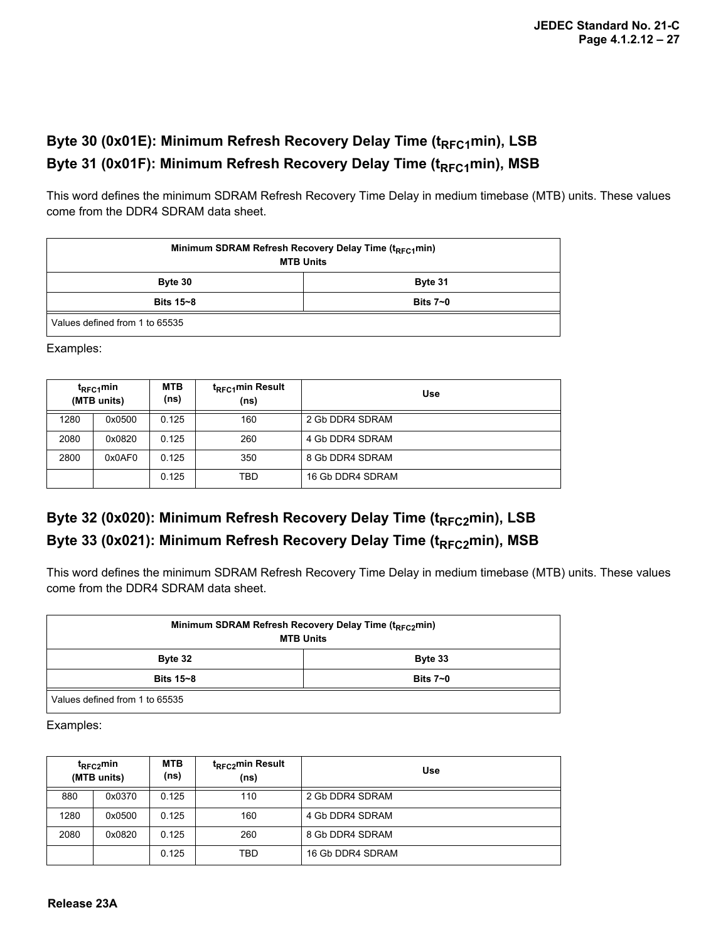## Byte 30 (0x01E): Minimum Refresh Recovery Delay Time (t<sub>RFC1</sub>min), LSB Byte 31 (0x01F): Minimum Refresh Recovery Delay Time (t<sub>RFC1</sub>min), MSB

This word defines the minimum SDRAM Refresh Recovery Time Delay in medium timebase (MTB) units. These values come from the DDR4 SDRAM data sheet.

| Minimum SDRAM Refresh Recovery Delay Time (t <sub>RFC1</sub> min)<br><b>MTB Units</b> |                                                    |  |  |  |  |
|---------------------------------------------------------------------------------------|----------------------------------------------------|--|--|--|--|
| Byte 30                                                                               | Byte 31                                            |  |  |  |  |
| Bits 15~8                                                                             | Bits $7\negmedspace\negmedspace\negmedspace\sim$ 0 |  |  |  |  |
| Values defined from 1 to 65535                                                        |                                                    |  |  |  |  |

Examples:

| t <sub>RFC1</sub> min<br>(MTB units) |        | <b>MTB</b><br>(ns) | t <sub>RFC1</sub> min Result<br>(ns) | Use              |
|--------------------------------------|--------|--------------------|--------------------------------------|------------------|
| 1280                                 | 0x0500 | 0.125              | 160                                  | 2 Gb DDR4 SDRAM  |
| 2080                                 | 0x0820 | 0.125              | 260                                  | 4 Gb DDR4 SDRAM  |
| 2800                                 | 0x0AF0 | 0.125              | 350                                  | 8 Gb DDR4 SDRAM  |
|                                      |        | 0.125              | TBD                                  | 16 Gb DDR4 SDRAM |

## Byte 32 (0x020): Minimum Refresh Recovery Delay Time (t<sub>RFC2</sub>min), LSB Byte 33 (0x021): Minimum Refresh Recovery Delay Time (t<sub>RFC2</sub>min), MSB

This word defines the minimum SDRAM Refresh Recovery Time Delay in medium timebase (MTB) units. These values come from the DDR4 SDRAM data sheet.

| Minimum SDRAM Refresh Recovery Delay Time (t <sub>RFC2</sub> min)<br><b>MTB Units</b> |              |  |  |  |  |
|---------------------------------------------------------------------------------------|--------------|--|--|--|--|
| Byte 32                                                                               | Byte 33      |  |  |  |  |
| <b>Bits 15~8</b>                                                                      | Bits $7 - 0$ |  |  |  |  |
| Values defined from 1 to 65535                                                        |              |  |  |  |  |

Examples:

| t <sub>RFC2</sub> min<br>(MTB units) |        | <b>MTB</b><br>(ns) | t <sub>RFC2</sub> min Result<br>(ns) | Use              |
|--------------------------------------|--------|--------------------|--------------------------------------|------------------|
| 880                                  | 0x0370 | 0.125              | 110                                  | 2 Gb DDR4 SDRAM  |
| 1280                                 | 0x0500 | 0.125              | 160                                  | 4 Gb DDR4 SDRAM  |
| 2080                                 | 0x0820 | 0.125              | 260                                  | 8 Gb DDR4 SDRAM  |
|                                      |        | 0.125              | TBD                                  | 16 Gb DDR4 SDRAM |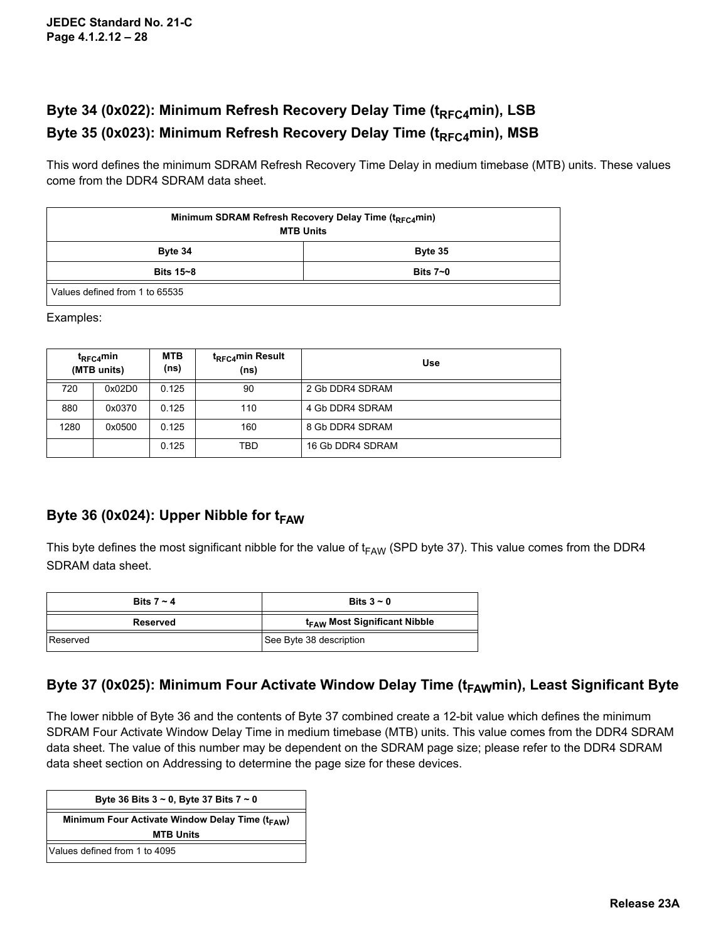# Byte 34 (0x022): Minimum Refresh Recovery Delay Time (t<sub>RFC4</sub>min), LSB Byte 35 (0x023): Minimum Refresh Recovery Delay Time (t<sub>RFC4</sub>min), MSB

This word defines the minimum SDRAM Refresh Recovery Time Delay in medium timebase (MTB) units. These values come from the DDR4 SDRAM data sheet.

| Minimum SDRAM Refresh Recovery Delay Time ( $t_{\text{RECA}}$ min)<br><b>MTB Units</b> |  |  |  |  |  |  |
|----------------------------------------------------------------------------------------|--|--|--|--|--|--|
| Byte 34<br>Byte 35                                                                     |  |  |  |  |  |  |
| Bits 15~8<br>Bits $7 - 0$                                                              |  |  |  |  |  |  |
| Values defined from 1 to 65535                                                         |  |  |  |  |  |  |

Examples:

|      | $t_{RECA}$ min<br>(MTB units) |       | t <sub>RFC4</sub> min Result<br>(ns) | Use              |
|------|-------------------------------|-------|--------------------------------------|------------------|
| 720  | 0x02D0                        | 0.125 | 90                                   | 2 Gb DDR4 SDRAM  |
| 880  | 0x0370                        | 0.125 | 110                                  | 4 Gb DDR4 SDRAM  |
| 1280 | 0x0500                        | 0.125 | 160                                  | 8 Gb DDR4 SDRAM  |
|      |                               | 0.125 | TBD                                  | 16 Gb DDR4 SDRAM |

### Byte 36 (0x024): Upper Nibble for t<sub>FAW</sub>

This byte defines the most significant nibble for the value of  $t_{FAW}$  (SPD byte 37). This value comes from the DDR4 SDRAM data sheet.

| Bits $7 - 4$ | Bits $3 - 0$                             |  |
|--------------|------------------------------------------|--|
| Reserved     | t <sub>FAW</sub> Most Significant Nibble |  |
| Reserved     | See Byte 38 description                  |  |

## Byte 37 (0x025): Minimum Four Activate Window Delay Time (t<sub>FAW</sub>min), Least Significant Byte

The lower nibble of Byte 36 and the contents of Byte 37 combined create a 12-bit value which defines the minimum SDRAM Four Activate Window Delay Time in medium timebase (MTB) units. This value comes from the DDR4 SDRAM data sheet. The value of this number may be dependent on the SDRAM page size; please refer to the DDR4 SDRAM data sheet section on Addressing to determine the page size for these devices.

| Byte 36 Bits $3 \sim 0$ , Byte 37 Bits $7 \sim 0$           |  |  |  |  |  |  |
|-------------------------------------------------------------|--|--|--|--|--|--|
|                                                             |  |  |  |  |  |  |
| Minimum Four Activate Window Delay Time (t <sub>FAW</sub> ) |  |  |  |  |  |  |
|                                                             |  |  |  |  |  |  |
| <b>MTB Units</b>                                            |  |  |  |  |  |  |
|                                                             |  |  |  |  |  |  |
| Values defined from 1 to 4095                               |  |  |  |  |  |  |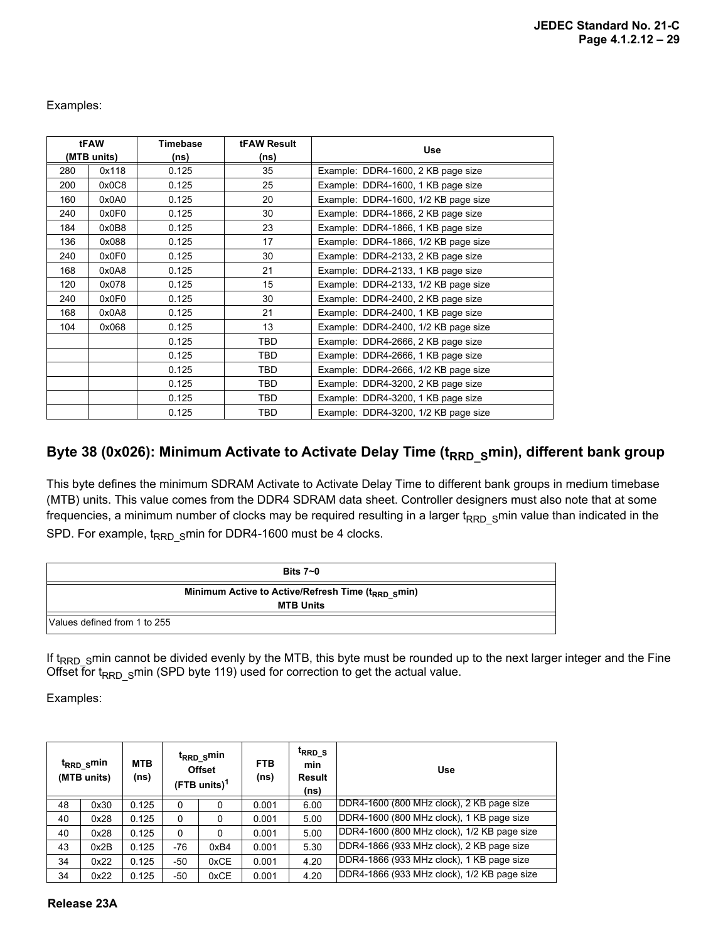Examples:

|     | tFAW        | <b>tFAW Result</b><br><b>Timebase</b> |            | <b>Use</b>                           |
|-----|-------------|---------------------------------------|------------|--------------------------------------|
|     | (MTB units) | (ns)                                  | (ns)       |                                      |
| 280 | 0x118       | 0.125                                 | 35         | Example: DDR4-1600, 2 KB page size   |
| 200 | 0x0C8       | 0.125                                 | 25         | Example: DDR4-1600, 1 KB page size   |
| 160 | 0x0A0       | 0.125                                 | 20         | Example: DDR4-1600, 1/2 KB page size |
| 240 | 0x0F0       | 0.125                                 | 30         | Example: DDR4-1866, 2 KB page size   |
| 184 | 0x0B8       | 0.125                                 | 23         | Example: DDR4-1866, 1 KB page size   |
| 136 | 0x088       | 0.125                                 | 17         | Example: DDR4-1866, 1/2 KB page size |
| 240 | 0x0F0       | 0.125                                 | 30         | Example: DDR4-2133, 2 KB page size   |
| 168 | 0x0A8       | 0.125                                 | 21         | Example: DDR4-2133, 1 KB page size   |
| 120 | 0x078       | 0.125                                 | 15         | Example: DDR4-2133, 1/2 KB page size |
| 240 | 0x0F0       | 0.125                                 | 30         | Example: DDR4-2400, 2 KB page size   |
| 168 | 0x0A8       | 0.125                                 | 21         | Example: DDR4-2400, 1 KB page size   |
| 104 | 0x068       | 0.125                                 | 13         | Example: DDR4-2400, 1/2 KB page size |
|     |             | 0.125                                 | TBD        | Example: DDR4-2666, 2 KB page size   |
|     |             | 0.125                                 | TBD        | Example: DDR4-2666, 1 KB page size   |
|     |             | 0.125                                 | <b>TBD</b> | Example: DDR4-2666, 1/2 KB page size |
|     |             | 0.125                                 | <b>TBD</b> | Example: DDR4-3200, 2 KB page size   |
|     |             | 0.125                                 | TBD        | Example: DDR4-3200, 1 KB page size   |
|     |             | 0.125                                 | TBD        | Example: DDR4-3200, 1/2 KB page size |

### Byte 38 (0x026): Minimum Activate to Activate Delay Time (t<sub>RRD\_S</sub>min), different bank group

This byte defines the minimum SDRAM Activate to Activate Delay Time to different bank groups in medium timebase (MTB) units. This value comes from the DDR4 SDRAM data sheet. Controller designers must also note that at some frequencies, a minimum number of clocks may be required resulting in a larger  $t_{RRD-S}$ min value than indicated in the SPD. For example,  $t_{\text{RRD}}$  smin for DDR4-1600 must be 4 clocks.

|                              | Bits $7-0$                                                     |
|------------------------------|----------------------------------------------------------------|
|                              | Minimum Active to Active/Refresh Time (t <sub>RRD S</sub> min) |
|                              | <b>MTB Units</b>                                               |
| Values defined from 1 to 255 |                                                                |

If  $t_{\rm RRD\_S}$ min cannot be divided evenly by the MTB, this byte must be rounded up to the next larger integer and the Fine Offset for t<sub>RRD</sub> smin (SPD byte 119) used for correction to get the actual value.

Examples:

|    | $t_{\rm RRD}$ smin<br>(MTB units) | <b>MTB</b><br>(ns) |     | t <sub>RRD_S</sub> min<br><b>Offset</b><br>$(FTB \text{ units})^1$ | <b>FTB</b><br>(ns) | t <sub>rrd</sub> s<br>min<br>Result<br>(ns) | <b>Use</b>                                  |
|----|-----------------------------------|--------------------|-----|--------------------------------------------------------------------|--------------------|---------------------------------------------|---------------------------------------------|
| 48 | 0x30                              | 0.125              | 0   | 0                                                                  | 0.001              | 6.00                                        | DDR4-1600 (800 MHz clock), 2 KB page size   |
| 40 | 0x28                              | 0.125              | 0   | 0                                                                  | 0.001              | 5.00                                        | DDR4-1600 (800 MHz clock), 1 KB page size   |
| 40 | 0x28                              | 0.125              | 0   | 0                                                                  | 0.001              | 5.00                                        | DDR4-1600 (800 MHz clock), 1/2 KB page size |
| 43 | 0x2B                              | 0.125              | -76 | 0xB4                                                               | 0.001              | 5.30                                        | DDR4-1866 (933 MHz clock), 2 KB page size   |
| 34 | 0x22                              | 0.125              | -50 | 0xCE                                                               | 0.001              | 4.20                                        | DDR4-1866 (933 MHz clock), 1 KB page size   |
| 34 | 0x22                              | 0.125              | -50 | 0xCE                                                               | 0.001              | 4.20                                        | DDR4-1866 (933 MHz clock), 1/2 KB page size |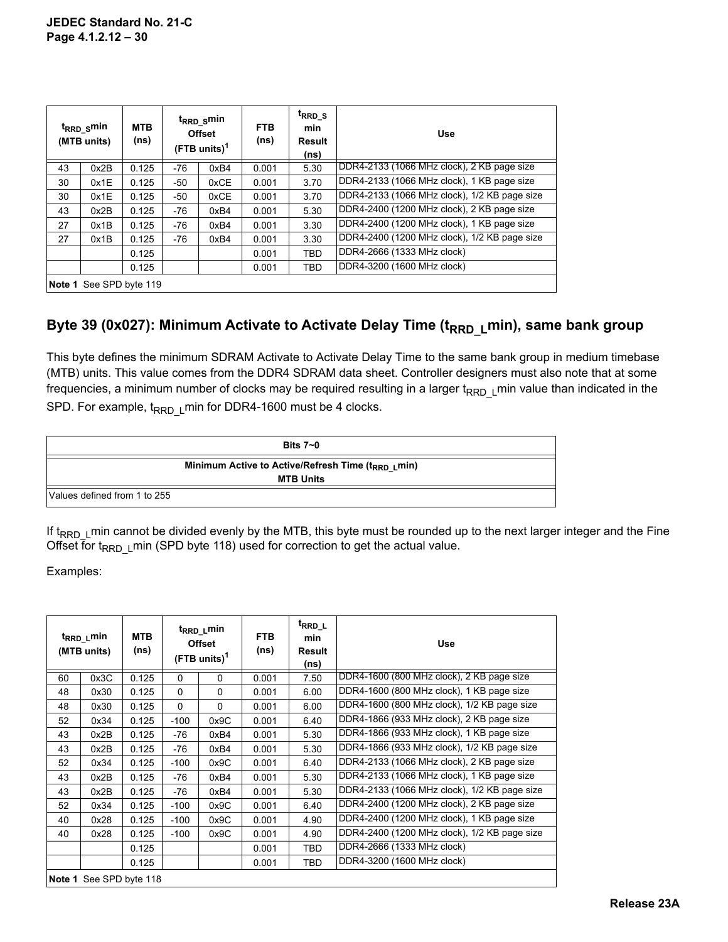|    | t <sub>RRD_S</sub> min<br>(MTB units) | <b>MTB</b><br>(ns) | t <sub>RRD_S</sub> min<br><b>Offset</b><br>$(FTB \text{ units})^1$ |      | <b>FTB</b><br>(ns) | t <sub>RRD</sub> s<br>min<br>Result<br>(ns) | <b>Use</b>                                   |
|----|---------------------------------------|--------------------|--------------------------------------------------------------------|------|--------------------|---------------------------------------------|----------------------------------------------|
| 43 | 0x2B                                  | 0.125              | -76                                                                | 0xB4 | 0.001              | 5.30                                        | DDR4-2133 (1066 MHz clock), 2 KB page size   |
| 30 | 0x1E                                  | 0.125              | -50                                                                | 0xCE | 0.001              | 3.70                                        | DDR4-2133 (1066 MHz clock), 1 KB page size   |
| 30 | 0x1E                                  | 0.125              | -50                                                                | 0xCE | 0.001              | 3.70                                        | DDR4-2133 (1066 MHz clock), 1/2 KB page size |
| 43 | 0x2B                                  | 0.125              | -76                                                                | 0xB4 | 0.001              | 5.30                                        | DDR4-2400 (1200 MHz clock), 2 KB page size   |
| 27 | 0x1B                                  | 0.125              | -76                                                                | 0xB4 | 0.001              | 3.30                                        | DDR4-2400 (1200 MHz clock), 1 KB page size   |
| 27 | 0x1B                                  | 0.125              | -76                                                                | 0xB4 | 0.001              | 3.30                                        | DDR4-2400 (1200 MHz clock), 1/2 KB page size |
|    |                                       | 0.125              |                                                                    |      | 0.001              | <b>TBD</b>                                  | DDR4-2666 (1333 MHz clock)                   |
|    |                                       | 0.125              |                                                                    |      | 0.001              | <b>TBD</b>                                  | DDR4-3200 (1600 MHz clock)                   |
|    | Note 1 See SPD byte 119               |                    |                                                                    |      |                    |                                             |                                              |

### Byte 39 (0x027): Minimum Activate to Activate Delay Time (t<sub>RRD L</sub>min), same bank group

This byte defines the minimum SDRAM Activate to Activate Delay Time to the same bank group in medium timebase (MTB) units. This value comes from the DDR4 SDRAM data sheet. Controller designers must also note that at some frequencies, a minimum number of clocks may be required resulting in a larger  $t_{\rm RRDL}$  min value than indicated in the SPD. For example,  $t_{\rm RRD-1}$  min for DDR4-1600 must be 4 clocks.

|                              | Bits $7-0$                                                                         |
|------------------------------|------------------------------------------------------------------------------------|
|                              | Minimum Active to Active/Refresh Time (t <sub>RRD L</sub> min)<br><b>MTB Units</b> |
| Values defined from 1 to 255 |                                                                                    |

If  $t_{RRD-1}$  min cannot be divided evenly by the MTB, this byte must be rounded up to the next larger integer and the Fine Offset for t<sub>RRD</sub>  $L$ min (SPD byte 118) used for correction to get the actual value.

Examples:

|    | t <sub>RRD L</sub> min<br>t <sub>RRD_L</sub> min<br><b>MTB</b><br><b>Offset</b><br>(ns)<br>(MTB units)<br>$(FTB \text{ units})^1$ |       |        | <b>FTB</b><br>(ns) | <sup>t</sup> RRD_L<br>min<br>Result<br>(ns) | <b>Use</b> |                                              |
|----|-----------------------------------------------------------------------------------------------------------------------------------|-------|--------|--------------------|---------------------------------------------|------------|----------------------------------------------|
| 60 | 0x3C                                                                                                                              | 0.125 | 0      | $\mathbf 0$        | 0.001                                       | 7.50       | DDR4-1600 (800 MHz clock), 2 KB page size    |
| 48 | 0x30                                                                                                                              | 0.125 | 0      | $\Omega$           | 0.001                                       | 6.00       | DDR4-1600 (800 MHz clock), 1 KB page size    |
| 48 | 0x30                                                                                                                              | 0.125 | 0      | 0                  | 0.001                                       | 6.00       | DDR4-1600 (800 MHz clock), 1/2 KB page size  |
| 52 | 0x34                                                                                                                              | 0.125 | $-100$ | 0x9C               | 0.001                                       | 6.40       | DDR4-1866 (933 MHz clock), 2 KB page size    |
| 43 | 0x2B                                                                                                                              | 0.125 | -76    | 0xB4               | 0.001                                       | 5.30       | DDR4-1866 (933 MHz clock), 1 KB page size    |
| 43 | 0x2B                                                                                                                              | 0.125 | -76    | 0xB4               | 0.001                                       | 5.30       | DDR4-1866 (933 MHz clock), 1/2 KB page size  |
| 52 | 0x34                                                                                                                              | 0.125 | $-100$ | 0x9C               | 0.001                                       | 6.40       | DDR4-2133 (1066 MHz clock), 2 KB page size   |
| 43 | 0x2B                                                                                                                              | 0.125 | $-76$  | 0xB4               | 0.001                                       | 5.30       | DDR4-2133 (1066 MHz clock), 1 KB page size   |
| 43 | 0x2B                                                                                                                              | 0.125 | -76    | 0xB4               | 0.001                                       | 5.30       | DDR4-2133 (1066 MHz clock), 1/2 KB page size |
| 52 | 0x34                                                                                                                              | 0.125 | $-100$ | 0x9C               | 0.001                                       | 6.40       | DDR4-2400 (1200 MHz clock), 2 KB page size   |
| 40 | 0x28                                                                                                                              | 0.125 | $-100$ | 0x9C               | 0.001                                       | 4.90       | DDR4-2400 (1200 MHz clock), 1 KB page size   |
| 40 | 0x28                                                                                                                              | 0.125 | $-100$ | 0x9C               | 0.001                                       | 4.90       | DDR4-2400 (1200 MHz clock), 1/2 KB page size |
|    |                                                                                                                                   | 0.125 |        |                    | 0.001                                       | <b>TBD</b> | DDR4-2666 (1333 MHz clock)                   |
|    |                                                                                                                                   | 0.125 |        |                    | 0.001                                       | TBD        | DDR4-3200 (1600 MHz clock)                   |
|    | Note 1 See SPD byte 118                                                                                                           |       |        |                    |                                             |            |                                              |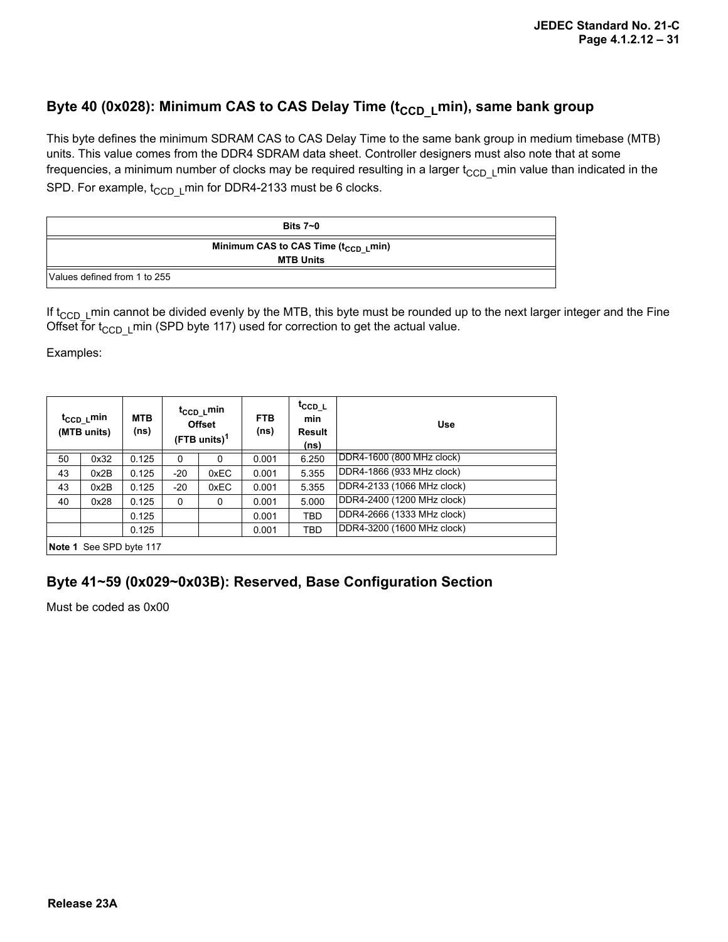### Byte 40 (0x028): Minimum CAS to CAS Delay Time (t<sub>CCD L</sub>min), same bank group

This byte defines the minimum SDRAM CAS to CAS Delay Time to the same bank group in medium timebase (MTB) units. This value comes from the DDR4 SDRAM data sheet. Controller designers must also note that at some frequencies, a minimum number of clocks may be required resulting in a larger  $t_{CCD-L}$ min value than indicated in the SPD. For example,  $t_{CCD}$  Lmin for DDR4-2133 must be 6 clocks.

|                              | Bits $7 - 0$                                                         |  |  |  |  |
|------------------------------|----------------------------------------------------------------------|--|--|--|--|
|                              | Minimum CAS to CAS Time (t <sub>CCD_L</sub> min)<br><b>MTB Units</b> |  |  |  |  |
| Values defined from 1 to 255 |                                                                      |  |  |  |  |

If  $t_{\text{CCD L}}$  min cannot be divided evenly by the MTB, this byte must be rounded up to the next larger integer and the Fine Offset for  $t_{\text{CCD L}}$  min (SPD byte 117) used for correction to get the actual value.

Examples:

|    | t <sub>CCD_L</sub> min<br>(MTB units) | <b>MTB</b><br>(ns) | t <sub>CCD_L</sub> min<br><b>Offset</b><br>(FTB units) $1$ |      | <b>FTB</b><br>(ns) | t <sub>CCD_L</sub><br>min<br>Result<br>(ns) | <b>Use</b>                 |
|----|---------------------------------------|--------------------|------------------------------------------------------------|------|--------------------|---------------------------------------------|----------------------------|
| 50 | 0x32                                  | 0.125              | 0                                                          | 0    | 0.001              | 6.250                                       | DDR4-1600 (800 MHz clock)  |
| 43 | 0x2B                                  | 0.125              | $-20$                                                      | 0xEC | 0.001              | 5.355                                       | DDR4-1866 (933 MHz clock)  |
| 43 | 0x2B                                  | 0.125              | $-20$                                                      | 0xEC | 0.001              | 5.355                                       | DDR4-2133 (1066 MHz clock) |
| 40 | 0x28                                  | 0.125              | $\Omega$                                                   | 0    | 0.001              | 5.000                                       | DDR4-2400 (1200 MHz clock) |
|    |                                       | 0.125              |                                                            |      | 0.001              | TBD                                         | DDR4-2666 (1333 MHz clock) |
|    |                                       | 0.125              |                                                            |      | 0.001              | TBD                                         | DDR4-3200 (1600 MHz clock) |
|    | Note 1 See SPD byte 117               |                    |                                                            |      |                    |                                             |                            |

## **Byte 41~59 (0x029~0x03B): Reserved, Base Configuration Section**

Must be coded as 0x00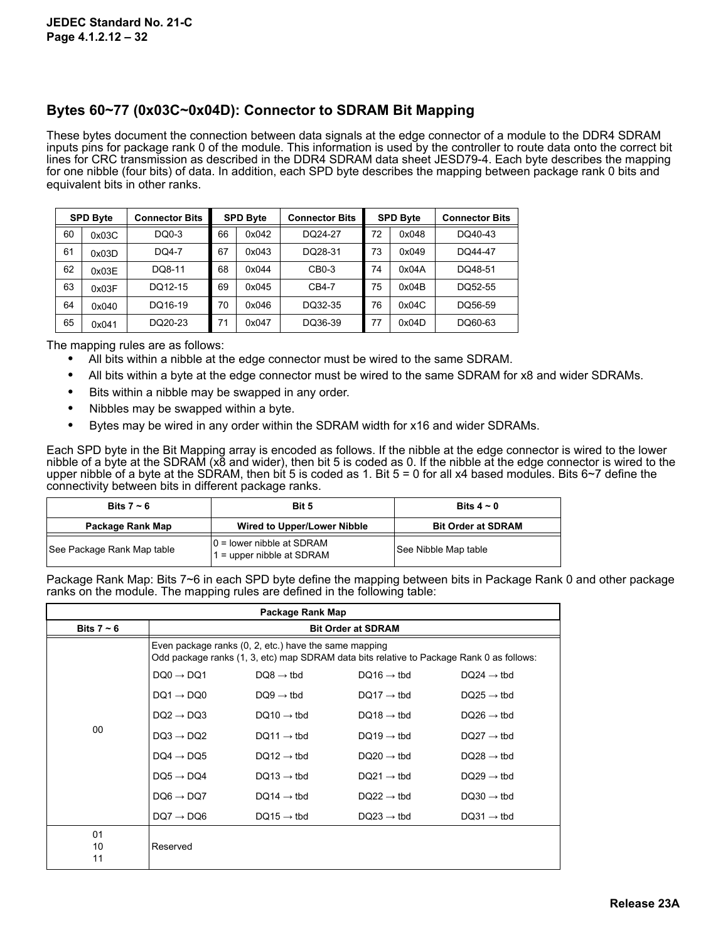### **Bytes 60~77 (0x03C~0x04D): Connector to SDRAM Bit Mapping**

These bytes document the connection between data signals at the edge connector of a module to the DDR4 SDRAM inputs pins for package rank 0 of the module. This information is used by the controller to route data onto the correct bit lines for CRC transmission as described in the DDR4 SDRAM data sheet JESD79-4. Each byte describes the mapping for one nibble (four bits) of data. In addition, each SPD byte describes the mapping between package rank 0 bits and equivalent bits in other ranks.

|    | <b>SPD Byte</b> | <b>Connector Bits</b> |    | <b>SPD Byte</b> | <b>Connector Bits</b> |    | <b>SPD Byte</b> | <b>Connector Bits</b> |  |
|----|-----------------|-----------------------|----|-----------------|-----------------------|----|-----------------|-----------------------|--|
| 60 | 0x03C           | DQ0-3                 | 66 | 0x042           | DQ24-27               | 72 | 0x048           | DO40-43               |  |
| 61 | 0x03D           | DO4-7                 | 67 | 0x043           | DQ28-31               | 73 | 0x049           | DO44-47               |  |
| 62 | 0x03E           | DQ8-11                | 68 | 0x044           | $CB0-3$               | 74 | 0x04A           | DO48-51               |  |
| 63 | 0x03F           | DO12-15               | 69 | 0x045           | CB4-7                 | 75 | 0x04B           | DO52-55               |  |
| 64 | 0x040           | DQ16-19               | 70 | 0x046           | DO32-35               | 76 | 0x04C           | DQ56-59               |  |
| 65 | 0x041           | DQ20-23               | 71 | 0x047           | DQ36-39               | 77 | 0x04D           | DQ60-63               |  |

The mapping rules are as follows:

- **•** All bits within a nibble at the edge connector must be wired to the same SDRAM.
- **•** All bits within a byte at the edge connector must be wired to the same SDRAM for x8 and wider SDRAMs.
- **•** Bits within a nibble may be swapped in any order.
- **•** Nibbles may be swapped within a byte.
- **•** Bytes may be wired in any order within the SDRAM width for x16 and wider SDRAMs.

Each SPD byte in the Bit Mapping array is encoded as follows. If the nibble at the edge connector is wired to the lower nibble of a byte at the SDRAM (x8 and wider), then bit 5 is coded as 0. If the nibble at the edge connector is wired to the upper nibble of a byte at the SDRAM, then bit 5 is coded as 1. Bit  $5 = 0$  for all x4 based modules. Bits  $6\neg 7$  define the connectivity between bits in different package ranks.

| Bits 7 $\sim$ 6            | Bit 5                                                       | Bits $4 \sim 0$           |
|----------------------------|-------------------------------------------------------------|---------------------------|
| Package Rank Map           | <b>Wired to Upper/Lower Nibble</b>                          | <b>Bit Order at SDRAM</b> |
| See Package Rank Map table | $ 0 =$ lower nibble at SDRAM<br>$1 =$ upper nibble at SDRAM | See Nibble Map table      |

Package Rank Map: Bits 7~6 in each SPD byte define the mapping between bits in Package Rank 0 and other package ranks on the module. The mapping rules are defined in the following table:

|                 |                       | Package Rank Map                                      |                                                                                          |                        |
|-----------------|-----------------------|-------------------------------------------------------|------------------------------------------------------------------------------------------|------------------------|
| Bits $7 \sim 6$ |                       |                                                       | <b>Bit Order at SDRAM</b>                                                                |                        |
|                 |                       | Even package ranks (0, 2, etc.) have the same mapping | Odd package ranks (1, 3, etc) map SDRAM data bits relative to Package Rank 0 as follows: |                        |
|                 | $DO0 \rightarrow DO1$ | $DQ8 \rightarrow tbd$                                 | $DQ16 \rightarrow$ tbd                                                                   | $DQ24 \rightarrow$ tbd |
|                 | $DQ1 \rightarrow DQ0$ | $DQ9 \rightarrow tbd$                                 | $DQ17 \rightarrow$ tbd                                                                   | $DQ25 \rightarrow$ tbd |
|                 | $DQ2 \rightarrow DQ3$ | $DQ10 \rightarrow$ tbd                                | $DQ18 \rightarrow$ tbd                                                                   | $DQ26 \rightarrow$ tbd |
| 00              | $DQ3 \rightarrow DQ2$ | $DQ11 \rightarrow tbd$                                | $DQ19 \rightarrow$ tbd                                                                   | $DQ27 \rightarrow$ tbd |
|                 | $DQ4 \rightarrow DQ5$ | $DQ12 \rightarrow tbd$                                | $DQ20 \rightarrow tbd$                                                                   | $DQ28 \rightarrow$ tbd |
|                 | $DQ5 \rightarrow DQ4$ | $DQ13 \rightarrow tbd$                                | $DQ21 \rightarrow tbd$                                                                   | $DQ29 \rightarrow$ tbd |
|                 | $DQ6 \rightarrow DQ7$ | $DQ14 \rightarrow$ tbd                                | $DQ22 \rightarrow tbd$                                                                   | $DQ30 \rightarrow$ tbd |
|                 | $DQ7 \rightarrow DQ6$ | $DQ15 \rightarrow$ tbd                                | $DQ23 \rightarrow tbd$                                                                   | $DQ31 \rightarrow$ tbd |
| 01<br>10<br>11  | Reserved              |                                                       |                                                                                          |                        |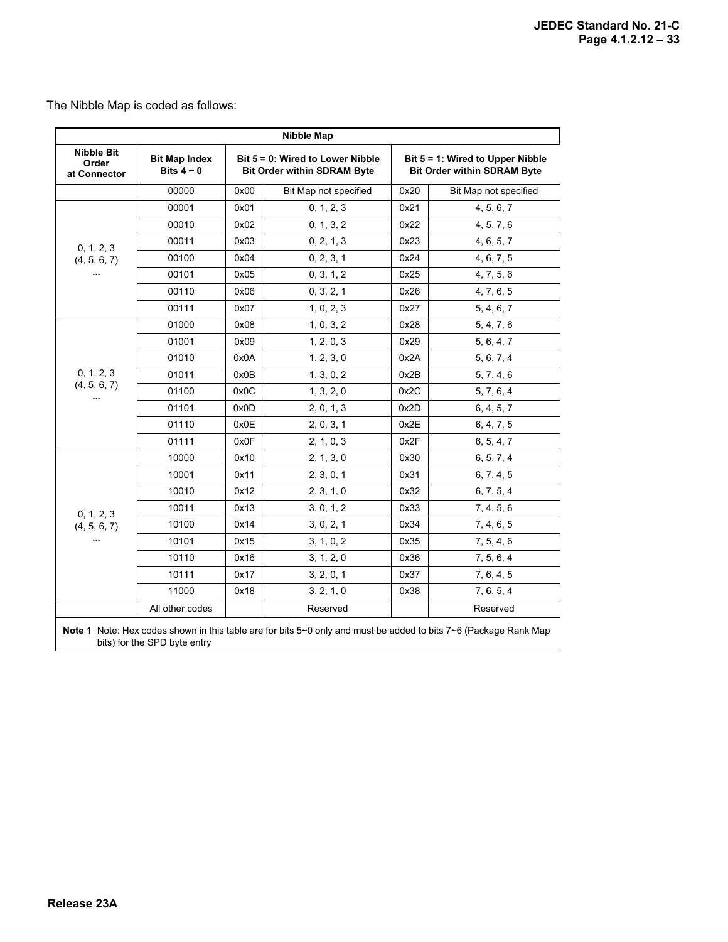The Nibble Map is coded as follows:

| <b>Nibble Map</b>                          |                                         |      |                                                                        |                                                                        |                       |  |  |  |  |  |  |
|--------------------------------------------|-----------------------------------------|------|------------------------------------------------------------------------|------------------------------------------------------------------------|-----------------------|--|--|--|--|--|--|
| <b>Nibble Bit</b><br>Order<br>at Connector | <b>Bit Map Index</b><br>Bits $4 \sim 0$ |      | Bit 5 = 0: Wired to Lower Nibble<br><b>Bit Order within SDRAM Byte</b> | Bit 5 = 1: Wired to Upper Nibble<br><b>Bit Order within SDRAM Byte</b> |                       |  |  |  |  |  |  |
|                                            | 00000                                   | 0x00 | Bit Map not specified                                                  | 0x20                                                                   | Bit Map not specified |  |  |  |  |  |  |
|                                            | 00001                                   | 0x01 | 0, 1, 2, 3                                                             | 0x21                                                                   | 4, 5, 6, 7            |  |  |  |  |  |  |
|                                            | 00010                                   | 0x02 | 0, 1, 3, 2                                                             | 0x22                                                                   | 4, 5, 7, 6            |  |  |  |  |  |  |
| 0, 1, 2, 3                                 | 00011                                   | 0x03 | 0, 2, 1, 3                                                             | 0x23                                                                   | 4, 6, 5, 7            |  |  |  |  |  |  |
| (4, 5, 6, 7)                               | 00100                                   | 0x04 | 0, 2, 3, 1                                                             | 0x24                                                                   | 4, 6, 7, 5            |  |  |  |  |  |  |
|                                            | 00101                                   | 0x05 | 0, 3, 1, 2                                                             | 0x25                                                                   | 4, 7, 5, 6            |  |  |  |  |  |  |
|                                            | 00110                                   | 0x06 | 0, 3, 2, 1                                                             | 0x26                                                                   | 4, 7, 6, 5            |  |  |  |  |  |  |
|                                            | 00111                                   | 0x07 | 1, 0, 2, 3                                                             | 0x27                                                                   | 5, 4, 6, 7            |  |  |  |  |  |  |
| 0, 1, 2, 3<br>(4, 5, 6, 7)<br>             | 01000                                   | 0x08 | 1, 0, 3, 2                                                             | 0x28                                                                   | 5, 4, 7, 6            |  |  |  |  |  |  |
|                                            | 01001                                   | 0x09 | 1, 2, 0, 3                                                             | 0x29                                                                   | 5, 6, 4, 7            |  |  |  |  |  |  |
|                                            | 01010                                   | 0x0A | 1, 2, 3, 0                                                             | 0x2A                                                                   | 5, 6, 7, 4            |  |  |  |  |  |  |
|                                            | 01011                                   | 0x0B | 1, 3, 0, 2                                                             | 0x2B                                                                   | 5, 7, 4, 6            |  |  |  |  |  |  |
|                                            | 01100                                   | 0x0C | 1, 3, 2, 0                                                             | 0x2C                                                                   | 5, 7, 6, 4            |  |  |  |  |  |  |
|                                            | 01101                                   | 0x0D | 2, 0, 1, 3                                                             | 0x2D                                                                   | 6, 4, 5, 7            |  |  |  |  |  |  |
|                                            | 01110                                   | 0x0E | 2, 0, 3, 1                                                             | 0x2E                                                                   | 6, 4, 7, 5            |  |  |  |  |  |  |
|                                            | 01111                                   | 0x0F | 2, 1, 0, 3                                                             | 0x2F                                                                   | 6, 5, 4, 7            |  |  |  |  |  |  |
|                                            | 10000                                   | 0x10 | 2, 1, 3, 0                                                             | 0x30                                                                   | 6, 5, 7, 4            |  |  |  |  |  |  |
|                                            | 10001                                   | 0x11 | 2, 3, 0, 1                                                             | 0x31                                                                   | 6, 7, 4, 5            |  |  |  |  |  |  |
|                                            | 10010                                   | 0x12 | 2, 3, 1, 0                                                             | 0x32                                                                   | 6, 7, 5, 4            |  |  |  |  |  |  |
| 0, 1, 2, 3                                 | 10011                                   | 0x13 | 3, 0, 1, 2                                                             | 0x33                                                                   | 7, 4, 5, 6            |  |  |  |  |  |  |
| (4, 5, 6, 7)                               | 10100                                   | 0x14 | 3, 0, 2, 1                                                             | 0x34                                                                   | 7, 4, 6, 5            |  |  |  |  |  |  |
|                                            | 10101                                   | 0x15 | 3, 1, 0, 2                                                             | 0x35                                                                   | 7, 5, 4, 6            |  |  |  |  |  |  |
|                                            | 10110                                   | 0x16 | 3, 1, 2, 0                                                             | 0x36                                                                   | 7, 5, 6, 4            |  |  |  |  |  |  |
|                                            | 10111                                   | 0x17 | 3, 2, 0, 1                                                             | 0x37                                                                   | 7, 6, 4, 5            |  |  |  |  |  |  |
|                                            | 11000                                   | 0x18 | 3, 2, 1, 0                                                             | 0x38                                                                   | 7, 6, 5, 4            |  |  |  |  |  |  |
|                                            | All other codes                         |      | Reserved                                                               |                                                                        | Reserved              |  |  |  |  |  |  |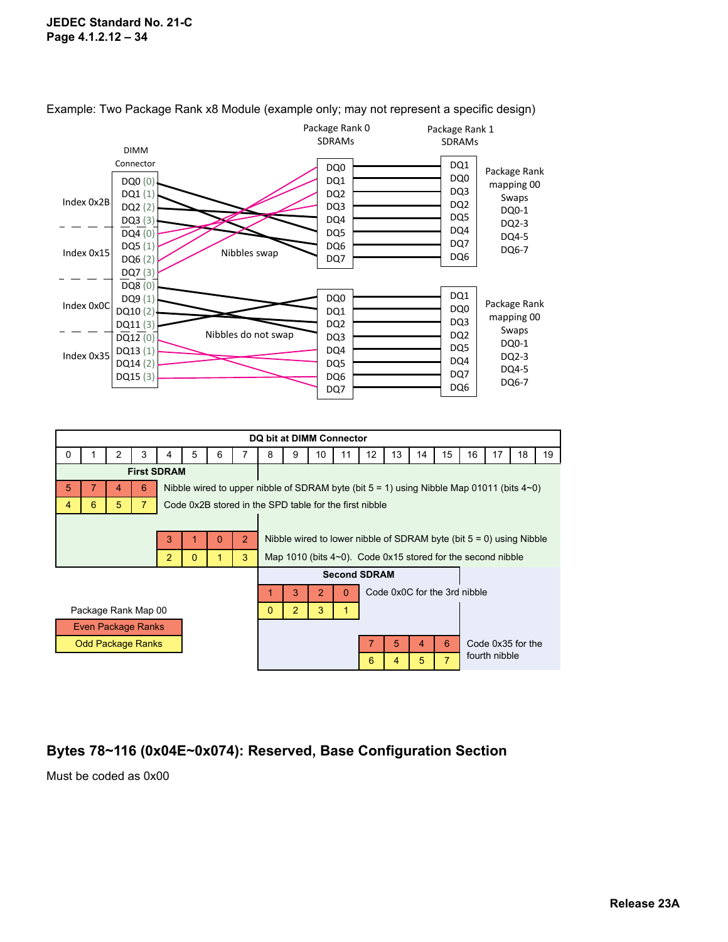#### **JEDEC Standard No. 21-C Page 4.1.2.12 – 34**



Example: Two Package Rank x8 Module (example only; may not represent a specific design)

|                    |                          |   |   |                    |          |   |                                                                                                   |                                                                        |   | DQ bit at DIMM Connector |    |                     |                |                              |                |    |                                                                         |    |    |
|--------------------|--------------------------|---|---|--------------------|----------|---|---------------------------------------------------------------------------------------------------|------------------------------------------------------------------------|---|--------------------------|----|---------------------|----------------|------------------------------|----------------|----|-------------------------------------------------------------------------|----|----|
| 0                  |                          | 2 | 3 | 4                  | 5        | 6 | 7                                                                                                 | 8                                                                      | 9 | 10                       | 11 | 12                  | 13             | 14                           | 15             | 16 | 17                                                                      | 18 | 19 |
|                    |                          |   |   | <b>First SDRAM</b> |          |   |                                                                                                   |                                                                        |   |                          |    |                     |                |                              |                |    |                                                                         |    |    |
| 5<br>6<br>4        |                          |   |   |                    |          |   | Nibble wired to upper nibble of SDRAM byte (bit $5 = 1$ ) using Nibble Map 01011 (bits $4\neg$ 0) |                                                                        |   |                          |    |                     |                |                              |                |    |                                                                         |    |    |
| 4                  | 6                        | 5 |   |                    |          |   | Code 0x2B stored in the SPD table for the first nibble                                            |                                                                        |   |                          |    |                     |                |                              |                |    |                                                                         |    |    |
|                    |                          |   |   |                    |          |   |                                                                                                   |                                                                        |   |                          |    |                     |                |                              |                |    |                                                                         |    |    |
| 2<br>3<br>$\Omega$ |                          |   |   |                    |          |   |                                                                                                   | Nibble wired to lower nibble of SDRAM byte (bit $5 = 0$ ) using Nibble |   |                          |    |                     |                |                              |                |    |                                                                         |    |    |
|                    |                          |   |   | $\overline{2}$     | $\Omega$ | 1 | 3                                                                                                 |                                                                        |   |                          |    |                     |                |                              |                |    | Map 1010 (bits $4~0$ ). Code $0 \times 15$ stored for the second nibble |    |    |
|                    |                          |   |   |                    |          |   |                                                                                                   |                                                                        |   |                          |    | <b>Second SDRAM</b> |                |                              |                |    |                                                                         |    |    |
|                    |                          |   |   |                    |          |   |                                                                                                   |                                                                        | 3 | 2                        | O  |                     |                | Code 0x0C for the 3rd nibble |                |    |                                                                         |    |    |
|                    | Package Rank Map 00      |   |   |                    |          |   |                                                                                                   | 0                                                                      | 2 | 3                        |    |                     |                |                              |                |    |                                                                         |    |    |
|                    | Even Package Ranks       |   |   |                    |          |   |                                                                                                   |                                                                        |   |                          |    |                     |                |                              |                |    |                                                                         |    |    |
|                    | <b>Odd Package Ranks</b> |   |   |                    |          |   |                                                                                                   |                                                                        |   |                          |    |                     | 5              | 4                            | 6              |    | Code 0x35 for the                                                       |    |    |
|                    |                          |   |   |                    |          |   |                                                                                                   |                                                                        |   |                          |    | 6                   | $\overline{4}$ | 5                            | $\overline{7}$ |    | fourth nibble                                                           |    |    |

## **Bytes 78~116 (0x04E~0x074): Reserved, Base Configuration Section**

Must be coded as 0x00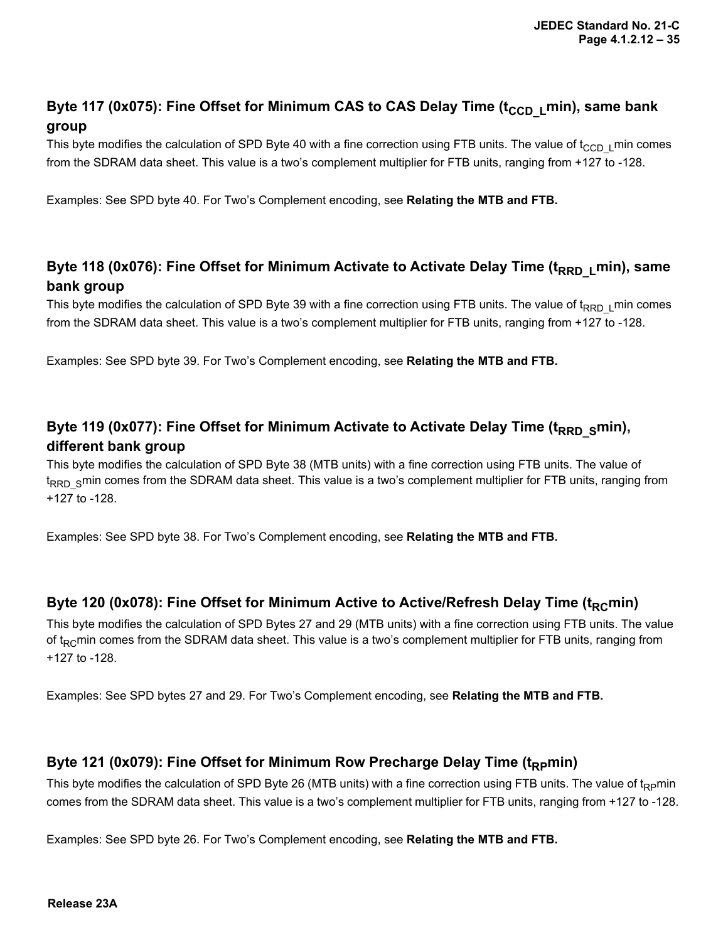## Byte 117 (0x075): Fine Offset for Minimum CAS to CAS Delay Time (t<sub>CCD\_L</sub>min), same bank **group**

This byte modifies the calculation of SPD Byte 40 with a fine correction using FTB units. The value of  $t_{CCD\perp}$  min comes from the SDRAM data sheet. This value is a two's complement multiplier for FTB units, ranging from +127 to -128.

Examples: See SPD byte 40. For Two's Complement encoding, see **Relating the MTB and FTB.**

### Byte 118 (0x076): Fine Offset for Minimum Activate to Activate Delay Time (t<sub>RRD L</sub>min), same **bank group**

This byte modifies the calculation of SPD Byte 39 with a fine correction using FTB units. The value of  $t_{RRD_L}$ min comes from the SDRAM data sheet. This value is a two's complement multiplier for FTB units, ranging from +127 to -128.

Examples: See SPD byte 39. For Two's Complement encoding, see **Relating the MTB and FTB.**

## Byte 119 (0x077): Fine Offset for Minimum Activate to Activate Delay Time (t<sub>RRD S</sub>min), **different bank group**

This byte modifies the calculation of SPD Byte 38 (MTB units) with a fine correction using FTB units. The value of t<sub>RRD</sub> smin comes from the SDRAM data sheet. This value is a two's complement multiplier for FTB units, ranging from +127 to -128.

Examples: See SPD byte 38. For Two's Complement encoding, see **Relating the MTB and FTB.**

#### Byte 120 (0x078): Fine Offset for Minimum Active to Active/Refresh Delay Time (t<sub>RC</sub>min)

This byte modifies the calculation of SPD Bytes 27 and 29 (MTB units) with a fine correction using FTB units. The value of  $t_{RC}$ min comes from the SDRAM data sheet. This value is a two's complement multiplier for FTB units, ranging from +127 to -128.

Examples: See SPD bytes 27 and 29. For Two's Complement encoding, see **Relating the MTB and FTB.**

#### Byte 121 (0x079): Fine Offset for Minimum Row Precharge Delay Time (t<sub>RP</sub>min)

This byte modifies the calculation of SPD Byte 26 (MTB units) with a fine correction using FTB units. The value of  $t_{Rp}$ min comes from the SDRAM data sheet. This value is a two's complement multiplier for FTB units, ranging from +127 to -128.

Examples: See SPD byte 26. For Two's Complement encoding, see **Relating the MTB and FTB.**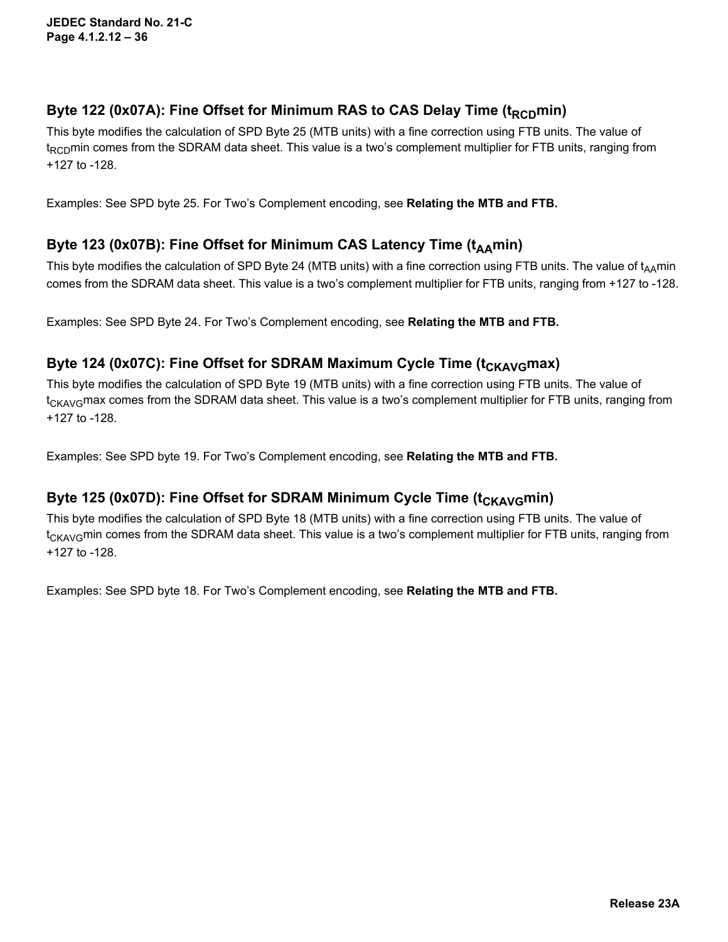### Byte 122 (0x07A): Fine Offset for Minimum RAS to CAS Delay Time (t<sub>RCD</sub>min)

This byte modifies the calculation of SPD Byte 25 (MTB units) with a fine correction using FTB units. The value of  $t_{RCD}$ min comes from the SDRAM data sheet. This value is a two's complement multiplier for FTB units, ranging from +127 to -128.

Examples: See SPD byte 25. For Two's Complement encoding, see **Relating the MTB and FTB.**

### Byte 123 (0x07B): Fine Offset for Minimum CAS Latency Time (t<sub>AA</sub>min)

This byte modifies the calculation of SPD Byte 24 (MTB units) with a fine correction using FTB units. The value of  $t_{A\text{A}}$ min comes from the SDRAM data sheet. This value is a two's complement multiplier for FTB units, ranging from +127 to -128.

Examples: See SPD Byte 24. For Two's Complement encoding, see **Relating the MTB and FTB.**

### Byte 124 (0x07C): Fine Offset for SDRAM Maximum Cycle Time (t<sub>CKAVG</sub>max)

This byte modifies the calculation of SPD Byte 19 (MTB units) with a fine correction using FTB units. The value of  $t_{CKA\vee G}$  max comes from the SDRAM data sheet. This value is a two's complement multiplier for FTB units, ranging from +127 to -128.

Examples: See SPD byte 19. For Two's Complement encoding, see **Relating the MTB and FTB.**

### Byte 125 (0x07D): Fine Offset for SDRAM Minimum Cycle Time (t<sub>CKAVG</sub>min)

This byte modifies the calculation of SPD Byte 18 (MTB units) with a fine correction using FTB units. The value of  $t_{CKA\vee G}$ min comes from the SDRAM data sheet. This value is a two's complement multiplier for FTB units, ranging from +127 to -128.

Examples: See SPD byte 18. For Two's Complement encoding, see **Relating the MTB and FTB.**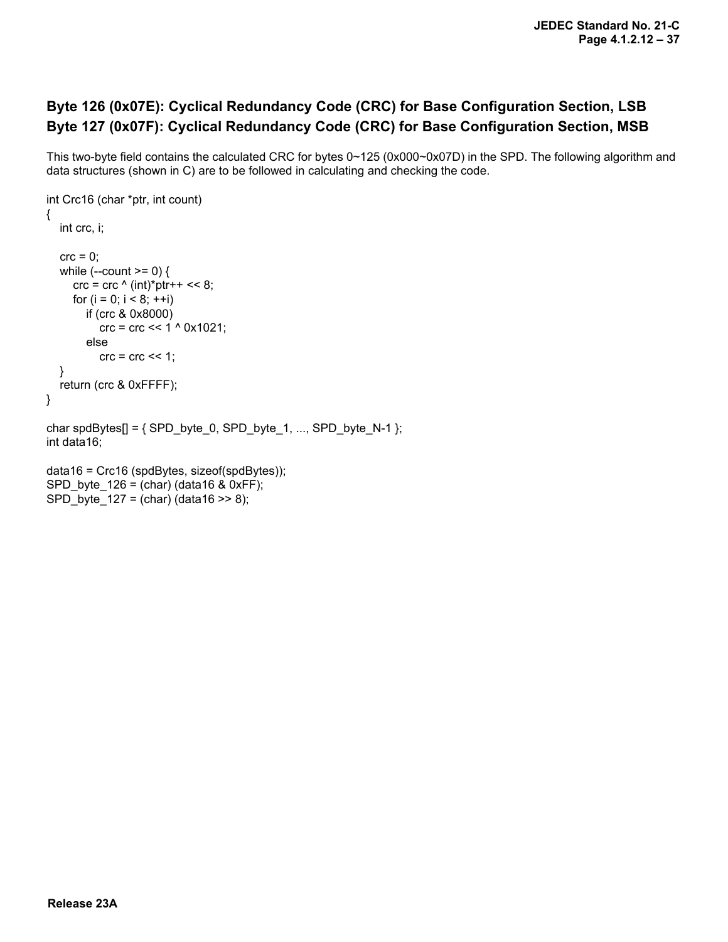## **Byte 126 (0x07E): Cyclical Redundancy Code (CRC) for Base Configuration Section, LSB Byte 127 (0x07F): Cyclical Redundancy Code (CRC) for Base Configuration Section, MSB**

This two-byte field contains the calculated CRC for bytes 0~125 (0x000~0x07D) in the SPD. The following algorithm and data structures (shown in C) are to be followed in calculating and checking the code.

```
int Crc16 (char *ptr, int count)
{
    int crc, i;
   \text{crc} = 0;
   while (-\text{count} >= 0) {
      \text{crc} = \text{crc} \wedge (\text{int})^* \text{ptr++} << 8;for (i = 0; i < 8; ++i) if (crc & 0x8000)
             crc = crc << 1 ^ 0x1021;
          else
            \text{crc} = \text{crc} \ll 1;
    }
    return (crc & 0xFFFF);
}
char spdBytes[] = { SPD_byte_0, SPD_byte_1, ..., SPD_byte_N-1 };
int data16;
```

```
data16 = Crc16 (spdBytes, sizeof(spdBytes));
SPD byte 126 = (char) (data16 & 0xFF);
SPD byte 127 = (char) (data16 >> 8);
```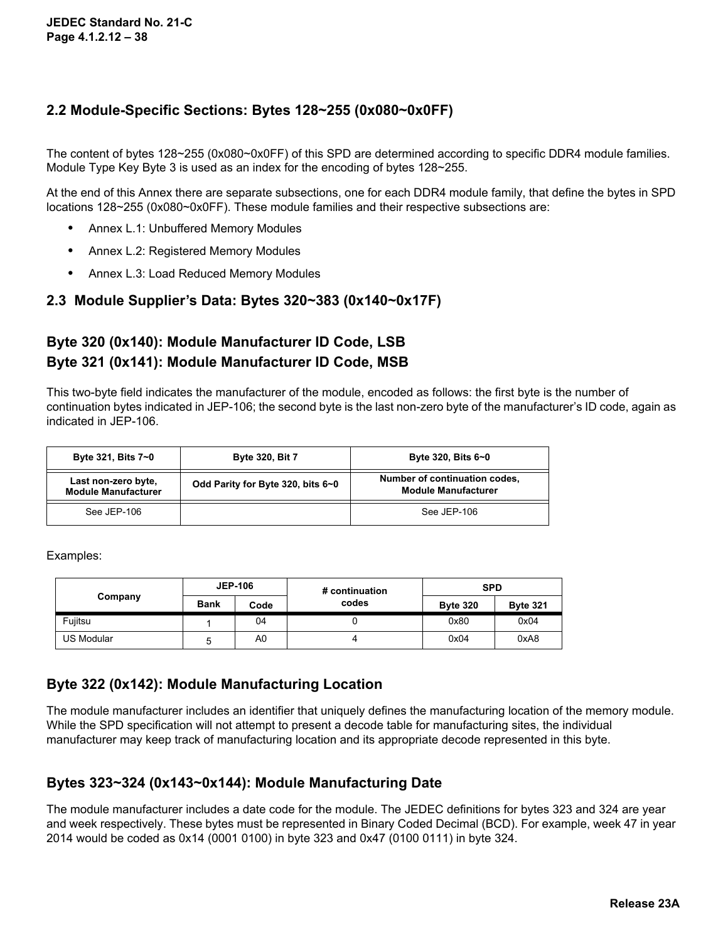### **2.2 Module-Specific Sections: Bytes 128~255 (0x080~0x0FF)**

The content of bytes 128~255 (0x080~0x0FF) of this SPD are determined according to specific DDR4 module families. Module Type Key Byte 3 is used as an index for the encoding of bytes 128~255.

At the end of this Annex there are separate subsections, one for each DDR4 module family, that define the bytes in SPD locations 128~255 (0x080~0x0FF). These module families and their respective subsections are:

- **•** Annex L.1: Unbuffered Memory Modules
- **•** Annex L.2: Registered Memory Modules
- **•** Annex L.3: Load Reduced Memory Modules

#### **2.3 Module Supplier's Data: Bytes 320~383 (0x140~0x17F)**

## **Byte 320 (0x140): Module Manufacturer ID Code, LSB Byte 321 (0x141): Module Manufacturer ID Code, MSB**

This two-byte field indicates the manufacturer of the module, encoded as follows: the first byte is the number of continuation bytes indicated in JEP-106; the second byte is the last non-zero byte of the manufacturer's ID code, again as indicated in JEP-106.

| Byte 321, Bits 7~0                                | <b>Byte 320, Bit 7</b>            | Byte 320, Bits 6~0                                          |
|---------------------------------------------------|-----------------------------------|-------------------------------------------------------------|
| Last non-zero byte,<br><b>Module Manufacturer</b> | Odd Parity for Byte 320, bits 6~0 | Number of continuation codes,<br><b>Module Manufacturer</b> |
| See JEP-106                                       |                                   | See JEP-106                                                 |

Examples:

|            |             | <b>JEP-106</b> | # continuation | <b>SPD</b>      |                 |  |  |
|------------|-------------|----------------|----------------|-----------------|-----------------|--|--|
| Company    | <b>Bank</b> | Code           | codes          | <b>Byte 320</b> | <b>Byte 321</b> |  |  |
| Fujitsu    |             | 04             |                | 0x80            | 0x04            |  |  |
| US Modular | ∽           | A0             |                | 0x04            | 0xA8            |  |  |

### **Byte 322 (0x142): Module Manufacturing Location**

The module manufacturer includes an identifier that uniquely defines the manufacturing location of the memory module. While the SPD specification will not attempt to present a decode table for manufacturing sites, the individual manufacturer may keep track of manufacturing location and its appropriate decode represented in this byte.

#### **Bytes 323~324 (0x143~0x144): Module Manufacturing Date**

The module manufacturer includes a date code for the module. The JEDEC definitions for bytes 323 and 324 are year and week respectively. These bytes must be represented in Binary Coded Decimal (BCD). For example, week 47 in year 2014 would be coded as 0x14 (0001 0100) in byte 323 and 0x47 (0100 0111) in byte 324.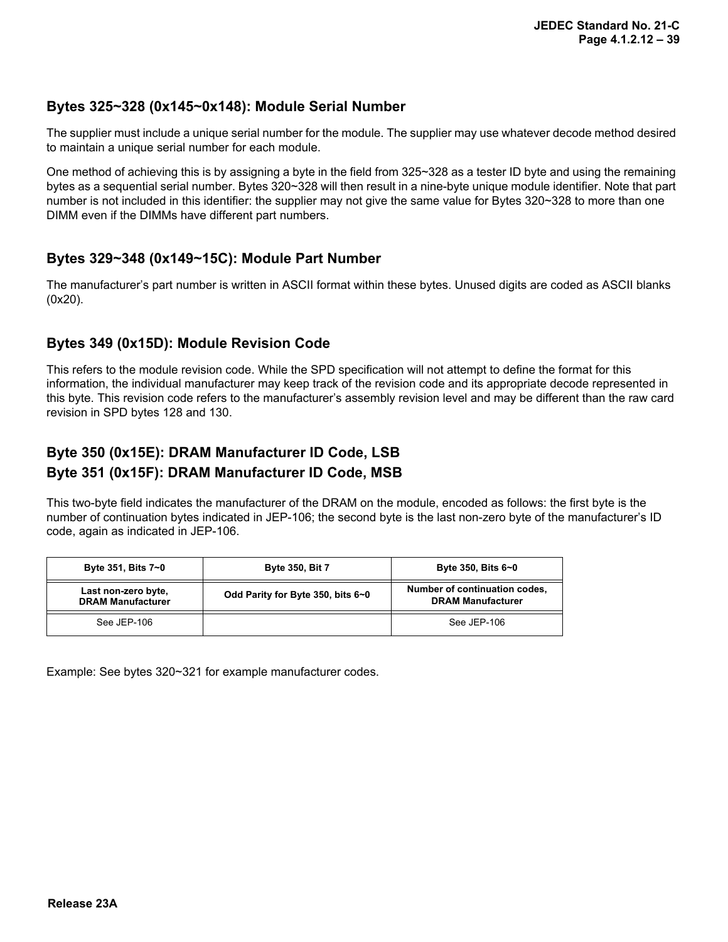#### **Bytes 325~328 (0x145~0x148): Module Serial Number**

The supplier must include a unique serial number for the module. The supplier may use whatever decode method desired to maintain a unique serial number for each module.

One method of achieving this is by assigning a byte in the field from 325~328 as a tester ID byte and using the remaining bytes as a sequential serial number. Bytes 320~328 will then result in a nine-byte unique module identifier. Note that part number is not included in this identifier: the supplier may not give the same value for Bytes 320~328 to more than one DIMM even if the DIMMs have different part numbers.

#### **Bytes 329~348 (0x149~15C): Module Part Number**

The manufacturer's part number is written in ASCII format within these bytes. Unused digits are coded as ASCII blanks (0x20).

#### **Bytes 349 (0x15D): Module Revision Code**

This refers to the module revision code. While the SPD specification will not attempt to define the format for this information, the individual manufacturer may keep track of the revision code and its appropriate decode represented in this byte. This revision code refers to the manufacturer's assembly revision level and may be different than the raw card revision in SPD bytes 128 and 130.

## **Byte 350 (0x15E): DRAM Manufacturer ID Code, LSB Byte 351 (0x15F): DRAM Manufacturer ID Code, MSB**

This two-byte field indicates the manufacturer of the DRAM on the module, encoded as follows: the first byte is the number of continuation bytes indicated in JEP-106; the second byte is the last non-zero byte of the manufacturer's ID code, again as indicated in JEP-106.

| Byte 351, Bits 7~0                              | <b>Byte 350, Bit 7</b>            | Byte 350, Bits 6~0                                        |
|-------------------------------------------------|-----------------------------------|-----------------------------------------------------------|
| Last non-zero byte,<br><b>DRAM Manufacturer</b> | Odd Parity for Byte 350, bits 6~0 | Number of continuation codes,<br><b>DRAM Manufacturer</b> |
| See JEP-106                                     |                                   | See JEP-106                                               |

Example: See bytes 320~321 for example manufacturer codes.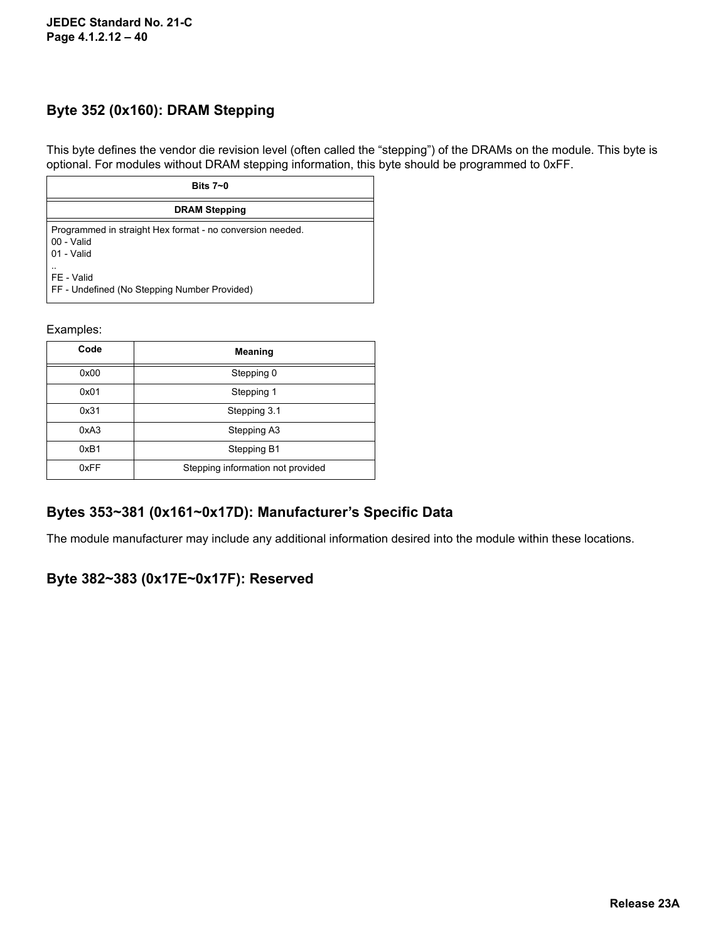### **Byte 352 (0x160): DRAM Stepping**

This byte defines the vendor die revision level (often called the "stepping") of the DRAMs on the module. This byte is optional. For modules without DRAM stepping information, this byte should be programmed to 0xFF.

| Bits $7 - 0$                                                                          |
|---------------------------------------------------------------------------------------|
| <b>DRAM Stepping</b>                                                                  |
| Programmed in straight Hex format - no conversion needed.<br>00 - Valid<br>01 - Valid |
| $\cdot$ .<br>FE - Valid<br>FF - Undefined (No Stepping Number Provided)               |

#### Examples:

| Code | Meaning                           |
|------|-----------------------------------|
| 0x00 | Stepping 0                        |
| 0x01 | Stepping 1                        |
| 0x31 | Stepping 3.1                      |
| 0xA3 | Stepping A3                       |
| 0xB1 | Stepping B1                       |
| 0xFF | Stepping information not provided |

### **Bytes 353~381 (0x161~0x17D): Manufacturer's Specific Data**

The module manufacturer may include any additional information desired into the module within these locations.

#### **Byte 382~383 (0x17E~0x17F): Reserved**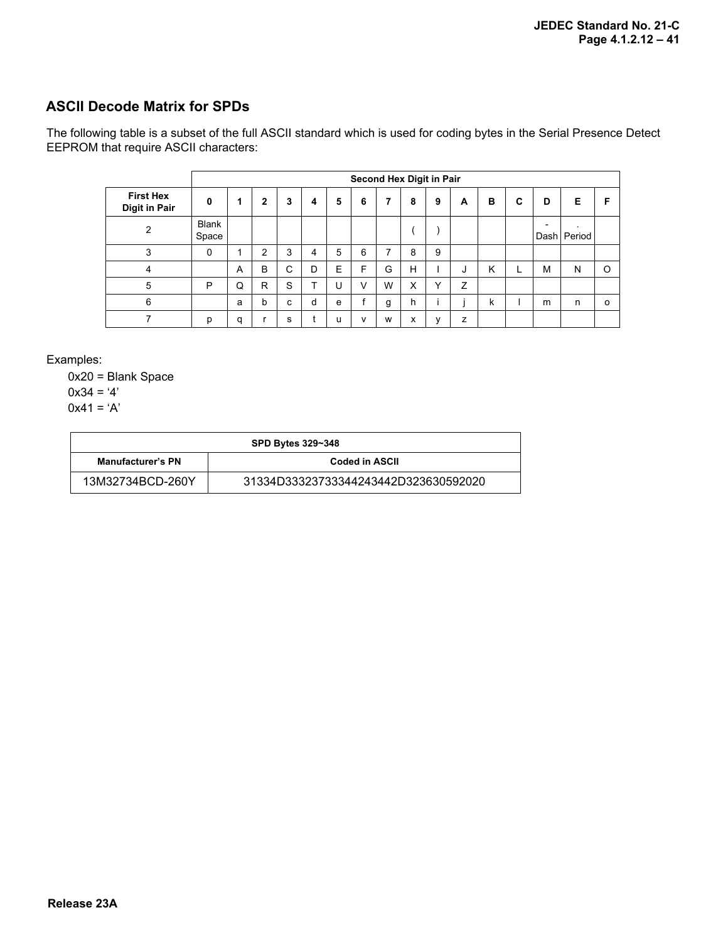### **ASCII Decode Matrix for SPDs**

The following table is a subset of the full ASCII standard which is used for coding bytes in the Serial Presence Detect EEPROM that require ASCII characters:

|                                          |                       | Second Hex Digit in Pair |   |   |   |   |        |   |   |   |   |   |   |      |                   |          |
|------------------------------------------|-----------------------|--------------------------|---|---|---|---|--------|---|---|---|---|---|---|------|-------------------|----------|
| <b>First Hex</b><br><b>Digit in Pair</b> | $\mathbf{0}$          | 1                        | 2 | 3 | 4 | 5 | 6      | 7 | 8 | 9 | A | в | C | D    | Е                 | F        |
| $\overline{2}$                           | <b>Blank</b><br>Space |                          |   |   |   |   |        |   |   |   |   |   |   | Dash | $\cdot$<br>Period |          |
| 3                                        | $\Omega$              |                          | 2 | 3 | 4 | 5 | 6      | 7 | 8 | 9 |   |   |   |      |                   |          |
| 4                                        |                       | A                        | B | C | D | E | F      | G | H |   | J | K |   | M    | N                 | $\Omega$ |
| 5                                        | P                     | Q                        | R | S | ᠇ | U | $\vee$ | W | X | Υ | Z |   |   |      |                   |          |
| 6                                        |                       | a                        | b | C | d | e |        | g | h |   |   | k |   | m    | n                 | 0        |
| 7                                        | р                     | a                        |   | s |   | u | v      | W | x | v | z |   |   |      |                   |          |

Examples:

0x20 = Blank Space

 $0x34 = '4'$ 

 $0x41 = 'A'$ 

| <b>SPD Bytes 329~348</b>                   |                                      |  |
|--------------------------------------------|--------------------------------------|--|
| <b>Manufacturer's PN</b><br>Coded in ASCII |                                      |  |
| 13M32734BCD-260Y                           | 31334D33323733344243442D323630592020 |  |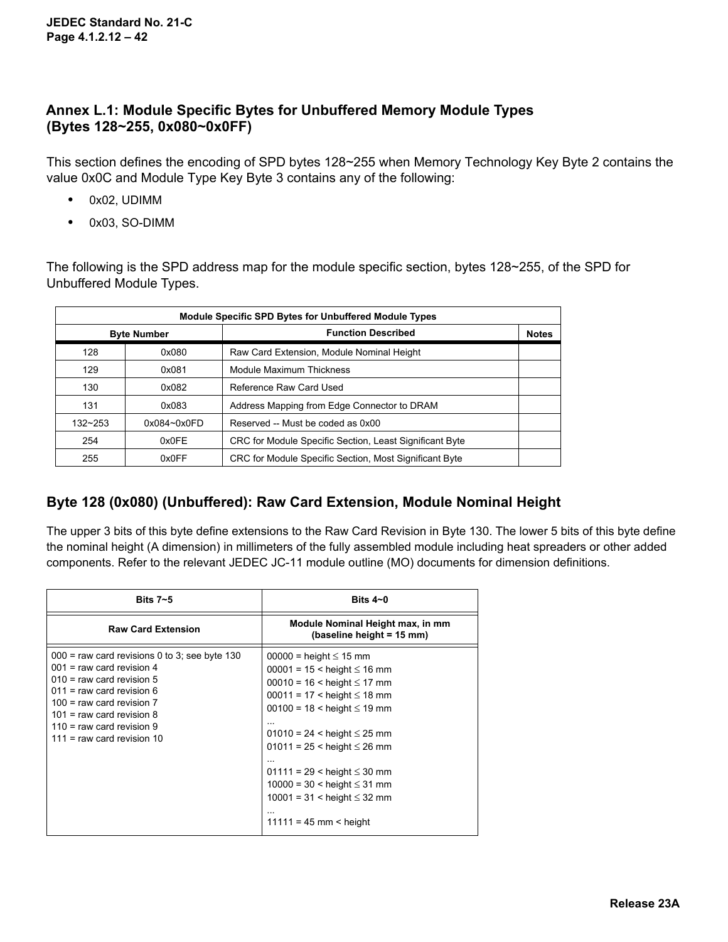### **Annex L.1: Module Specific Bytes for Unbuffered Memory Module Types (Bytes 128~255, 0x080~0x0FF)**

This section defines the encoding of SPD bytes 128~255 when Memory Technology Key Byte 2 contains the value 0x0C and Module Type Key Byte 3 contains any of the following:

- **•** 0x02, UDIMM
- **•** 0x03, SO-DIMM

The following is the SPD address map for the module specific section, bytes 128~255, of the SPD for Unbuffered Module Types.

| <b>Module Specific SPD Bytes for Unbuffered Module Types</b> |                 |                                                         |              |
|--------------------------------------------------------------|-----------------|---------------------------------------------------------|--------------|
| <b>Byte Number</b>                                           |                 | <b>Function Described</b>                               | <b>Notes</b> |
| 128                                                          | 0x080           | Raw Card Extension, Module Nominal Height               |              |
| 129                                                          | 0x081           | Module Maximum Thickness                                |              |
| 130                                                          | 0x082           | Reference Raw Card Used                                 |              |
| 131                                                          | 0x083           | Address Mapping from Edge Connector to DRAM             |              |
| $132 - 253$                                                  | $0x084 - 0x0FD$ | Reserved -- Must be coded as 0x00                       |              |
| 254                                                          | 0x0FE           | CRC for Module Specific Section, Least Significant Byte |              |
| 255                                                          | 0x0FF           | CRC for Module Specific Section, Most Significant Byte  |              |

### **Byte 128 (0x080) (Unbuffered): Raw Card Extension, Module Nominal Height**

The upper 3 bits of this byte define extensions to the Raw Card Revision in Byte 130. The lower 5 bits of this byte define the nominal height (A dimension) in millimeters of the fully assembled module including heat spreaders or other added components. Refer to the relevant JEDEC JC-11 module outline (MO) documents for dimension definitions.

| Bits $7 - 5$                                                                                                                                                                                                                                                                | Bits $4\neg$ 0                                                                                                                                                                                                                                                                                                                                                                                                  |
|-----------------------------------------------------------------------------------------------------------------------------------------------------------------------------------------------------------------------------------------------------------------------------|-----------------------------------------------------------------------------------------------------------------------------------------------------------------------------------------------------------------------------------------------------------------------------------------------------------------------------------------------------------------------------------------------------------------|
| <b>Raw Card Extension</b>                                                                                                                                                                                                                                                   | Module Nominal Height max, in mm<br>(baseline height = 15 mm)                                                                                                                                                                                                                                                                                                                                                   |
| $000$ = raw card revisions 0 to 3; see byte 130<br>$001$ = raw card revision 4<br>$010$ = raw card revision 5<br>$011$ = raw card revision 6<br>$100 =$ raw card revision $7$<br>$101$ = raw card revision 8<br>$110$ = raw card revision 9<br>$111$ = raw card revision 10 | $00000 =$ height $\leq 15$ mm<br>$00001 = 15 <$ height $\leq 16$ mm<br>$00010 = 16 <$ height $\leq 17$ mm<br>$00011 = 17 <$ height $\leq 18$ mm<br>$00100 = 18 <$ height $\leq 19$ mm<br>$01010 = 24 <$ height $\leq 25$ mm<br>$01011 = 25$ < height $\leq 26$ mm<br>$01111 = 29$ < height $\leq 30$ mm<br>$10000 = 30 <$ height $\leq 31$ mm<br>$10001 = 31 <$ height $\leq 32$ mm<br>$11111 = 45$ mm < height |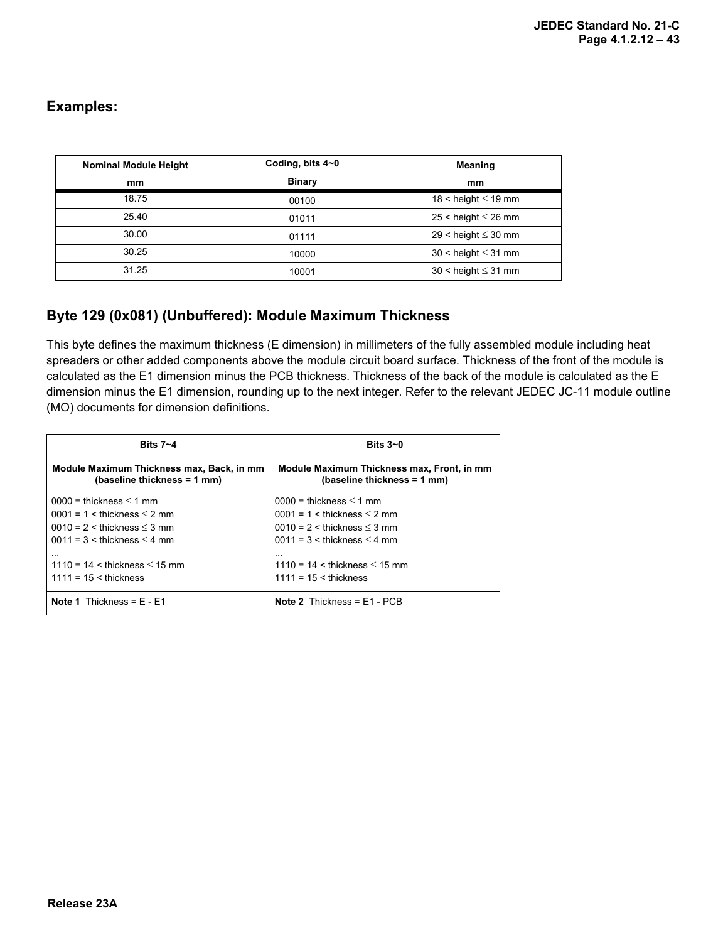### **Examples:**

| <b>Nominal Module Height</b> | Coding, bits 4~0 | <b>Meaning</b>             |
|------------------------------|------------------|----------------------------|
| mm                           | <b>Binary</b>    | mm                         |
| 18.75                        | 00100            | 18 < height $\leq$ 19 mm   |
| 25.40                        | 01011            | $25 <$ height $\leq 26$ mm |
| 30.00                        | 01111            | 29 < height $\leq$ 30 mm   |
| 30.25                        | 10000            | $30 <$ height $\leq 31$ mm |
| 31.25                        | 10001            | $30 <$ height $\leq 31$ mm |

#### **Byte 129 (0x081) (Unbuffered): Module Maximum Thickness**

This byte defines the maximum thickness (E dimension) in millimeters of the fully assembled module including heat spreaders or other added components above the module circuit board surface. Thickness of the front of the module is calculated as the E1 dimension minus the PCB thickness. Thickness of the back of the module is calculated as the E dimension minus the E1 dimension, rounding up to the next integer. Refer to the relevant JEDEC JC-11 module outline (MO) documents for dimension definitions.

| Bits $7 - 4$                              | Bits $3-0$                                 |  |
|-------------------------------------------|--------------------------------------------|--|
| Module Maximum Thickness max, Back, in mm | Module Maximum Thickness max, Front, in mm |  |
| (baseline thickness = 1 mm)               | (baseline thickness = 1 mm)                |  |
| $0000 =$ thickness $\leq 1$ mm            | $0000 =$ thickness $\leq 1$ mm             |  |
| $0001 = 1 \leq$ thickness $\leq$ 2 mm     | $0001 = 1 <$ thickness $\leq$ 2 mm         |  |
| $0010 = 2$ < thickness $\leq 3$ mm        | $0010 = 2 <$ thickness $\leq$ 3 mm         |  |
| $0011 = 3$ < thickness $\leq 4$ mm        | $0011 = 3$ < thickness $\leq 4$ mm         |  |
| $\cdots$                                  | $\cdots$                                   |  |
| $1110 = 14 <$ thickness $\leq 15$ mm      | $1110 = 14 <$ thickness $\leq 15$ mm       |  |
| $1111 = 15 \leq$ thickness                | $1111 = 15 \leq$ thickness                 |  |
| <b>Note 1</b> Thickness = $E - E1$        | <b>Note 2</b> Thickness = $E1 - PCB$       |  |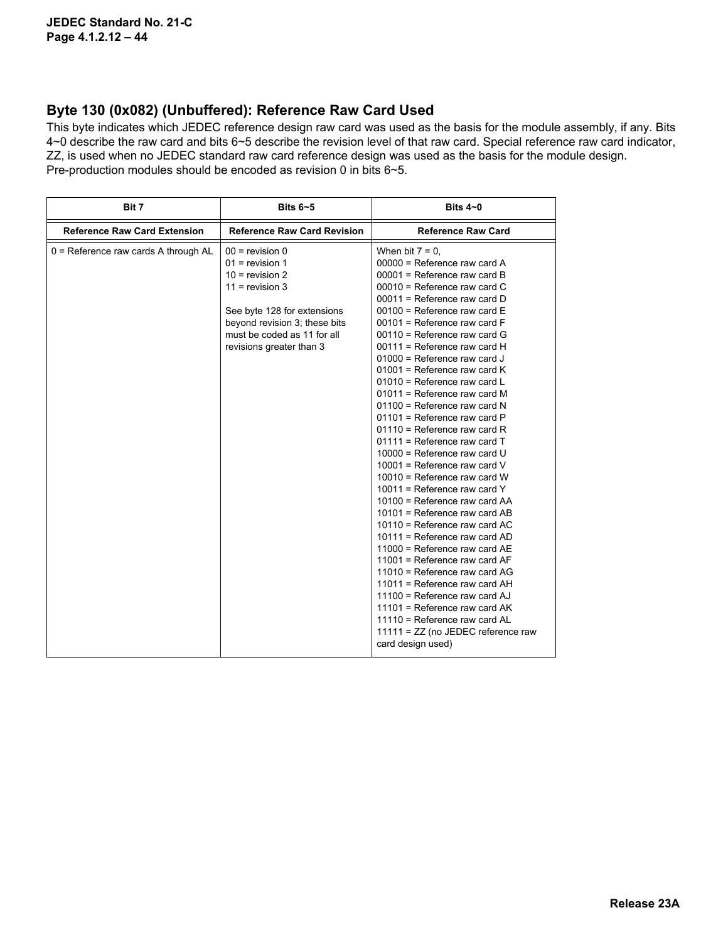#### **Byte 130 (0x082) (Unbuffered): Reference Raw Card Used**

This byte indicates which JEDEC reference design raw card was used as the basis for the module assembly, if any. Bits 4~0 describe the raw card and bits 6~5 describe the revision level of that raw card. Special reference raw card indicator, ZZ, is used when no JEDEC standard raw card reference design was used as the basis for the module design. Pre-production modules should be encoded as revision 0 in bits 6~5.

| Bit 7                                  | Bits $6 - 5$                                                                                                                                                                                                | Bits $4-0$                                                                                                                                                                                                                                                                                                                                                                                                                                                                                                                                                                                                                                                                                                                                                                                                                                                                                                                                                                                                                                                                                                                                                                   |
|----------------------------------------|-------------------------------------------------------------------------------------------------------------------------------------------------------------------------------------------------------------|------------------------------------------------------------------------------------------------------------------------------------------------------------------------------------------------------------------------------------------------------------------------------------------------------------------------------------------------------------------------------------------------------------------------------------------------------------------------------------------------------------------------------------------------------------------------------------------------------------------------------------------------------------------------------------------------------------------------------------------------------------------------------------------------------------------------------------------------------------------------------------------------------------------------------------------------------------------------------------------------------------------------------------------------------------------------------------------------------------------------------------------------------------------------------|
| <b>Reference Raw Card Extension</b>    | <b>Reference Raw Card Revision</b>                                                                                                                                                                          | <b>Reference Raw Card</b>                                                                                                                                                                                                                                                                                                                                                                                                                                                                                                                                                                                                                                                                                                                                                                                                                                                                                                                                                                                                                                                                                                                                                    |
| $0$ = Reference raw cards A through AL | $00 =$ revision 0<br>$01$ = revision 1<br>$10 =$ revision 2<br>$11 =$ revision 3<br>See byte 128 for extensions<br>beyond revision 3; these bits<br>must be coded as 11 for all<br>revisions greater than 3 | When bit $7 = 0$ ,<br>$00000$ = Reference raw card A<br>$00001$ = Reference raw card B<br>$00010$ = Reference raw card C<br>$00011$ = Reference raw card D<br>$00100$ = Reference raw card E<br>$00101$ = Reference raw card F<br>$00110$ = Reference raw card G<br>$00111$ = Reference raw card H<br>$01000$ = Reference raw card J<br>$01001$ = Reference raw card K<br>01010 = Reference raw card L<br>$01011$ = Reference raw card M<br>$01100$ = Reference raw card N<br>$01101$ = Reference raw card P<br>$01110$ = Reference raw card R<br>$01111$ = Reference raw card T<br>$10000$ = Reference raw card U<br>10001 = Reference raw card V<br>$10010$ = Reference raw card W<br>10011 = Reference raw card $Y$<br>10100 = Reference raw card AA<br>$10101$ = Reference raw card AB<br>10110 = Reference raw card AC<br>$10111$ = Reference raw card AD<br>$11000$ = Reference raw card AE<br>$11001$ = Reference raw card AF<br>$11010$ = Reference raw card AG<br>$11011$ = Reference raw card AH<br>$11100$ = Reference raw card AJ<br>11101 = Reference raw card $AK$<br>11110 = Reference raw card AL<br>11111 = ZZ (no JEDEC reference raw<br>card design used) |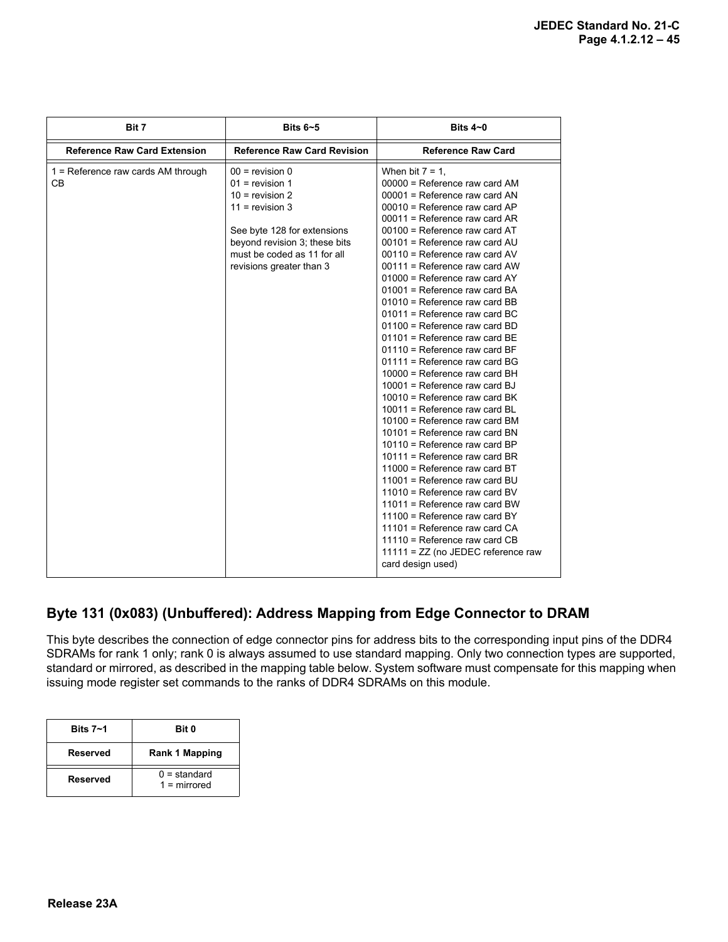| Bit 7                                      | Bits $6 - 5$                                                                                                                                                                                                | Bits $4\neg$ 0                                                                                                                                                                                                                                                                                                                                                                                                                                                                                                                                                                                                                                                                                                                                                                                                                                                                                                                                                                                                                                                                                                                                                           |
|--------------------------------------------|-------------------------------------------------------------------------------------------------------------------------------------------------------------------------------------------------------------|--------------------------------------------------------------------------------------------------------------------------------------------------------------------------------------------------------------------------------------------------------------------------------------------------------------------------------------------------------------------------------------------------------------------------------------------------------------------------------------------------------------------------------------------------------------------------------------------------------------------------------------------------------------------------------------------------------------------------------------------------------------------------------------------------------------------------------------------------------------------------------------------------------------------------------------------------------------------------------------------------------------------------------------------------------------------------------------------------------------------------------------------------------------------------|
| <b>Reference Raw Card Extension</b>        | <b>Reference Raw Card Revision</b>                                                                                                                                                                          | <b>Reference Raw Card</b>                                                                                                                                                                                                                                                                                                                                                                                                                                                                                                                                                                                                                                                                                                                                                                                                                                                                                                                                                                                                                                                                                                                                                |
| $1 =$ Reference raw cards AM through<br>CВ | $00 =$ revision 0<br>$01$ = revision 1<br>$10 =$ revision 2<br>$11 =$ revision 3<br>See byte 128 for extensions<br>beyond revision 3; these bits<br>must be coded as 11 for all<br>revisions greater than 3 | When bit $7 = 1$ ,<br>00000 = Reference raw card AM<br>00001 = Reference raw card AN<br>$00010$ = Reference raw card AP<br>$00011$ = Reference raw card AR<br>00100 = Reference raw card AT<br>00101 = Reference raw card AU<br>$00110$ = Reference raw card AV<br>00111 = Reference raw card AW<br>01000 = Reference raw card AY<br>01001 = Reference raw card BA<br>01010 = Reference raw card BB<br>01011 = Reference raw card BC<br>01100 = Reference raw card BD<br>$01101$ = Reference raw card BE<br>$01110$ = Reference raw card BF<br>$01111$ = Reference raw card BG<br>10000 = Reference raw card BH<br>$10001$ = Reference raw card BJ<br>$10010$ = Reference raw card BK<br>$10011$ = Reference raw card BL<br>10100 = Reference raw card BM<br>10101 = Reference raw card BN<br>10110 = Reference raw card BP<br>10111 = Reference raw card BR<br>11000 = Reference raw card BT<br>11001 = Reference raw card BU<br>$11010$ = Reference raw card BV<br>$11011$ = Reference raw card BW<br>$11100$ = Reference raw card BY<br>$11101$ = Reference raw card CA<br>$11110$ = Reference raw card CB<br>11111 = ZZ (no JEDEC reference raw<br>card design used) |

## **Byte 131 (0x083) (Unbuffered): Address Mapping from Edge Connector to DRAM**

This byte describes the connection of edge connector pins for address bits to the corresponding input pins of the DDR4 SDRAMs for rank 1 only; rank 0 is always assumed to use standard mapping. Only two connection types are supported, standard or mirrored, as described in the mapping table below. System software must compensate for this mapping when issuing mode register set commands to the ranks of DDR4 SDRAMs on this module.

| Bits $7 - 1$ | Bit 0                            |
|--------------|----------------------------------|
| Reserved     | Rank 1 Mapping                   |
| Reserved     | $0 =$ standard<br>$1 =$ mirrored |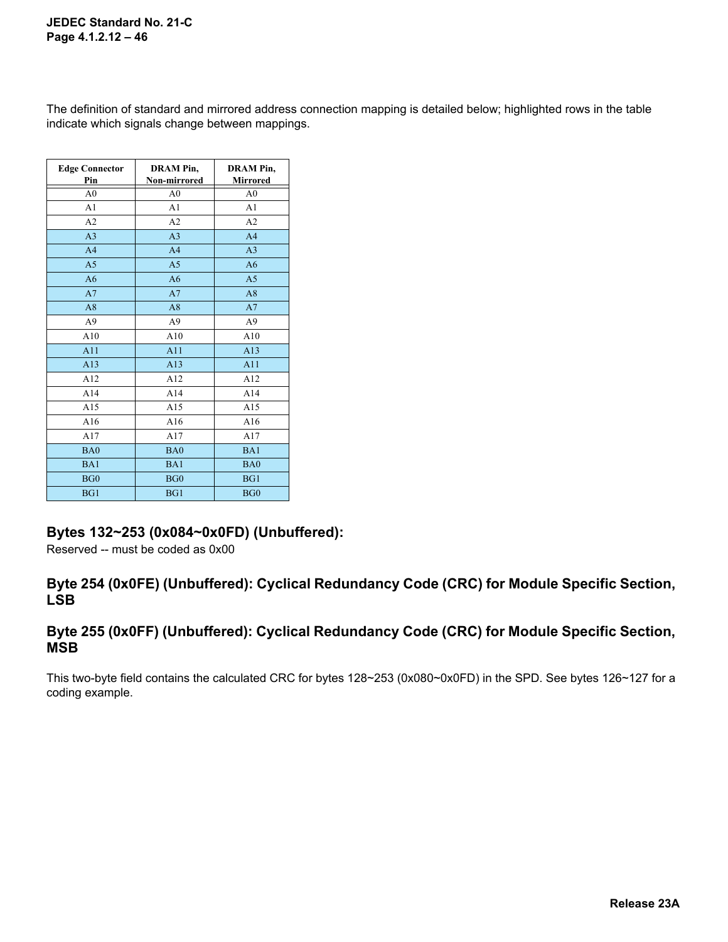The definition of standard and mirrored address connection mapping is detailed below; highlighted rows in the table indicate which signals change between mappings.

| <b>Edge Connector</b><br>Pin | <b>DRAM Pin,</b><br>Non-mirrored | <b>DRAM Pin,</b><br><b>Mirrored</b> |
|------------------------------|----------------------------------|-------------------------------------|
| A <sub>0</sub>               | A <sub>0</sub>                   | A <sub>0</sub>                      |
| A <sub>1</sub>               | A <sub>1</sub>                   | A <sub>1</sub>                      |
| A <sub>2</sub>               | A2                               | A2                                  |
| A <sub>3</sub>               | A <sub>3</sub>                   | A <sub>4</sub>                      |
| A <sub>4</sub>               | A <sub>4</sub>                   | A <sub>3</sub>                      |
| A <sub>5</sub>               | A <sub>5</sub>                   | A6                                  |
| A6                           | A6                               | A <sub>5</sub>                      |
| A7                           | A7                               | A8                                  |
| A8                           | A8                               | A7                                  |
| A <sup>9</sup>               | A <sup>9</sup>                   | A <sup>9</sup>                      |
| A10                          | A10                              | A10                                 |
| A11                          | A11                              | A13                                 |
| A13                          | A13                              | A11                                 |
| A12                          | A12                              | A12                                 |
| A14                          | A14                              | A14                                 |
| A15                          | A15                              | A15                                 |
| A16                          | A16                              | A16                                 |
| A17                          | A17                              | A17                                 |
| BA0                          | BA0                              | BA1                                 |
| BA1                          | BA1                              | BA0                                 |
| BG0                          | BG0                              | BG1                                 |
| BG1                          | BG1                              | BG0                                 |

#### **Bytes 132~253 (0x084~0x0FD) (Unbuffered):**

Reserved -- must be coded as 0x00

#### **Byte 254 (0x0FE) (Unbuffered): Cyclical Redundancy Code (CRC) for Module Specific Section, LSB**

#### **Byte 255 (0x0FF) (Unbuffered): Cyclical Redundancy Code (CRC) for Module Specific Section, MSB**

This two-byte field contains the calculated CRC for bytes 128~253 (0x080~0x0FD) in the SPD. See bytes 126~127 for a coding example.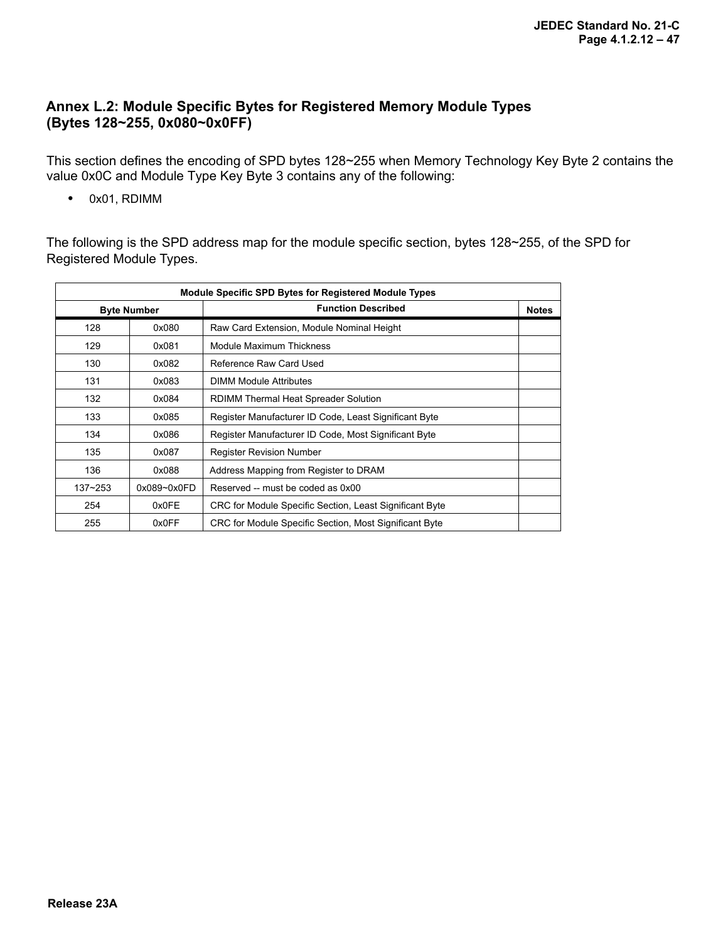### **Annex L.2: Module Specific Bytes for Registered Memory Module Types (Bytes 128~255, 0x080~0x0FF)**

This section defines the encoding of SPD bytes 128~255 when Memory Technology Key Byte 2 contains the value 0x0C and Module Type Key Byte 3 contains any of the following:

**•** 0x01, RDIMM

The following is the SPD address map for the module specific section, bytes 128~255, of the SPD for Registered Module Types.

| <b>Module Specific SPD Bytes for Registered Module Types</b> |                    |                                                         |              |
|--------------------------------------------------------------|--------------------|---------------------------------------------------------|--------------|
|                                                              | <b>Byte Number</b> | <b>Function Described</b>                               | <b>Notes</b> |
| 128                                                          | 0x080              | Raw Card Extension, Module Nominal Height               |              |
| 129                                                          | 0x081              | Module Maximum Thickness                                |              |
| 130                                                          | 0x082              | Reference Raw Card Used                                 |              |
| 131                                                          | 0x083              | <b>DIMM Module Attributes</b>                           |              |
| 132                                                          | 0x084              | RDIMM Thermal Heat Spreader Solution                    |              |
| 133                                                          | 0x085              | Register Manufacturer ID Code, Least Significant Byte   |              |
| 134                                                          | 0x086              | Register Manufacturer ID Code, Most Significant Byte    |              |
| 135                                                          | 0x087              | <b>Register Revision Number</b>                         |              |
| 136                                                          | 0x088              | Address Mapping from Register to DRAM                   |              |
| $137 - 253$                                                  | $0x089 - 0x0FD$    | Reserved -- must be coded as 0x00                       |              |
| 254                                                          | 0x0FE              | CRC for Module Specific Section, Least Significant Byte |              |
| 255                                                          | 0x0FF              | CRC for Module Specific Section, Most Significant Byte  |              |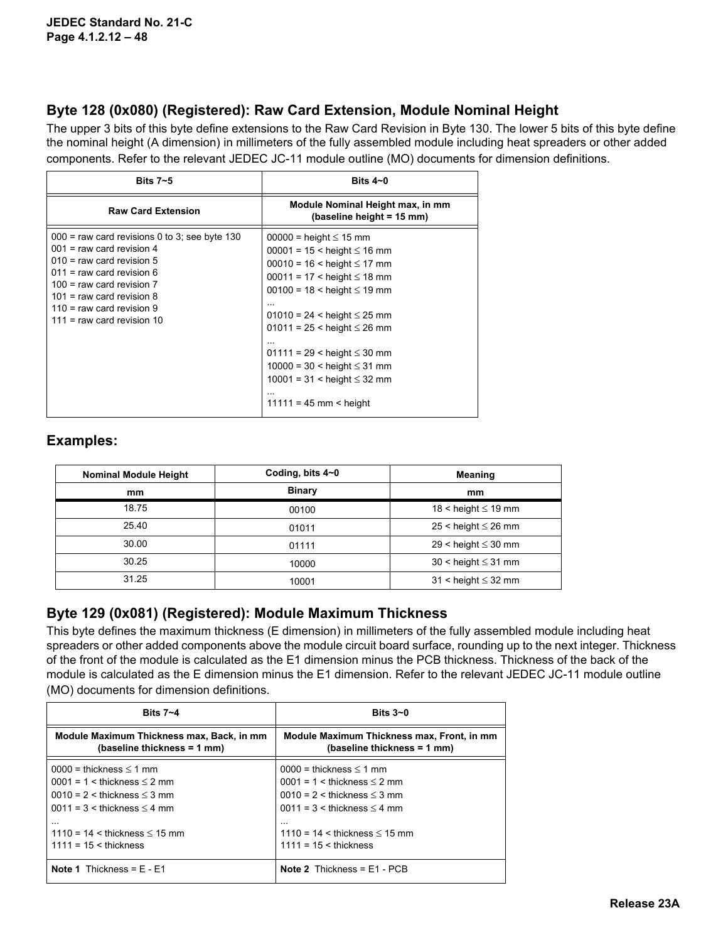### **Byte 128 (0x080) (Registered): Raw Card Extension, Module Nominal Height**

The upper 3 bits of this byte define extensions to the Raw Card Revision in Byte 130. The lower 5 bits of this byte define the nominal height (A dimension) in millimeters of the fully assembled module including heat spreaders or other added components. Refer to the relevant JEDEC JC-11 module outline (MO) documents for dimension definitions.

| Bits $7 - 5$                                                                                                                                                                                                                                                                | Bits $4\neg$ 0                                                                                                                                                                                                                                                                                                                                                                                                  |
|-----------------------------------------------------------------------------------------------------------------------------------------------------------------------------------------------------------------------------------------------------------------------------|-----------------------------------------------------------------------------------------------------------------------------------------------------------------------------------------------------------------------------------------------------------------------------------------------------------------------------------------------------------------------------------------------------------------|
| <b>Raw Card Extension</b>                                                                                                                                                                                                                                                   | Module Nominal Height max, in mm<br>(baseline height = 15 mm)                                                                                                                                                                                                                                                                                                                                                   |
| $000$ = raw card revisions 0 to 3; see byte 130<br>$001$ = raw card revision 4<br>$010$ = raw card revision 5<br>$011$ = raw card revision 6<br>$100 =$ raw card revision $7$<br>$101$ = raw card revision 8<br>$110$ = raw card revision 9<br>$111$ = raw card revision 10 | $00000 =$ height $\leq 15$ mm<br>$00001 = 15 <$ height $\leq 16$ mm<br>$00010 = 16 <$ height $\leq 17$ mm<br>$00011 = 17 <$ height $\leq 18$ mm<br>$00100 = 18 <$ height $\leq 19$ mm<br>$01010 = 24$ < height $\leq 25$ mm<br>$01011 = 25 <$ height $\leq 26$ mm<br>$01111 = 29$ < height $\leq 30$ mm<br>$10000 = 30 <$ height $\leq 31$ mm<br>$10001 = 31$ < height $\leq 32$ mm<br>$11111 = 45$ mm < height |

### **Examples:**

| <b>Nominal Module Height</b> | Coding, bits 4~0 | <b>Meaning</b>             |
|------------------------------|------------------|----------------------------|
| mm                           | <b>Binary</b>    | mm                         |
| 18.75                        | 00100            | 18 < height $\leq$ 19 mm   |
| 25.40                        | 01011            | $25 <$ height $\leq 26$ mm |
| 30.00                        | 01111            | $29$ < height $\leq 30$ mm |
| 30.25                        | 10000            | $30 <$ height $\leq 31$ mm |
| 31.25                        | 10001            | $31 <$ height $\leq 32$ mm |

#### **Byte 129 (0x081) (Registered): Module Maximum Thickness**

This byte defines the maximum thickness (E dimension) in millimeters of the fully assembled module including heat spreaders or other added components above the module circuit board surface, rounding up to the next integer. Thickness of the front of the module is calculated as the E1 dimension minus the PCB thickness. Thickness of the back of the module is calculated as the E dimension minus the E1 dimension. Refer to the relevant JEDEC JC-11 module outline (MO) documents for dimension definitions.

| Bits $7 - 4$                                                             | Bits $3-0$                                                                |  |
|--------------------------------------------------------------------------|---------------------------------------------------------------------------|--|
| Module Maximum Thickness max, Back, in mm<br>(baseline thickness = 1 mm) | Module Maximum Thickness max, Front, in mm<br>(baseline thickness = 1 mm) |  |
| $0000 =$ thickness $\leq 1$ mm                                           | $0000 =$ thickness $\leq 1$ mm                                            |  |
| $0001 = 1 \leq$ thickness $\leq$ 2 mm                                    | $0001 = 1 \leq$ thickness $\leq$ 2 mm                                     |  |
| $0010 = 2 \leq$ thickness $\leq 3$ mm                                    | $0010 = 2 \leq$ thickness $\leq 3$ mm                                     |  |
| $0011 = 3$ < thickness $\leq 4$ mm                                       | $0011 = 3$ < thickness $\leq 4$ mm                                        |  |
| $\cdots$                                                                 | $\cdots$                                                                  |  |
| $1110 = 14 <$ thickness $\leq 15$ mm                                     | $1110 = 14 <$ thickness $\leq 15$ mm                                      |  |
| $1111 = 15 \leq$ thickness                                               | $1111 = 15 <$ thickness                                                   |  |
| <b>Note 1</b> Thickness = $E - E1$                                       | <b>Note 2</b> Thickness = $E1 - PCB$                                      |  |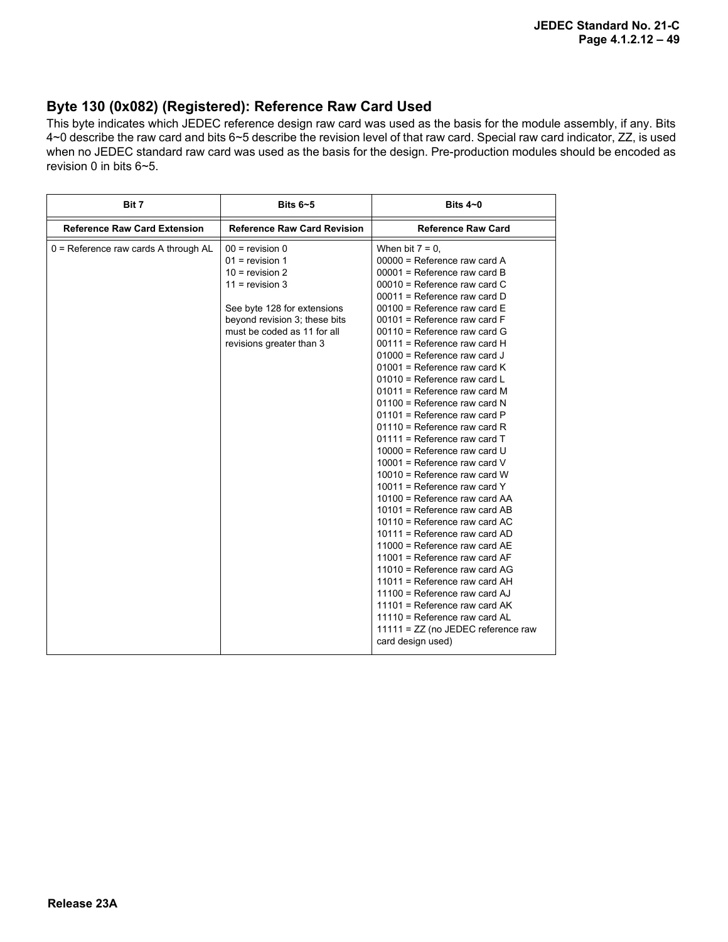#### **Byte 130 (0x082) (Registered): Reference Raw Card Used**

This byte indicates which JEDEC reference design raw card was used as the basis for the module assembly, if any. Bits 4~0 describe the raw card and bits 6~5 describe the revision level of that raw card. Special raw card indicator, ZZ, is used when no JEDEC standard raw card was used as the basis for the design. Pre-production modules should be encoded as revision 0 in bits 6~5.

|                    | Bits $4\neg$ 0                                                                                                                                                                                                                                                                                                                                                                                                                                                                                                                                                                                                                                                                                                                                                                                                                                                                                                                                                                                                                                                                                                            |  |
|--------------------|---------------------------------------------------------------------------------------------------------------------------------------------------------------------------------------------------------------------------------------------------------------------------------------------------------------------------------------------------------------------------------------------------------------------------------------------------------------------------------------------------------------------------------------------------------------------------------------------------------------------------------------------------------------------------------------------------------------------------------------------------------------------------------------------------------------------------------------------------------------------------------------------------------------------------------------------------------------------------------------------------------------------------------------------------------------------------------------------------------------------------|--|
|                    | <b>Reference Raw Card</b>                                                                                                                                                                                                                                                                                                                                                                                                                                                                                                                                                                                                                                                                                                                                                                                                                                                                                                                                                                                                                                                                                                 |  |
| When bit $7 = 0$ , | $00000$ = Reference raw card A<br>$00001$ = Reference raw card B<br>$00010$ = Reference raw card C<br>$00011$ = Reference raw card D<br>$00100$ = Reference raw card E<br>$00101$ = Reference raw card F<br>$00110$ = Reference raw card G<br>$00111$ = Reference raw card H<br>$01000$ = Reference raw card J<br>$01001$ = Reference raw card K<br>01010 = Reference raw card L<br>01011 = Reference raw card M<br>$01100$ = Reference raw card N<br>01101 = Reference raw card P<br>01110 = Reference raw card R<br>$01111$ = Reference raw card T<br>$10000$ = Reference raw card U<br>10001 = Reference raw card $V$<br>$10010$ = Reference raw card W<br>10011 = Reference raw card $Y$<br>10100 = Reference raw card AA<br>$10101$ = Reference raw card AB<br>$10110$ = Reference raw card AC<br>10111 = Reference raw card AD<br>11000 = Reference raw card AE<br>11001 = Reference raw card AF<br>$11010$ = Reference raw card AG<br>$11011$ = Reference raw card AH<br>$11100$ = Reference raw card AJ<br>11101 = Reference raw card $AK$<br>11110 = Reference raw card AL<br>11111 = ZZ (no JEDEC reference raw |  |
|                    | <b>Reference Raw Card Revision</b><br>$00 =$ revision 0<br>$01$ = revision 1<br>$10 =$ revision 2<br>$11 =$ revision 3<br>See byte 128 for extensions<br>beyond revision 3; these bits<br>must be coded as 11 for all<br>revisions greater than 3<br>card design used)                                                                                                                                                                                                                                                                                                                                                                                                                                                                                                                                                                                                                                                                                                                                                                                                                                                    |  |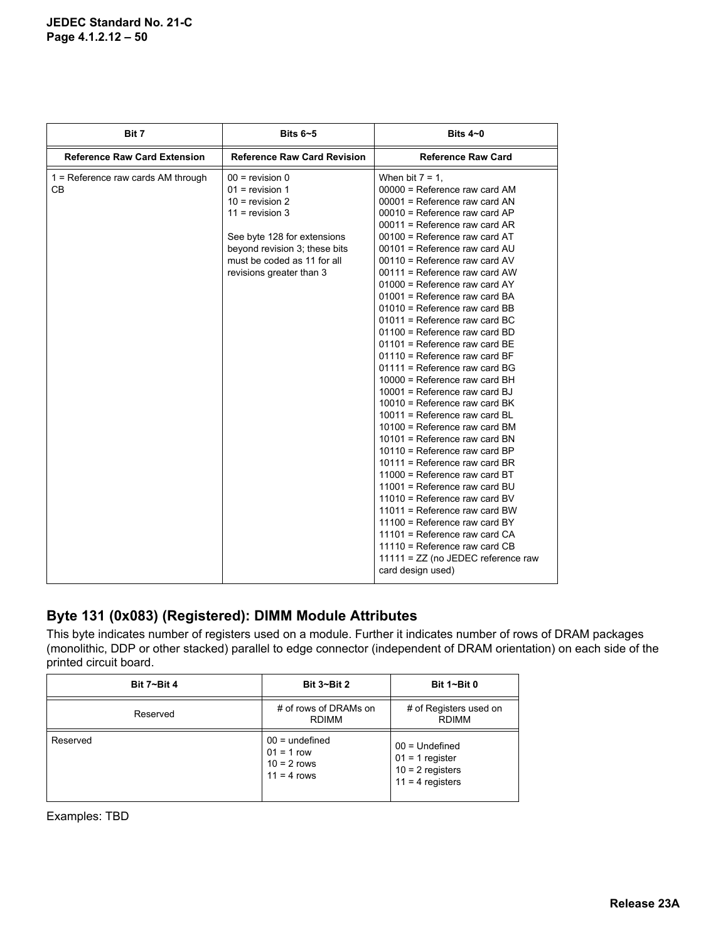| Bit 7                                      | Bits $6 - 5$                                                                                                                                                                                                | Bits $4\neg$ 0                                                                                                                                                                                                                                                                                                                                                                                                                                                                                                                                                                                                                                                                                                                                                                                                                                                                                                                                                                                                                                                                                                                                                                 |  |
|--------------------------------------------|-------------------------------------------------------------------------------------------------------------------------------------------------------------------------------------------------------------|--------------------------------------------------------------------------------------------------------------------------------------------------------------------------------------------------------------------------------------------------------------------------------------------------------------------------------------------------------------------------------------------------------------------------------------------------------------------------------------------------------------------------------------------------------------------------------------------------------------------------------------------------------------------------------------------------------------------------------------------------------------------------------------------------------------------------------------------------------------------------------------------------------------------------------------------------------------------------------------------------------------------------------------------------------------------------------------------------------------------------------------------------------------------------------|--|
| <b>Reference Raw Card Extension</b>        | <b>Reference Raw Card Revision</b>                                                                                                                                                                          | <b>Reference Raw Card</b>                                                                                                                                                                                                                                                                                                                                                                                                                                                                                                                                                                                                                                                                                                                                                                                                                                                                                                                                                                                                                                                                                                                                                      |  |
| $1$ = Reference raw cards AM through<br>CВ | $00 =$ revision 0<br>$01$ = revision 1<br>$10 =$ revision 2<br>$11 =$ revision 3<br>See byte 128 for extensions<br>beyond revision 3; these bits<br>must be coded as 11 for all<br>revisions greater than 3 | When bit $7 = 1$ ,<br>00000 = Reference raw card AM<br>00001 = Reference raw card AN<br>$00010$ = Reference raw card AP<br>$00011$ = Reference raw card AR<br>00100 = Reference raw card AT<br>00101 = Reference raw card AU<br>$00110$ = Reference raw card AV<br>00111 = Reference raw card AW<br>$01000$ = Reference raw card AY<br>01001 = Reference raw card BA<br>01010 = Reference raw card BB<br>01011 = Reference raw card BC<br>01100 = Reference raw card BD<br>$01101$ = Reference raw card BE<br>01110 = Reference raw card BF<br>$01111$ = Reference raw card BG<br>$10000$ = Reference raw card BH<br>$10001$ = Reference raw card BJ<br>$10010$ = Reference raw card BK<br>10011 = Reference raw card BL<br>$10100$ = Reference raw card BM<br>$10101$ = Reference raw card BN<br>$10110$ = Reference raw card BP<br>$10111$ = Reference raw card BR<br>11000 = Reference raw card BT<br>11001 = Reference raw card BU<br>$11010$ = Reference raw card BV<br>$11011$ = Reference raw card BW<br>11100 = Reference raw card BY<br>11101 = Reference raw card CA<br>$11110$ = Reference raw card CB<br>$11111 = ZZ$ (no JEDEC reference raw<br>card design used) |  |

### **Byte 131 (0x083) (Registered): DIMM Module Attributes**

This byte indicates number of registers used on a module. Further it indicates number of rows of DRAM packages (monolithic, DDP or other stacked) parallel to edge connector (independent of DRAM orientation) on each side of the printed circuit board.

| <b>Bit 7~Bit 4</b> | <b>Bit 3~Bit 2</b>                                                 | Bit $1 - B$ it 0<br># of Registers used on<br><b>RDIMM</b>                        |  |
|--------------------|--------------------------------------------------------------------|-----------------------------------------------------------------------------------|--|
| Reserved           | # of rows of DRAMs on<br><b>RDIMM</b>                              |                                                                                   |  |
| Reserved           | $00 =$ undefined<br>$01 = 1$ row<br>$10 = 2$ rows<br>$11 = 4$ rows | $00 =$ Undefined<br>$01 = 1$ register<br>$10 = 2$ registers<br>$11 = 4$ registers |  |

Examples: TBD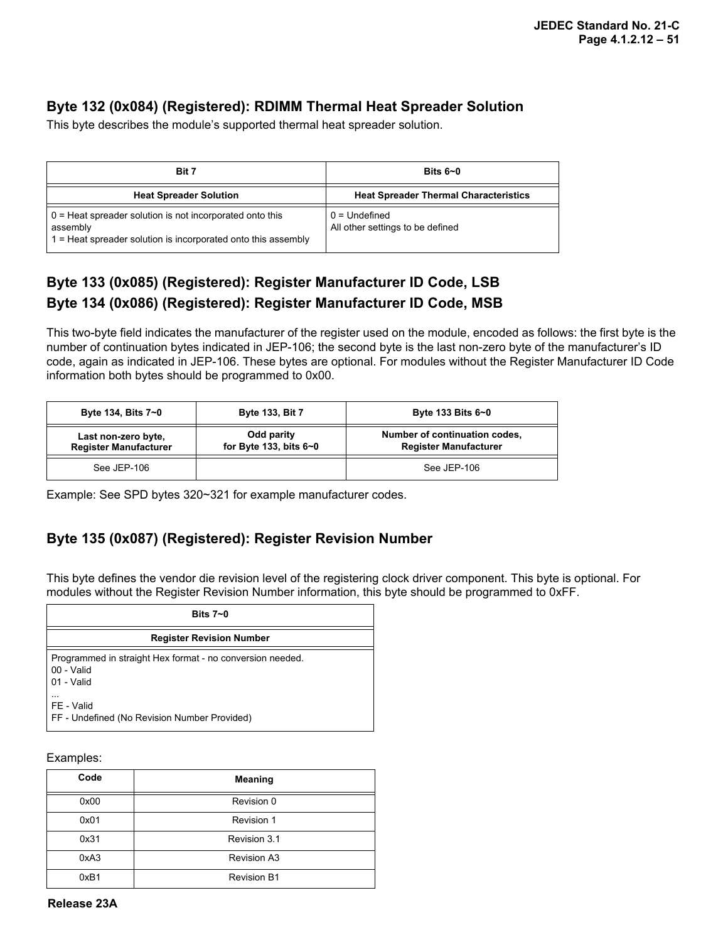### **Byte 132 (0x084) (Registered): RDIMM Thermal Heat Spreader Solution**

This byte describes the module's supported thermal heat spreader solution.

| Bit 7                                                                                                                                   | Bits $6-0$                                          |  |
|-----------------------------------------------------------------------------------------------------------------------------------------|-----------------------------------------------------|--|
| <b>Heat Spreader Solution</b>                                                                                                           | <b>Heat Spreader Thermal Characteristics</b>        |  |
| $0$ = Heat spreader solution is not incorporated onto this<br>assembly<br>1 = Heat spreader solution is incorporated onto this assembly | $0 =$ Undefined<br>All other settings to be defined |  |

## **Byte 133 (0x085) (Registered): Register Manufacturer ID Code, LSB Byte 134 (0x086) (Registered): Register Manufacturer ID Code, MSB**

This two-byte field indicates the manufacturer of the register used on the module, encoded as follows: the first byte is the number of continuation bytes indicated in JEP-106; the second byte is the last non-zero byte of the manufacturer's ID code, again as indicated in JEP-106. These bytes are optional. For modules without the Register Manufacturer ID Code information both bytes should be programmed to 0x00.

| Byte 134, Bits 7~0                                  | <b>Byte 133, Bit 7</b>                   | Byte 133 Bits 6~0                                             |  |
|-----------------------------------------------------|------------------------------------------|---------------------------------------------------------------|--|
| Last non-zero byte,<br><b>Register Manufacturer</b> | Odd parity<br>for Byte 133, bits $6 - 0$ | Number of continuation codes,<br><b>Register Manufacturer</b> |  |
| See JEP-106                                         |                                          | See JEP-106                                                   |  |

Example: See SPD bytes 320~321 for example manufacturer codes.

## **Byte 135 (0x087) (Registered): Register Revision Number**

This byte defines the vendor die revision level of the registering clock driver component. This byte is optional. For modules without the Register Revision Number information, this byte should be programmed to 0xFF.

| Bits $7 - 0$                                                                          |
|---------------------------------------------------------------------------------------|
| <b>Register Revision Number</b>                                                       |
| Programmed in straight Hex format - no conversion needed.<br>00 - Valid<br>01 - Valid |
| .<br>FE - Valid<br>FF - Undefined (No Revision Number Provided)                       |

Examples:

| Code | Meaning            |
|------|--------------------|
| 0x00 | Revision 0         |
| 0x01 | Revision 1         |
| 0x31 | Revision 3.1       |
| 0xA3 | <b>Revision A3</b> |
| 0xB1 | <b>Revision B1</b> |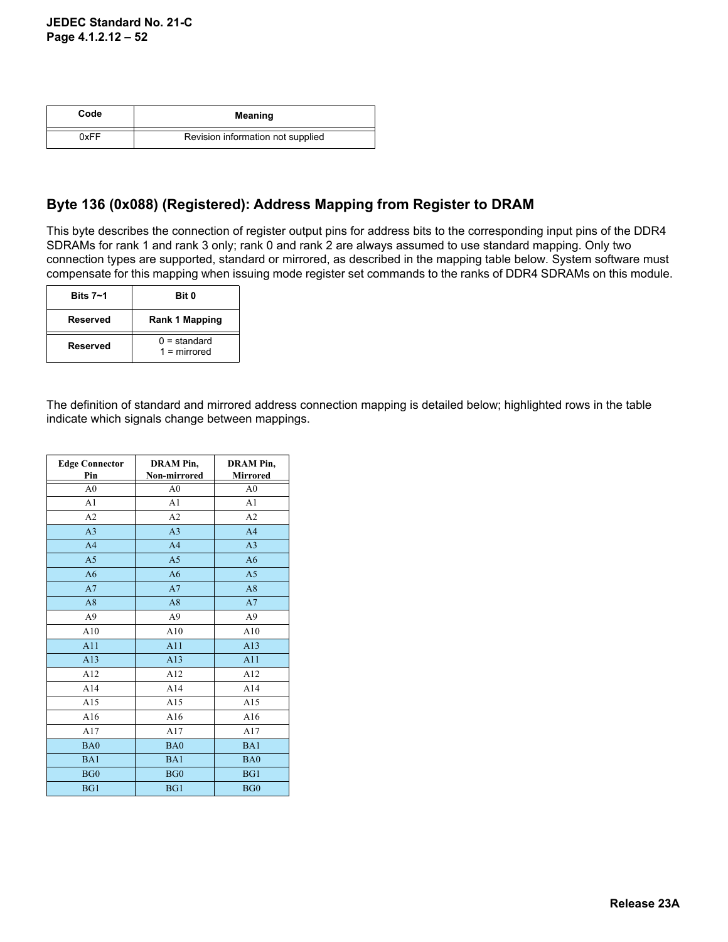| Code | Meaning                           |
|------|-----------------------------------|
| 0xFF | Revision information not supplied |

### **Byte 136 (0x088) (Registered): Address Mapping from Register to DRAM**

This byte describes the connection of register output pins for address bits to the corresponding input pins of the DDR4 SDRAMs for rank 1 and rank 3 only; rank 0 and rank 2 are always assumed to use standard mapping. Only two connection types are supported, standard or mirrored, as described in the mapping table below. System software must compensate for this mapping when issuing mode register set commands to the ranks of DDR4 SDRAMs on this module.

| Bits $7 - 1$ | Bit 0                            |
|--------------|----------------------------------|
| Reserved     | Rank 1 Mapping                   |
| Reserved     | $0 =$ standard<br>$1 =$ mirrored |

The definition of standard and mirrored address connection mapping is detailed below; highlighted rows in the table indicate which signals change between mappings.

| <b>Edge Connector</b><br>Pin | <b>DRAM Pin,</b><br>Non-mirrored | <b>DRAM Pin,</b><br><b>Mirrored</b> |
|------------------------------|----------------------------------|-------------------------------------|
| A <sub>0</sub>               | A <sub>0</sub>                   | A <sub>0</sub>                      |
| A <sub>1</sub>               | A <sub>1</sub>                   | A <sub>1</sub>                      |
| A2                           | A2                               | A2                                  |
| A <sub>3</sub>               | A <sub>3</sub>                   | A <sub>4</sub>                      |
| A <sub>4</sub>               | A <sub>4</sub>                   | A <sub>3</sub>                      |
| A <sub>5</sub>               | A <sub>5</sub>                   | A6                                  |
| A6                           | A6                               | A <sub>5</sub>                      |
| A7                           | A7                               | A8                                  |
| A8                           | A8                               | A7                                  |
| A <sub>9</sub>               | A <sub>9</sub>                   | A <sub>9</sub>                      |
| A10                          | A10                              | A10                                 |
| A11                          | A11                              | A13                                 |
| A13                          | A13                              | A11                                 |
| A12                          | A12                              | A12                                 |
| A14                          | A14                              | A14                                 |
| A15                          | A15                              | A15                                 |
| A16                          | A16                              | A16                                 |
| A17                          | A17                              | A17                                 |
| BA0                          | BA0                              | BA1                                 |
| BA1                          | BA1                              | BA0                                 |
| BG0                          | BG0                              | BG1                                 |
| BG1                          | BG1                              | BG <sub>0</sub>                     |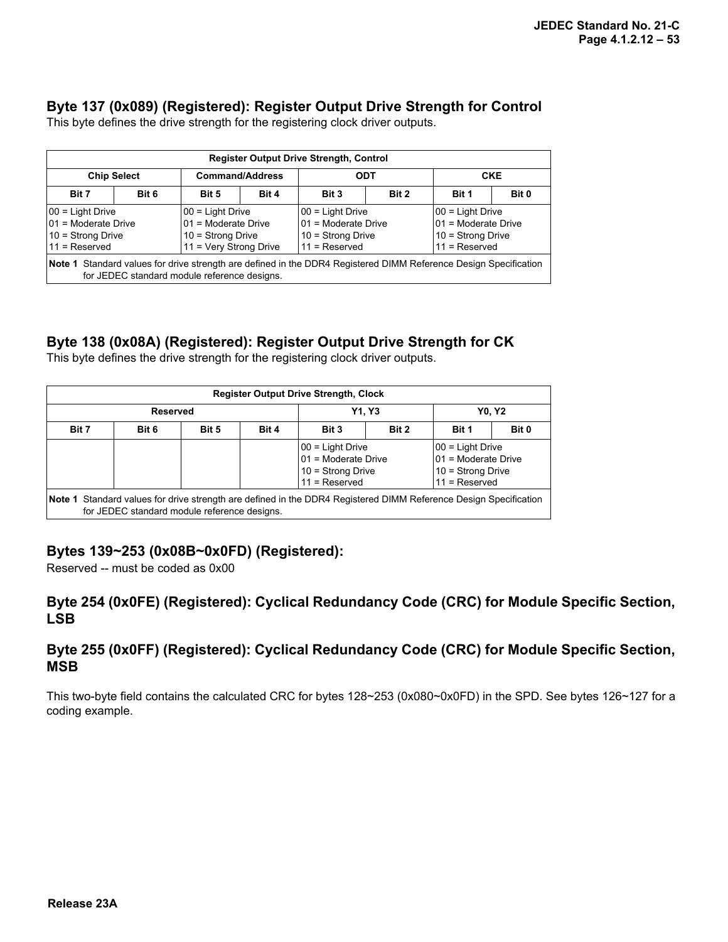#### **Byte 137 (0x089) (Registered): Register Output Drive Strength for Control**

This byte defines the drive strength for the registering clock driver outputs.

| <b>Register Output Drive Strength, Control</b>                                                                                                                            |       |                                             |       |                                             |  |                                             |       |
|---------------------------------------------------------------------------------------------------------------------------------------------------------------------------|-------|---------------------------------------------|-------|---------------------------------------------|--|---------------------------------------------|-------|
| <b>Chip Select</b>                                                                                                                                                        |       | <b>Command/Address</b>                      |       | ODT                                         |  | <b>CKE</b>                                  |       |
| Bit 7                                                                                                                                                                     | Bit 6 | Bit 5                                       | Bit 4 | Bit 2<br>Bit 3                              |  | Bit 1                                       | Bit 0 |
| $ 00 =$ Light Drive<br>01 = Moderate Drive                                                                                                                                |       | $00 =$ Light Drive<br>$01$ = Moderate Drive |       | $00 =$ Light Drive<br>$01$ = Moderate Drive |  | $00 =$ Light Drive<br>$01$ = Moderate Drive |       |
| $10 =$ Strong Drive<br>10 = Strong Drive<br>$10 =$ Strong Drive<br>$10 =$ Strong Drive<br>11 = Very Strong Drive<br>$11 =$ Reserved<br>$11 =$ Reserved<br>$11 =$ Reserved |       |                                             |       |                                             |  |                                             |       |
| Note 1 Standard values for drive strength are defined in the DDR4 Registered DIMM Reference Design Specification<br>for JEDEC standard module reference designs.          |       |                                             |       |                                             |  |                                             |       |

#### **Byte 138 (0x08A) (Registered): Register Output Drive Strength for CK**

This byte defines the drive strength for the registering clock driver outputs.

| <b>Register Output Drive Strength, Clock</b> |                                                                                                                                                                            |              |       |                                                                                                                  |  |       |  |
|----------------------------------------------|----------------------------------------------------------------------------------------------------------------------------------------------------------------------------|--------------|-------|------------------------------------------------------------------------------------------------------------------|--|-------|--|
| <b>Reserved</b>                              |                                                                                                                                                                            | <b>Y1.Y3</b> |       | <b>Y0. Y2</b>                                                                                                    |  |       |  |
| Bit 7                                        | Bit 6                                                                                                                                                                      | Bit 5        | Bit 4 | Bit 2<br>Bit 3<br>Bit 1                                                                                          |  | Bit 0 |  |
|                                              | 00 = Light Drive<br>$00 =$ Light Drive<br>01 = Moderate Drive<br>$01$ = Moderate Drive<br>$10 =$ Strong Drive<br>$10 =$ Strong Drive<br>$11 =$ Reserved<br>$11 =$ Reserved |              |       |                                                                                                                  |  |       |  |
|                                              | for JEDEC standard module reference designs.                                                                                                                               |              |       | Note 1 Standard values for drive strength are defined in the DDR4 Registered DIMM Reference Design Specification |  |       |  |

#### **Bytes 139~253 (0x08B~0x0FD) (Registered):**

Reserved -- must be coded as 0x00

#### **Byte 254 (0x0FE) (Registered): Cyclical Redundancy Code (CRC) for Module Specific Section, LSB**

#### **Byte 255 (0x0FF) (Registered): Cyclical Redundancy Code (CRC) for Module Specific Section, MSB**

This two-byte field contains the calculated CRC for bytes 128~253 (0x080~0x0FD) in the SPD. See bytes 126~127 for a coding example.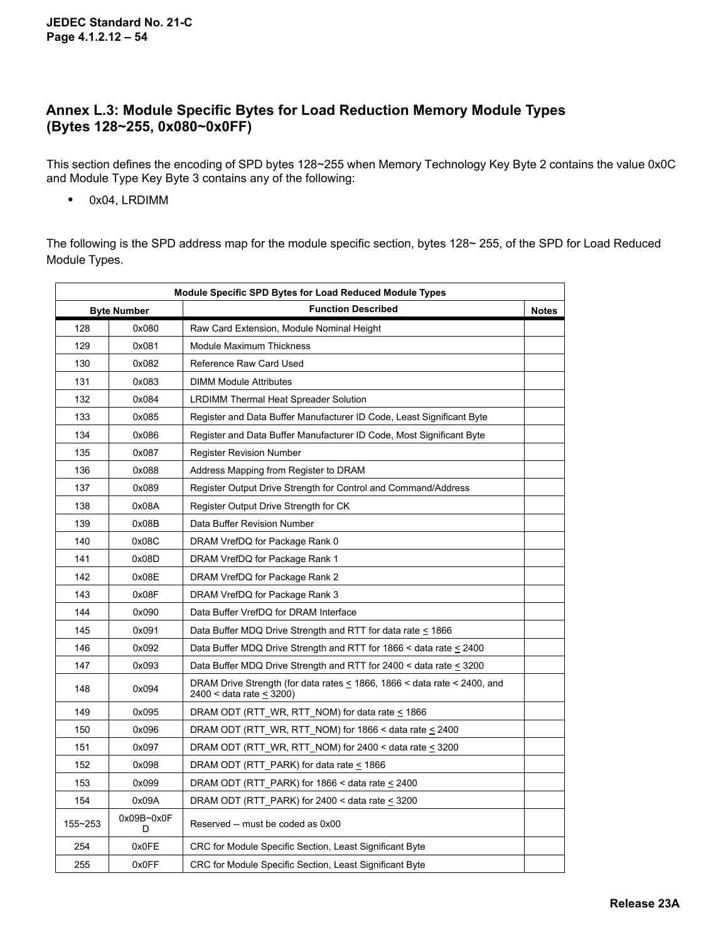#### **Annex L.3: Module Specific Bytes for Load Reduction Memory Module Types (Bytes 128~255, 0x080~0x0FF)**

This section defines the encoding of SPD bytes 128~255 when Memory Technology Key Byte 2 contains the value 0x0C and Module Type Key Byte 3 contains any of the following:

**•** 0x04, LRDIMM

The following is the SPD address map for the module specific section, bytes 128~ 255, of the SPD for Load Reduced Module Types.

| <b>Module Specific SPD Bytes for Load Reduced Module Types</b> |                    |                                                                                                                          |  |
|----------------------------------------------------------------|--------------------|--------------------------------------------------------------------------------------------------------------------------|--|
|                                                                | <b>Byte Number</b> | <b>Function Described</b>                                                                                                |  |
| 128                                                            | 0x080              | Raw Card Extension, Module Nominal Height                                                                                |  |
| 129                                                            | 0x081              | Module Maximum Thickness                                                                                                 |  |
| 130                                                            | 0x082              | Reference Raw Card Used                                                                                                  |  |
| 131                                                            | 0x083              | <b>DIMM Module Attributes</b>                                                                                            |  |
| 132                                                            | 0x084              | LRDIMM Thermal Heat Spreader Solution                                                                                    |  |
| 133                                                            | 0x085              | Register and Data Buffer Manufacturer ID Code, Least Significant Byte                                                    |  |
| 134                                                            | 0x086              | Register and Data Buffer Manufacturer ID Code, Most Significant Byte                                                     |  |
| 135                                                            | 0x087              | <b>Register Revision Number</b>                                                                                          |  |
| 136                                                            | 0x088              | Address Mapping from Register to DRAM                                                                                    |  |
| 137                                                            | 0x089              | Register Output Drive Strength for Control and Command/Address                                                           |  |
| 138                                                            | 0x08A              | Register Output Drive Strength for CK                                                                                    |  |
| 139                                                            | 0x08B              | Data Buffer Revision Number                                                                                              |  |
| 140                                                            | 0x08C              | DRAM VrefDQ for Package Rank 0                                                                                           |  |
| 141                                                            | 0x08D              | DRAM VrefDQ for Package Rank 1                                                                                           |  |
| 142                                                            | 0x08E              | DRAM VrefDQ for Package Rank 2                                                                                           |  |
| 143                                                            | 0x08F              | DRAM VrefDQ for Package Rank 3                                                                                           |  |
| 144                                                            | 0x090              | Data Buffer VrefDQ for DRAM Interface                                                                                    |  |
| 145                                                            | 0x091              | Data Buffer MDQ Drive Strength and RTT for data rate $\leq$ 1866                                                         |  |
| 146                                                            | 0x092              | Data Buffer MDQ Drive Strength and RTT for 1866 $\leq$ data rate $\leq$ 2400                                             |  |
| 147                                                            | 0x093              | Data Buffer MDQ Drive Strength and RTT for 2400 $<$ data rate $\leq$ 3200                                                |  |
| 148                                                            | 0x094              | DRAM Drive Strength (for data rates $\leq$ 1866, 1866 $\leq$ data rate $\leq$ 2400, and<br>2400 < data rate $\leq$ 3200) |  |
| 149                                                            | 0x095              | DRAM ODT (RTT WR, RTT NOM) for data rate $\leq 1866$                                                                     |  |
| 150                                                            | 0x096              | DRAM ODT (RTT_WR, RTT_NOM) for 1866 < data rate $\leq$ 2400                                                              |  |
| 151                                                            | 0x097              | DRAM ODT (RTT_WR, RTT_NOM) for 2400 < data rate $\leq$ 3200                                                              |  |
| 152                                                            | 0x098              | DRAM ODT (RTT_PARK) for data rate $\leq$ 1866                                                                            |  |
| 153                                                            | 0x099              | DRAM ODT (RTT_PARK) for 1866 < data rate $\leq$ 2400                                                                     |  |
| 154                                                            | 0x09A              | DRAM ODT (RTT_PARK) for 2400 < data rate $\leq$ 3200                                                                     |  |
| 155~253                                                        | 0x09B~0x0F<br>D    | Reserved -- must be coded as 0x00                                                                                        |  |
| 254                                                            | 0x0FE              | CRC for Module Specific Section, Least Significant Byte                                                                  |  |
| 255                                                            | 0x0FF              | CRC for Module Specific Section, Least Significant Byte                                                                  |  |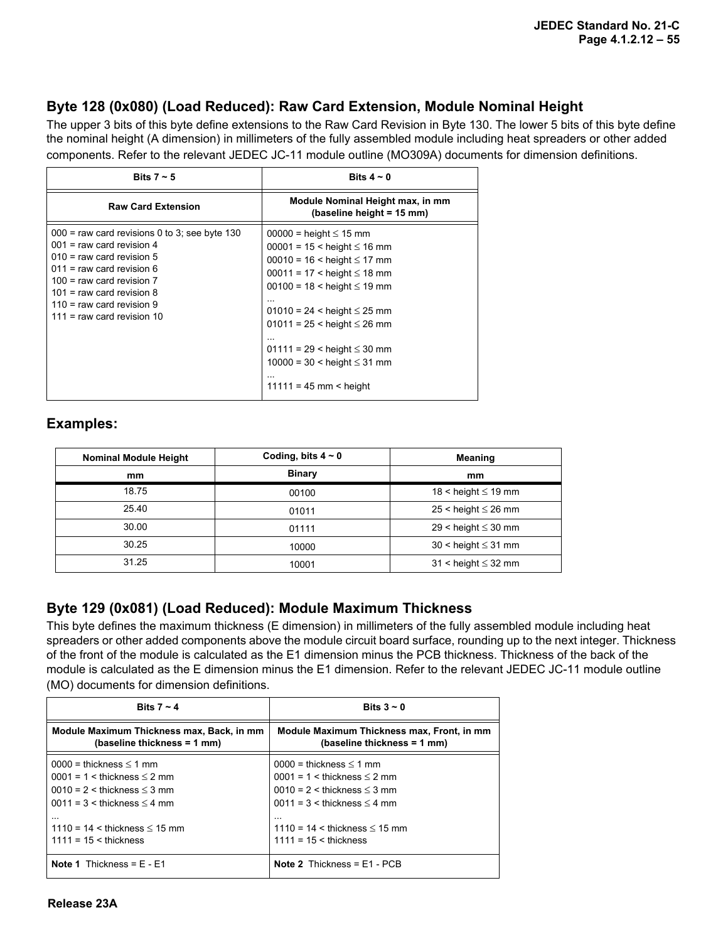#### **Byte 128 (0x080) (Load Reduced): Raw Card Extension, Module Nominal Height**

The upper 3 bits of this byte define extensions to the Raw Card Revision in Byte 130. The lower 5 bits of this byte define the nominal height (A dimension) in millimeters of the fully assembled module including heat spreaders or other added components. Refer to the relevant JEDEC JC-11 module outline (MO309A) documents for dimension definitions.

| Bits $7 \sim 5$                                                                                                                                                                                                                                                             | Bits $4 \sim 0$                                                                                                                                                                                                                                                                                                                                                           |
|-----------------------------------------------------------------------------------------------------------------------------------------------------------------------------------------------------------------------------------------------------------------------------|---------------------------------------------------------------------------------------------------------------------------------------------------------------------------------------------------------------------------------------------------------------------------------------------------------------------------------------------------------------------------|
| <b>Raw Card Extension</b>                                                                                                                                                                                                                                                   | Module Nominal Height max, in mm<br>(baseline height = 15 mm)                                                                                                                                                                                                                                                                                                             |
| $000$ = raw card revisions 0 to 3; see byte 130<br>$001$ = raw card revision 4<br>$010$ = raw card revision 5<br>$011$ = raw card revision 6<br>$100 =$ raw card revision $7$<br>$101$ = raw card revision 8<br>$110$ = raw card revision 9<br>$111$ = raw card revision 10 | $00000 =$ height $\leq 15$ mm<br>$00001 = 15 <$ height $\leq 16$ mm<br>$00010 = 16$ < height $\leq 17$ mm<br>$00011 = 17 <$ height $\leq 18$ mm<br>$00100 = 18 <$ height $\leq 19$ mm<br>$01010 = 24$ < height $\leq 25$ mm<br>$01011 = 25$ < height $\leq 26$ mm<br>$01111 = 29$ < height $\leq 30$ mm<br>$10000 = 30 <$ height $\leq 31$ mm<br>$11111 = 45$ mm < height |

#### **Examples:**

| <b>Nominal Module Height</b> | Coding, bits $4 \sim 0$ | <b>Meaning</b>             |
|------------------------------|-------------------------|----------------------------|
| mm                           | <b>Binary</b>           | mm                         |
| 18.75                        | 00100                   | 18 < height $\leq$ 19 mm   |
| 25.40                        | 01011                   | $25 <$ height $\leq 26$ mm |
| 30.00                        | 01111                   | $29$ < height $\leq 30$ mm |
| 30.25                        | 10000                   | $30 <$ height $\leq 31$ mm |
| 31.25                        | 10001                   | $31 <$ height $\leq 32$ mm |

### **Byte 129 (0x081) (Load Reduced): Module Maximum Thickness**

This byte defines the maximum thickness (E dimension) in millimeters of the fully assembled module including heat spreaders or other added components above the module circuit board surface, rounding up to the next integer. Thickness of the front of the module is calculated as the E1 dimension minus the PCB thickness. Thickness of the back of the module is calculated as the E dimension minus the E1 dimension. Refer to the relevant JEDEC JC-11 module outline (MO) documents for dimension definitions.

| Bits $7 \sim 4$                                                          | Bits $3 - 0$                                                              |
|--------------------------------------------------------------------------|---------------------------------------------------------------------------|
| Module Maximum Thickness max, Back, in mm<br>(baseline thickness = 1 mm) | Module Maximum Thickness max, Front, in mm<br>(baseline thickness = 1 mm) |
| $0000 =$ thickness $\leq 1$ mm                                           | $0000 =$ thickness $\leq 1$ mm                                            |
| $0001 = 1 \leq$ thickness $\leq$ 2 mm                                    | $0001 = 1 \leq$ thickness $\leq$ 2 mm                                     |
| $0010 = 2 <$ thickness $\leq 3$ mm                                       | $0010 = 2$ < thickness $\leq 3$ mm                                        |
| $0011 = 3$ < thickness $\leq 4$ mm                                       | $0011 = 3$ < thickness $\leq 4$ mm                                        |
| $\cdots$                                                                 | $\cdots$                                                                  |
| $1110 = 14 <$ thickness $\leq 15$ mm                                     | $1110 = 14 <$ thickness $\leq 15$ mm                                      |
| $1111 = 15 \leq$ thickness                                               | $1111 = 15 \leq$ thickness                                                |
| <b>Note 1</b> Thickness = $F - F1$                                       | <b>Note 2</b> Thickness = $E1 - PCB$                                      |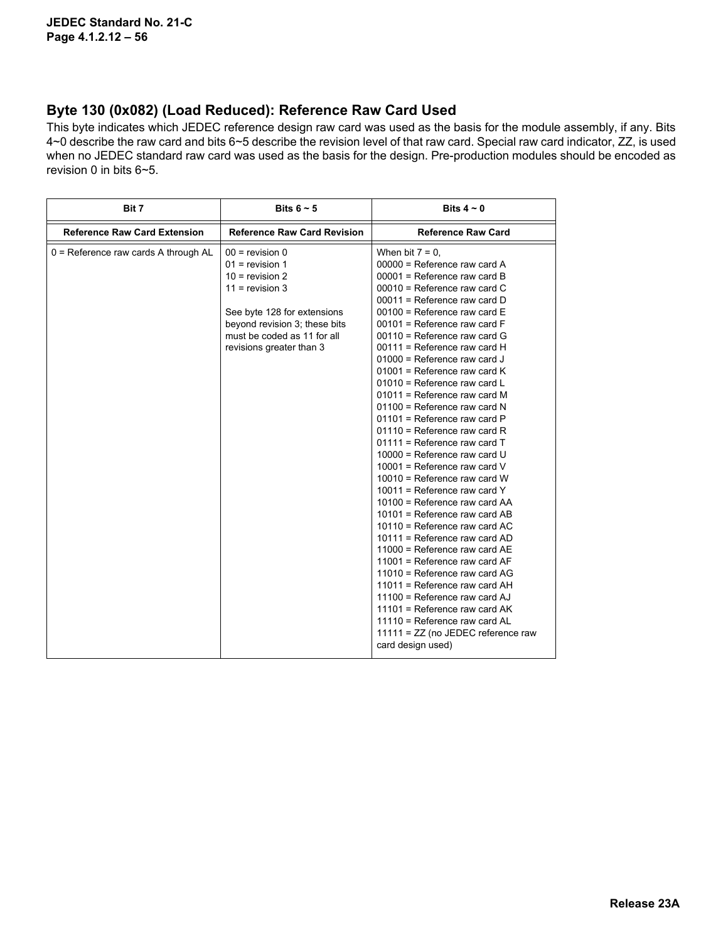#### **Byte 130 (0x082) (Load Reduced): Reference Raw Card Used**

This byte indicates which JEDEC reference design raw card was used as the basis for the module assembly, if any. Bits 4~0 describe the raw card and bits 6~5 describe the revision level of that raw card. Special raw card indicator, ZZ, is used when no JEDEC standard raw card was used as the basis for the design. Pre-production modules should be encoded as revision 0 in bits 6~5.

| Bit 7                                | Bits $6 \sim 5$                                                                                                                                                                                             | Bits $4 \sim 0$                                                                                                                                                                                                                                                                                                                                                                                                                                                                                                                                                                                                                                                                                                                                                                                                                                                                                                                                                                                                                                                                                                                                       |
|--------------------------------------|-------------------------------------------------------------------------------------------------------------------------------------------------------------------------------------------------------------|-------------------------------------------------------------------------------------------------------------------------------------------------------------------------------------------------------------------------------------------------------------------------------------------------------------------------------------------------------------------------------------------------------------------------------------------------------------------------------------------------------------------------------------------------------------------------------------------------------------------------------------------------------------------------------------------------------------------------------------------------------------------------------------------------------------------------------------------------------------------------------------------------------------------------------------------------------------------------------------------------------------------------------------------------------------------------------------------------------------------------------------------------------|
| <b>Reference Raw Card Extension</b>  | <b>Reference Raw Card Revision</b>                                                                                                                                                                          | <b>Reference Raw Card</b>                                                                                                                                                                                                                                                                                                                                                                                                                                                                                                                                                                                                                                                                                                                                                                                                                                                                                                                                                                                                                                                                                                                             |
| 0 = Reference raw cards A through AL | $00 =$ revision 0<br>$01$ = revision 1<br>$10 =$ revision 2<br>$11 =$ revision 3<br>See byte 128 for extensions<br>beyond revision 3; these bits<br>must be coded as 11 for all<br>revisions greater than 3 | When bit $7 = 0$ ,<br>$00000$ = Reference raw card A<br>$00001$ = Reference raw card B<br>$00010$ = Reference raw card C<br>$00011$ = Reference raw card D<br>$00100$ = Reference raw card E<br>$00101$ = Reference raw card F<br>$00110$ = Reference raw card G<br>$00111$ = Reference raw card H<br>$01000$ = Reference raw card J<br>$01001$ = Reference raw card K<br>$01010$ = Reference raw card L<br>01011 = Reference raw card M<br>$01100$ = Reference raw card N<br>01101 = Reference raw card P<br>01110 = Reference raw card R<br>$01111$ = Reference raw card T<br>$10000$ = Reference raw card U<br>10001 = Reference raw card $V$<br>$10010$ = Reference raw card W<br>10011 = Reference raw card $Y$<br>10100 = Reference raw card AA<br>$10101$ = Reference raw card AB<br>$10110$ = Reference raw card AC<br>$10111$ = Reference raw card AD<br>$11000$ = Reference raw card AE<br>11001 = Reference raw card $AF$<br>$11010$ = Reference raw card AG<br>$11011$ = Reference raw card AH<br>$11100$ = Reference raw card AJ<br>11101 = Reference raw card AK<br>11110 = Reference raw card AL<br>11111 = ZZ (no JEDEC reference raw |
|                                      |                                                                                                                                                                                                             | card design used)                                                                                                                                                                                                                                                                                                                                                                                                                                                                                                                                                                                                                                                                                                                                                                                                                                                                                                                                                                                                                                                                                                                                     |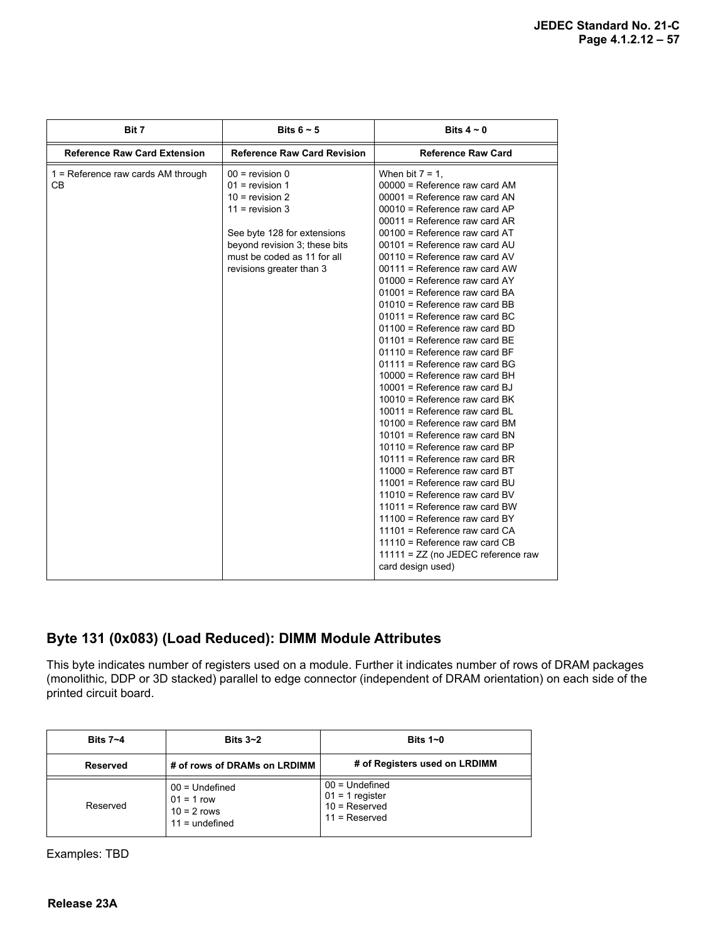| Bit 7                                             | Bits $6 \sim 5$                                                                                                                                                                                             | Bits $4 \sim 0$                                                                                                                                                                                                                                                                                                                                                                                                                                                                                                                                                                                                                                                                                                                                                                                                                                                                                                                                                                                                                                                                                                                                                                              |
|---------------------------------------------------|-------------------------------------------------------------------------------------------------------------------------------------------------------------------------------------------------------------|----------------------------------------------------------------------------------------------------------------------------------------------------------------------------------------------------------------------------------------------------------------------------------------------------------------------------------------------------------------------------------------------------------------------------------------------------------------------------------------------------------------------------------------------------------------------------------------------------------------------------------------------------------------------------------------------------------------------------------------------------------------------------------------------------------------------------------------------------------------------------------------------------------------------------------------------------------------------------------------------------------------------------------------------------------------------------------------------------------------------------------------------------------------------------------------------|
| <b>Reference Raw Card Extension</b>               | <b>Reference Raw Card Revision</b>                                                                                                                                                                          | <b>Reference Raw Card</b>                                                                                                                                                                                                                                                                                                                                                                                                                                                                                                                                                                                                                                                                                                                                                                                                                                                                                                                                                                                                                                                                                                                                                                    |
| $1 =$ Reference raw cards AM through<br><b>CB</b> | $00 =$ revision 0<br>$01$ = revision 1<br>$10 =$ revision 2<br>$11 =$ revision 3<br>See byte 128 for extensions<br>beyond revision 3; these bits<br>must be coded as 11 for all<br>revisions greater than 3 | When bit $7 = 1$ ,<br>$00000$ = Reference raw card AM<br>$00001$ = Reference raw card AN<br>$00010$ = Reference raw card AP<br>00011 = Reference raw card AR<br>$00100$ = Reference raw card AT<br>$00101$ = Reference raw card AU<br>00110 = Reference raw card AV<br>$00111$ = Reference raw card AW<br>$01000$ = Reference raw card AY<br>01001 = Reference raw card BA<br>$01010$ = Reference raw card BB<br>$01011$ = Reference raw card BC<br>01100 = Reference raw card BD<br>01101 = Reference raw card BE<br>$01110$ = Reference raw card BF<br>$01111$ = Reference raw card BG<br>$10000$ = Reference raw card BH<br>$10001$ = Reference raw card BJ<br>10010 = Reference raw card BK<br>$10011$ = Reference raw card BL<br>$10100$ = Reference raw card BM<br>10101 = Reference raw card BN<br>$10110$ = Reference raw card BP<br>$10111$ = Reference raw card BR<br>$11000$ = Reference raw card BT<br>11001 = Reference raw card BU<br>$11010$ = Reference raw card BV<br>$11011$ = Reference raw card BW<br>$11100$ = Reference raw card BY<br>11101 = Reference raw card $CA$<br>$11110$ = Reference raw card CB<br>$11111 = ZZ$ (no JEDEC reference raw<br>card design used) |

### **Byte 131 (0x083) (Load Reduced): DIMM Module Attributes**

This byte indicates number of registers used on a module. Further it indicates number of rows of DRAM packages (monolithic, DDP or 3D stacked) parallel to edge connector (independent of DRAM orientation) on each side of the printed circuit board.

| Bits $7 - 4$ | Bits $3 - 2$                                                          | Bits $1-0$                                                                  |
|--------------|-----------------------------------------------------------------------|-----------------------------------------------------------------------------|
| Reserved     | # of rows of DRAMs on LRDIMM                                          | # of Registers used on LRDIMM                                               |
| Reserved     | $00 =$ Undefined<br>$01 = 1$ row<br>$10 = 2$ rows<br>$11 =$ undefined | $00 =$ Undefined<br>$01 = 1$ register<br>$10 =$ Reserved<br>$11 =$ Reserved |

Examples: TBD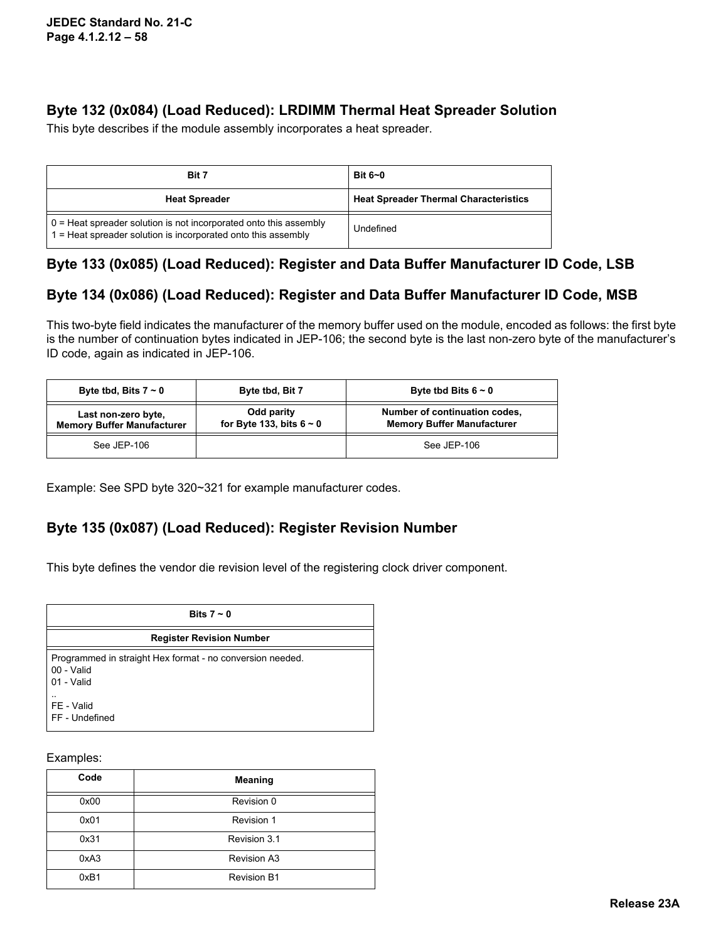### **Byte 132 (0x084) (Load Reduced): LRDIMM Thermal Heat Spreader Solution**

This byte describes if the module assembly incorporates a heat spreader.

| Bit 7                                                                                                                                        | Bit $6-0$                                    |
|----------------------------------------------------------------------------------------------------------------------------------------------|----------------------------------------------|
| <b>Heat Spreader</b>                                                                                                                         | <b>Heat Spreader Thermal Characteristics</b> |
| $0 =$ Heat spreader solution is not incorporated onto this assembly<br>$\vert$ 1 = Heat spreader solution is incorporated onto this assembly | Undefined                                    |

## **Byte 133 (0x085) (Load Reduced): Register and Data Buffer Manufacturer ID Code, LSB**

### **Byte 134 (0x086) (Load Reduced): Register and Data Buffer Manufacturer ID Code, MSB**

This two-byte field indicates the manufacturer of the memory buffer used on the module, encoded as follows: the first byte is the number of continuation bytes indicated in JEP-106; the second byte is the last non-zero byte of the manufacturer's ID code, again as indicated in JEP-106.

| Byte tbd, Bits $7 \sim 0$                                | Byte tbd, Bit 7                             | Byte tbd Bits $6 \sim 0$                                           |
|----------------------------------------------------------|---------------------------------------------|--------------------------------------------------------------------|
| Last non-zero byte,<br><b>Memory Buffer Manufacturer</b> | Odd parity<br>for Byte 133, bits $6 \sim 0$ | Number of continuation codes,<br><b>Memory Buffer Manufacturer</b> |
| See JEP-106                                              |                                             | See JEP-106                                                        |

Example: See SPD byte 320~321 for example manufacturer codes.

### **Byte 135 (0x087) (Load Reduced): Register Revision Number**

This byte defines the vendor die revision level of the registering clock driver component.

| Bits $7 \sim 0$                                                                       |
|---------------------------------------------------------------------------------------|
| <b>Register Revision Number</b>                                                       |
| Programmed in straight Hex format - no conversion needed.<br>00 - Valid<br>01 - Valid |
| FE - Valid<br>FF - Undefined                                                          |

#### Examples:

| Code | <b>Meaning</b>     |
|------|--------------------|
| 0x00 | Revision 0         |
| 0x01 | Revision 1         |
| 0x31 | Revision 3.1       |
| 0xA3 | <b>Revision A3</b> |
| 0xB1 | <b>Revision B1</b> |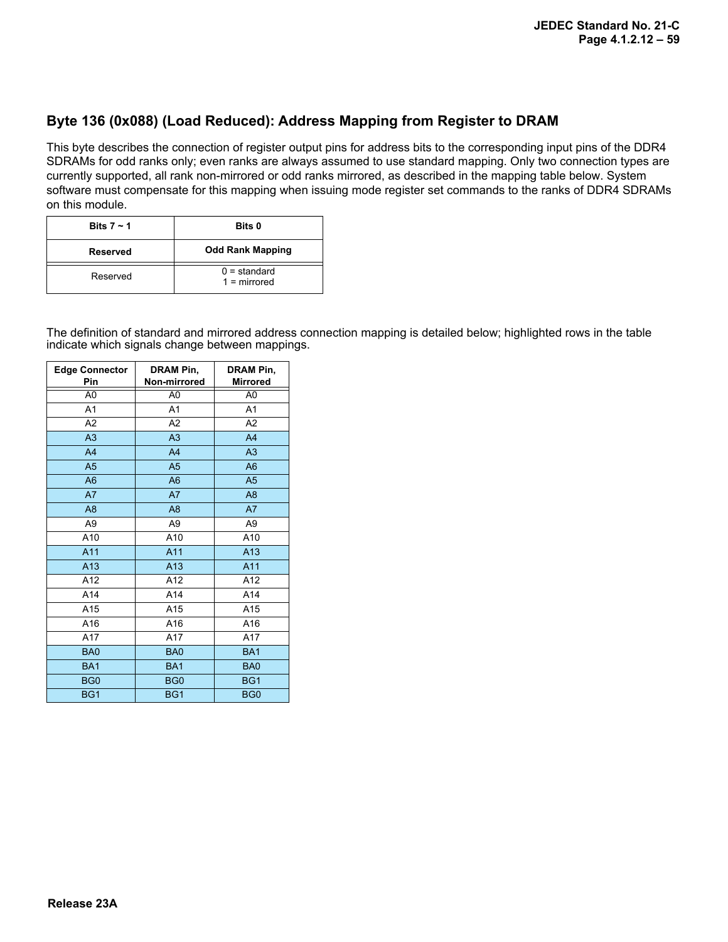#### **Byte 136 (0x088) (Load Reduced): Address Mapping from Register to DRAM**

This byte describes the connection of register output pins for address bits to the corresponding input pins of the DDR4 SDRAMs for odd ranks only; even ranks are always assumed to use standard mapping. Only two connection types are currently supported, all rank non-mirrored or odd ranks mirrored, as described in the mapping table below. System software must compensate for this mapping when issuing mode register set commands to the ranks of DDR4 SDRAMs on this module.

| Bits $7 - 1$ | Bits 0                           |
|--------------|----------------------------------|
| Reserved     | <b>Odd Rank Mapping</b>          |
| Reserved     | $0 =$ standard<br>$1 =$ mirrored |

The definition of standard and mirrored address connection mapping is detailed below; highlighted rows in the table indicate which signals change between mappings.

| <b>Edge Connector</b><br>Pin | DRAM Pin,<br>Non-mirrored | <b>DRAM Pin,</b><br><b>Mirrored</b> |
|------------------------------|---------------------------|-------------------------------------|
| A <sub>0</sub>               | A <sub>0</sub>            | A <sub>0</sub>                      |
| A <sub>1</sub>               | A <sub>1</sub>            | A <sub>1</sub>                      |
| A2                           | A2                        | A2                                  |
| A <sub>3</sub>               | A3                        | A <sub>4</sub>                      |
| A <sub>4</sub>               | A <sub>4</sub>            | A <sub>3</sub>                      |
| A <sub>5</sub>               | A <sub>5</sub>            | A <sub>6</sub>                      |
| A <sub>6</sub>               | A <sub>6</sub>            | A <sub>5</sub>                      |
| A7                           | A7                        | A <sub>8</sub>                      |
| A <sub>8</sub>               | A <sub>8</sub>            | A7                                  |
| A9                           | A <sub>9</sub>            | A <sub>9</sub>                      |
| A10                          | A10                       | A10                                 |
| A11                          | A11                       | A13                                 |
| A <sub>13</sub>              | A <sub>13</sub>           | A11                                 |
| A12                          | A12                       | A12                                 |
| A14                          | A14                       | A14                                 |
| A15                          | A15                       | A15                                 |
| A16                          | A16                       | A16                                 |
| A17                          | A17                       | A17                                 |
| BA0                          | BA0                       | BA <sub>1</sub>                     |
| BA <sub>1</sub>              | BA <sub>1</sub>           | BA <sub>0</sub>                     |
| BG <sub>0</sub>              | BG <sub>0</sub>           | BG1                                 |
| BG1                          | BG1                       | BG <sub>0</sub>                     |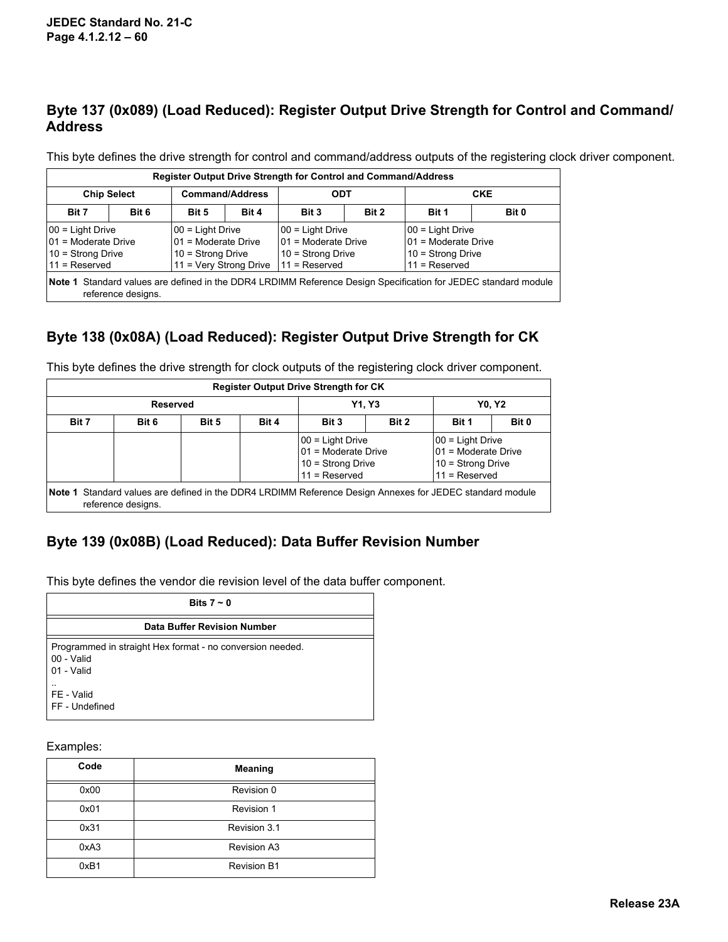### **Byte 137 (0x089) (Load Reduced): Register Output Drive Strength for Control and Command/ Address**

This byte defines the drive strength for control and command/address outputs of the registering clock driver component.

| Register Output Drive Strength for Control and Command/Address                                                                                                              |       |       |                                                                                 |       |                                                                                   |       |            |  |  |  |  |
|-----------------------------------------------------------------------------------------------------------------------------------------------------------------------------|-------|-------|---------------------------------------------------------------------------------|-------|-----------------------------------------------------------------------------------|-------|------------|--|--|--|--|
| <b>Chip Select</b>                                                                                                                                                          |       |       | <b>Command/Address</b>                                                          |       | <b>ODT</b>                                                                        |       | <b>CKE</b> |  |  |  |  |
| Bit 7                                                                                                                                                                       | Bit 6 | Bit 5 | Bit 4                                                                           | Bit 3 | Bit 2                                                                             | Bit 1 | Bit 0      |  |  |  |  |
| 00 = Light Drive<br>00 = Light Drive<br>01 = Moderate Drive<br>01 = Moderate Drive<br>$10 =$ Strong Drive<br>10 = Strong Drive<br>11 = Very Strong Drive<br>$11 =$ Reserved |       |       | 00 = Light Drive<br>01 = Moderate Drive<br>10 = Strong Drive<br>$11 =$ Reserved |       | 00 = Light Drive<br>01 = Moderate Drive<br>$10 =$ Strong Drive<br>$11 =$ Reserved |       |            |  |  |  |  |
| Note 1 Standard values are defined in the DDR4 LRDIMM Reference Design Specification for JEDEC standard module<br>reference designs.                                        |       |       |                                                                                 |       |                                                                                   |       |            |  |  |  |  |

## **Byte 138 (0x08A) (Load Reduced): Register Output Drive Strength for CK**

|          |                    |       |       | <b>Register Output Drive Strength for CK</b>                                                             |       |                                                                                    |       |
|----------|--------------------|-------|-------|----------------------------------------------------------------------------------------------------------|-------|------------------------------------------------------------------------------------|-------|
| Reserved |                    |       |       | <b>Y1.Y3</b>                                                                                             |       | <b>Y0. Y2</b>                                                                      |       |
| Bit 7    | Bit 6              | Bit 5 | Bit 4 | Bit 3                                                                                                    | Bit 2 | Bit 1                                                                              | Bit 0 |
|          |                    |       |       | $ 00 =$ Light Drive<br>$ 01$ = Moderate Drive<br>$10 =$ Strong Drive<br>$11 =$ Reserved                  |       | $ 00 =$ Light Drive<br>01 = Moderate Drive<br>10 = Strong Drive<br>$11 =$ Reserved |       |
|          | reference designs. |       |       | Note 1 Standard values are defined in the DDR4 LRDIMM Reference Design Annexes for JEDEC standard module |       |                                                                                    |       |

This byte defines the drive strength for clock outputs of the registering clock driver component.

### **Byte 139 (0x08B) (Load Reduced): Data Buffer Revision Number**

This byte defines the vendor die revision level of the data buffer component.

| Bits $7 \sim 0$                                                                       |
|---------------------------------------------------------------------------------------|
| Data Buffer Revision Number                                                           |
| Programmed in straight Hex format - no conversion needed.<br>00 - Valid<br>01 - Valid |
| $\cdot$ .<br>FE - Valid<br>FF - Undefined                                             |

Examples:

| Code | <b>Meaning</b>     |
|------|--------------------|
| 0x00 | Revision 0         |
| 0x01 | Revision 1         |
| 0x31 | Revision 3.1       |
| 0xA3 | <b>Revision A3</b> |
| 0xB1 | <b>Revision B1</b> |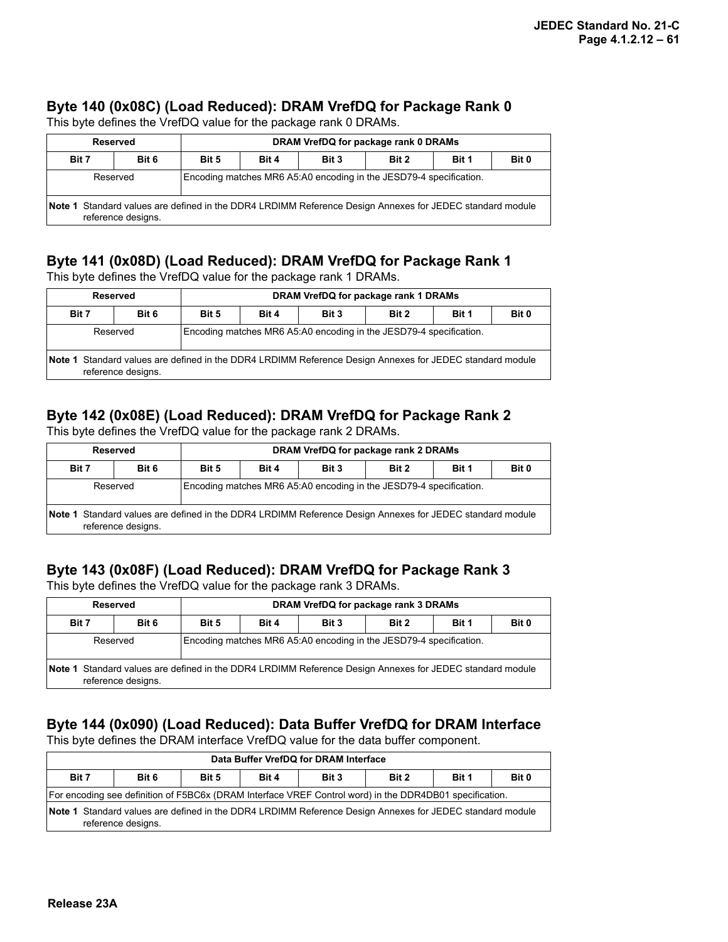#### **Byte 140 (0x08C) (Load Reduced): DRAM VrefDQ for Package Rank 0**

This byte defines the VrefDQ value for the package rank 0 DRAMs.

| DRAM VrefDQ for package rank 0 DRAMs<br>Reserved                                                         |                    |                                                                    |                                           |  |  |  |  |  |  |
|----------------------------------------------------------------------------------------------------------|--------------------|--------------------------------------------------------------------|-------------------------------------------|--|--|--|--|--|--|
| Bit 7                                                                                                    | Bit 6              | Bit 5                                                              | Bit 4<br>Bit 2<br>Bit 3<br>Bit 1<br>Bit 0 |  |  |  |  |  |  |
| Reserved                                                                                                 |                    | Encoding matches MR6 A5:A0 encoding in the JESD79-4 specification. |                                           |  |  |  |  |  |  |
| Note 1 Standard values are defined in the DDR4 LRDIMM Reference Design Annexes for JEDEC standard module | reference designs. |                                                                    |                                           |  |  |  |  |  |  |

### **Byte 141 (0x08D) (Load Reduced): DRAM VrefDQ for Package Rank 1**

This byte defines the VrefDQ value for the package rank 1 DRAMs.

|       | Reserved                                                                                                                       | DRAM VrefDQ for package rank 1 DRAMs                               |  |  |  |  |  |  |  |  |
|-------|--------------------------------------------------------------------------------------------------------------------------------|--------------------------------------------------------------------|--|--|--|--|--|--|--|--|
| Bit 7 | Bit 6                                                                                                                          | Bit 4<br>Bit 2<br>Bit 3<br>Bit 1<br>Bit 0<br>Bit 5                 |  |  |  |  |  |  |  |  |
|       | Reserved                                                                                                                       | Encoding matches MR6 A5:A0 encoding in the JESD79-4 specification. |  |  |  |  |  |  |  |  |
|       | Note 1 Standard values are defined in the DDR4 LRDIMM Reference Design Annexes for JEDEC standard module<br>reference designs. |                                                                    |  |  |  |  |  |  |  |  |

## **Byte 142 (0x08E) (Load Reduced): DRAM VrefDQ for Package Rank 2**

This byte defines the VrefDQ value for the package rank 2 DRAMs.

|       | Reserved                                                                                                                       | DRAM VrefDQ for package rank 2 DRAMs                               |                                           |  |  |  |  |  |  |  |  |
|-------|--------------------------------------------------------------------------------------------------------------------------------|--------------------------------------------------------------------|-------------------------------------------|--|--|--|--|--|--|--|--|
| Bit 7 | Bit 6                                                                                                                          | Bit 5                                                              | Bit 4<br>Bit 2<br>Bit 0<br>Bit 1<br>Bit 3 |  |  |  |  |  |  |  |  |
|       | Reserved                                                                                                                       | Encoding matches MR6 A5:A0 encoding in the JESD79-4 specification. |                                           |  |  |  |  |  |  |  |  |
|       | Note 1 Standard values are defined in the DDR4 LRDIMM Reference Design Annexes for JEDEC standard module<br>reference designs. |                                                                    |                                           |  |  |  |  |  |  |  |  |

# **Byte 143 (0x08F) (Load Reduced): DRAM VrefDQ for Package Rank 3**

This byte defines the VrefDQ value for the package rank 3 DRAMs.

| Reserved |                                                                                                                                |                                                                    |                                           |  | DRAM VrefDQ for package rank 3 DRAMs |  |  |  |  |  |
|----------|--------------------------------------------------------------------------------------------------------------------------------|--------------------------------------------------------------------|-------------------------------------------|--|--------------------------------------|--|--|--|--|--|
| Bit 7    | Bit 6                                                                                                                          | Bit 5                                                              | Bit 0<br>Bit 1<br>Bit 4<br>Bit 3<br>Bit 2 |  |                                      |  |  |  |  |  |
|          | Reserved                                                                                                                       | Encoding matches MR6 A5:A0 encoding in the JESD79-4 specification. |                                           |  |                                      |  |  |  |  |  |
|          | Note 1 Standard values are defined in the DDR4 LRDIMM Reference Design Annexes for JEDEC standard module<br>reference designs. |                                                                    |                                           |  |                                      |  |  |  |  |  |

## **Byte 144 (0x090) (Load Reduced): Data Buffer VrefDQ for DRAM Interface**

This byte defines the DRAM interface VrefDQ value for the data buffer component.

| Data Buffer VrefDQ for DRAM Interface |                                                                                                                                                                                                                                           |       |       |       |       |       |       |  |  |  |
|---------------------------------------|-------------------------------------------------------------------------------------------------------------------------------------------------------------------------------------------------------------------------------------------|-------|-------|-------|-------|-------|-------|--|--|--|
| Bit 7                                 | Bit 6                                                                                                                                                                                                                                     | Bit 5 | Bit 4 | Bit 3 | Bit 2 | Bit 1 | Bit 0 |  |  |  |
|                                       |                                                                                                                                                                                                                                           |       |       |       |       |       |       |  |  |  |
|                                       | For encoding see definition of F5BC6x (DRAM Interface VREF Control word) in the DDR4DB01 specification.<br>Note 1 Standard values are defined in the DDR4 LRDIMM Reference Design Annexes for JEDEC standard module<br>reference designs. |       |       |       |       |       |       |  |  |  |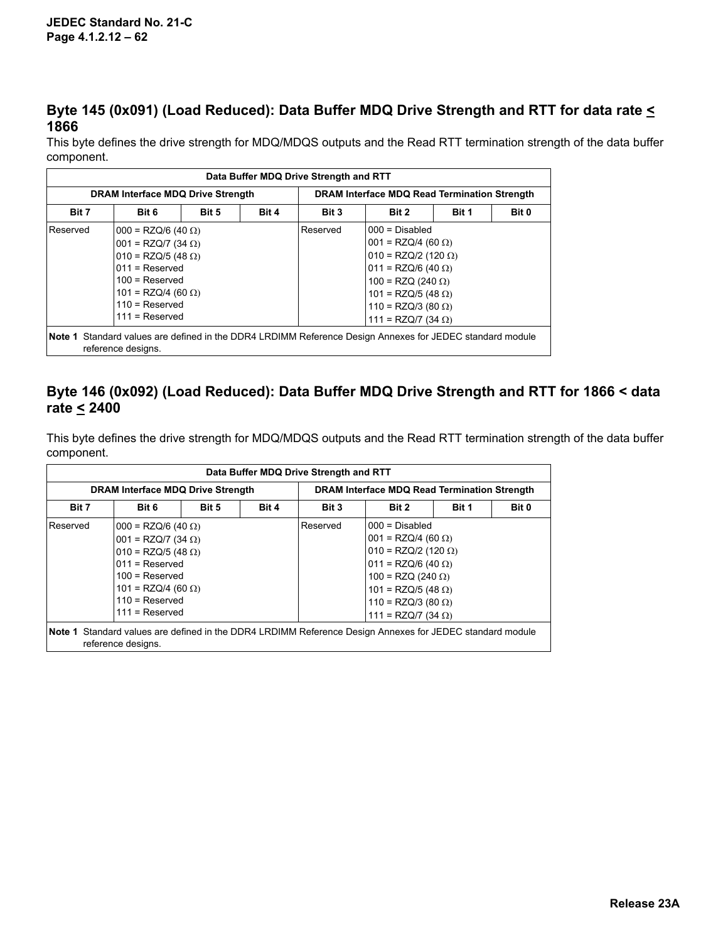### **Byte 145 (0x091) (Load Reduced): Data Buffer MDQ Drive Strength and RTT for data rate < 1866**

This byte defines the drive strength for MDQ/MDQS outputs and the Read RTT termination strength of the data buffer component.

| Data Buffer MDQ Drive Strength and RTT |                                                                                                                                                                                                     |       |       |                                              |                                                                                                                                                                                                                         |  |  |  |  |  |  |
|----------------------------------------|-----------------------------------------------------------------------------------------------------------------------------------------------------------------------------------------------------|-------|-------|----------------------------------------------|-------------------------------------------------------------------------------------------------------------------------------------------------------------------------------------------------------------------------|--|--|--|--|--|--|
| DRAM Interface MDQ Drive Strength      |                                                                                                                                                                                                     |       |       | DRAM Interface MDQ Read Termination Strength |                                                                                                                                                                                                                         |  |  |  |  |  |  |
| Bit 7                                  | Bit 6                                                                                                                                                                                               | Bit 5 | Bit 4 | Bit 3<br>Bit 2<br>Bit 0<br>Bit 1             |                                                                                                                                                                                                                         |  |  |  |  |  |  |
| Reserved                               | $000 = RZQ/6 (40 \Omega)$<br>$001 = RZQ/7 (34 \Omega)$<br>$010 = RZQ/5 (48 \Omega)$<br>$011 =$ Reserved<br>$100 =$ Reserved<br>$101 = RZQ/4$ (60 $\Omega$ )<br>$110 =$ Reserved<br>$111 =$ Reserved |       |       | Reserved                                     | $000 = Disabled$<br>$001 = RZQ/4 (60 \Omega)$<br>$010 = RZQ/2 (120 \Omega)$<br>$011 = RZQ/6 (40 \Omega)$<br>$100 = RZQ (240 Ω)$<br>$101 = RZQ/5 (48 \Omega)$<br>110 = RZQ/3 (80 $\Omega$ )<br>$111 = RZQ/7 (34 \Omega)$ |  |  |  |  |  |  |
|                                        | reference designs.                                                                                                                                                                                  |       |       |                                              | Note 1 Standard values are defined in the DDR4 LRDIMM Reference Design Annexes for JEDEC standard module                                                                                                                |  |  |  |  |  |  |

### **Byte 146 (0x092) (Load Reduced): Data Buffer MDQ Drive Strength and RTT for 1866 < data rate < 2400**

This byte defines the drive strength for MDQ/MDQS outputs and the Read RTT termination strength of the data buffer component.

|                                          |                                                                                                                                                                                                                                                                                                                                                                                                                                   |       |       | Data Buffer MDQ Drive Strength and RTT |                                              |  |  |  |  |
|------------------------------------------|-----------------------------------------------------------------------------------------------------------------------------------------------------------------------------------------------------------------------------------------------------------------------------------------------------------------------------------------------------------------------------------------------------------------------------------|-------|-------|----------------------------------------|----------------------------------------------|--|--|--|--|
| <b>DRAM Interface MDQ Drive Strength</b> |                                                                                                                                                                                                                                                                                                                                                                                                                                   |       |       |                                        | DRAM Interface MDQ Read Termination Strength |  |  |  |  |
| Bit 7                                    | Bit 6                                                                                                                                                                                                                                                                                                                                                                                                                             | Bit 5 | Bit 4 | Bit 0<br>Bit 3<br>Bit 2<br>Bit 1       |                                              |  |  |  |  |
| Reserved                                 | $000 = Disabled$<br>Reserved<br>$000 = RZQ/6 (40 \Omega)$<br>$001 = RZQ/4 (60 \Omega)$<br>$001 = RZQ/7 (34 \Omega)$<br>$ 010 = RZQ/2 (120 \Omega)$<br>$010 = RZQ/5 (48 \Omega)$<br>$011 =$ Reserved<br>$ 011 = RZQ/6 (40 \Omega)$<br>$100 =$ Reserved<br>100 = RZQ (240 Ω)<br>101 = RZQ/4 (60 Ω)<br>$101 = RZQ/5 (48 \Omega)$<br>$110 =$ Reserved<br>110 = RZQ/3 (80 $\Omega$ )<br>$111 =$ Reserved<br>111 = RZQ/7 (34 $\Omega$ ) |       |       |                                        |                                              |  |  |  |  |
|                                          | Note 1 Standard values are defined in the DDR4 LRDIMM Reference Design Annexes for JEDEC standard module<br>reference designs.                                                                                                                                                                                                                                                                                                    |       |       |                                        |                                              |  |  |  |  |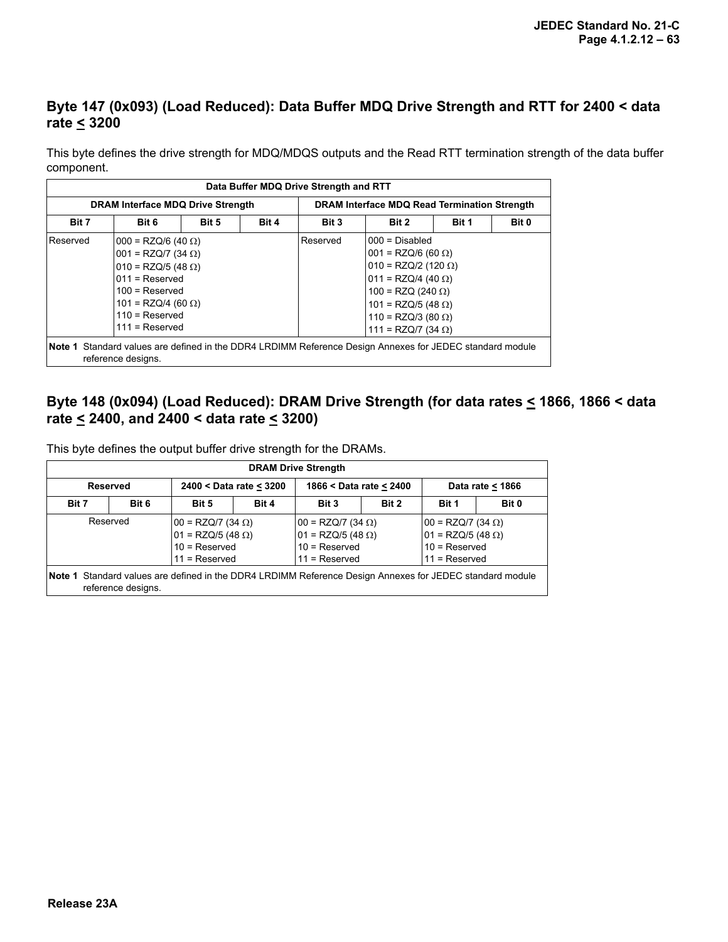### **Byte 147 (0x093) (Load Reduced): Data Buffer MDQ Drive Strength and RTT for 2400 < data rate < 3200**

This byte defines the drive strength for MDQ/MDQS outputs and the Read RTT termination strength of the data buffer component.

|          |                                                                                                                                                                                                  |       |       | Data Buffer MDQ Drive Strength and RTT |                                                                                                          |                                                                                                                                                                                                                |  |  |  |
|----------|--------------------------------------------------------------------------------------------------------------------------------------------------------------------------------------------------|-------|-------|----------------------------------------|----------------------------------------------------------------------------------------------------------|----------------------------------------------------------------------------------------------------------------------------------------------------------------------------------------------------------------|--|--|--|
|          | DRAM Interface MDQ Drive Strength                                                                                                                                                                |       |       |                                        | DRAM Interface MDQ Read Termination Strength                                                             |                                                                                                                                                                                                                |  |  |  |
| Bit 7    | Bit 6                                                                                                                                                                                            | Bit 5 | Bit 4 | Bit 3                                  | Bit 2                                                                                                    | Bit 0                                                                                                                                                                                                          |  |  |  |
| Reserved | $000 = RZQ/6 (40 \Omega)$<br>$001 = RZQ/7 (34 \Omega)$<br>$010 = RZQ/5 (48 \Omega)$<br>$011 =$ Reserved<br>$100 =$ Reserved<br>$101 = RZQ/4 (60 \Omega)$<br>$110$ = Reserved<br>$111 =$ Reserved |       |       | Reserved                               | $111 = RZQ/7 (34 \Omega)$                                                                                | Bit 1<br>$000 = Disabled$<br>$001 = RZQ/6 (60 \Omega)$<br>$010 = RZQ/2$ (120 $\Omega$ )<br>$011 = RZQ/4$ (40 $\Omega$ )<br>100 = RZQ (240 $\Omega$ )<br>$101 = RZQ/5 (48 \Omega)$<br>$110 = RZQ/3 (80 \Omega)$ |  |  |  |
|          | reference designs.                                                                                                                                                                               |       |       |                                        | Note 1 Standard values are defined in the DDR4 LRDIMM Reference Design Annexes for JEDEC standard module |                                                                                                                                                                                                                |  |  |  |

### **Byte 148 (0x094) (Load Reduced): DRAM Drive Strength (for data rates < 1866, 1866 < data rate < 2400, and 2400 < data rate < 3200)**

This byte defines the output buffer drive strength for the DRAMs.

| <b>DRAM Drive Strength</b> |                                                                                                        |                         |       |                                                                                                          |       |                                                                                             |       |  |  |  |  |  |
|----------------------------|--------------------------------------------------------------------------------------------------------|-------------------------|-------|----------------------------------------------------------------------------------------------------------|-------|---------------------------------------------------------------------------------------------|-------|--|--|--|--|--|
| <b>Reserved</b>            |                                                                                                        | 2400 < Data rate < 3200 |       | 1866 < Data rate $\leq$ 2400                                                                             |       | Data rate $<$ 1866                                                                          |       |  |  |  |  |  |
| Bit 7                      | Bit 6                                                                                                  | Bit 5                   | Bit 4 | Bit 3                                                                                                    | Bit 2 | Bit 1                                                                                       | Bit 0 |  |  |  |  |  |
|                            | Reserved<br>$ 00 = RZQ/7 (34 \Omega)$<br>$ 01 = RZQ/5 (48 \Omega)$<br>10 = Reserved<br>$11 =$ Reserved |                         |       | $00 = RZQ/7 (34 \Omega)$<br>$01 = RZQ/5 (48 \Omega)$<br>$10 =$ Reserved<br>$11 =$ Reserved               |       | $ 00 = RZQ/7 (34 \Omega)$<br>$01 = RZQ/5 (48 \Omega)$<br>$10 =$ Reserved<br>$11 =$ Reserved |       |  |  |  |  |  |
|                            | reference designs.                                                                                     |                         |       | Note 1 Standard values are defined in the DDR4 LRDIMM Reference Design Annexes for JEDEC standard module |       |                                                                                             |       |  |  |  |  |  |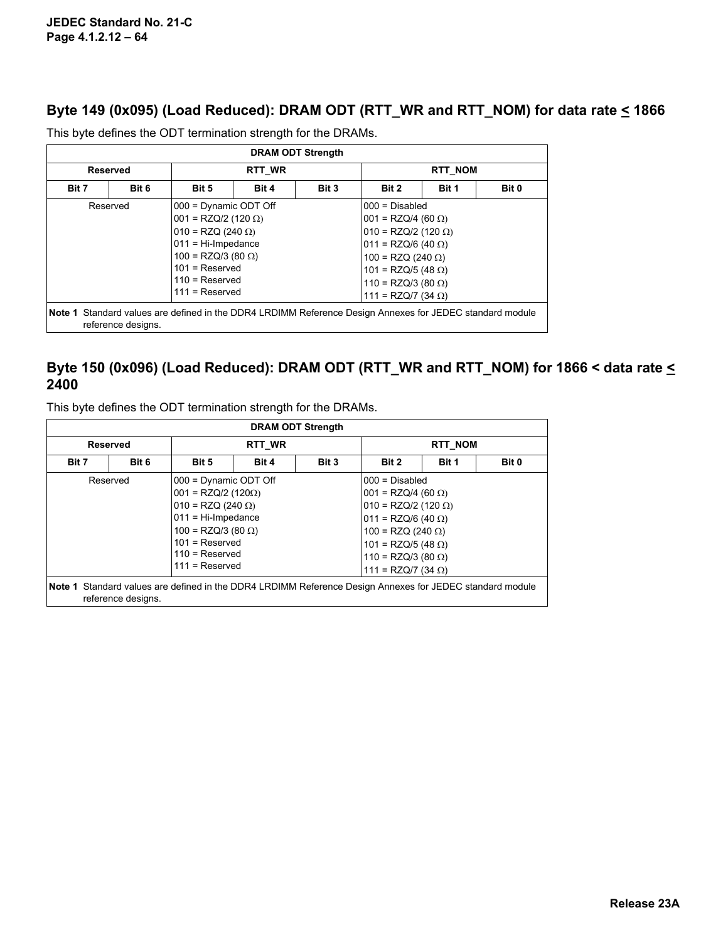### **Byte 149 (0x095) (Load Reduced): DRAM ODT (RTT\_WR and RTT\_NOM) for data rate < 1866**

| <b>DRAM ODT Strength</b>                                                                                                       |                                                                                                                                                                                                                 |        |       |       |                         |                                                                                                                                                                                                                              |  |  |  |  |  |
|--------------------------------------------------------------------------------------------------------------------------------|-----------------------------------------------------------------------------------------------------------------------------------------------------------------------------------------------------------------|--------|-------|-------|-------------------------|------------------------------------------------------------------------------------------------------------------------------------------------------------------------------------------------------------------------------|--|--|--|--|--|
| <b>Reserved</b>                                                                                                                |                                                                                                                                                                                                                 | RTT WR |       |       | <b>RTT NOM</b>          |                                                                                                                                                                                                                              |  |  |  |  |  |
| Bit 7                                                                                                                          | Bit 6                                                                                                                                                                                                           | Bit 5  | Bit 4 | Bit 3 | Bit 1<br>Bit 0<br>Bit 2 |                                                                                                                                                                                                                              |  |  |  |  |  |
|                                                                                                                                | 000 = Dynamic ODT Off<br>Reserved<br>$001 = RZQ/2$ (120 $\Omega$ )<br>$010 = RZQ (240 \Omega)$<br>$011 = Hi-Impedance$<br>$100 = RZQ/3 (80 \Omega)$<br>$101$ = Reserved<br>$110$ = Reserved<br>$111 =$ Reserved |        |       |       |                         | $000 = Disabled$<br>$001 = RZQ/4 (60 \Omega)$<br>$010 = RZQ/2 (120 \Omega)$<br>$011 = RZQ/6 (40 \Omega)$<br>$100 = RZQ (240 \Omega)$<br>$101 = RZQ/5 (48 \Omega)$<br>$110 = RZQ/3 (80 \Omega)$<br>111 = RZQ/7 (34 $\Omega$ ) |  |  |  |  |  |
| Note 1 Standard values are defined in the DDR4 LRDIMM Reference Design Annexes for JEDEC standard module<br>reference designs. |                                                                                                                                                                                                                 |        |       |       |                         |                                                                                                                                                                                                                              |  |  |  |  |  |

This byte defines the ODT termination strength for the DRAMs.

#### **Byte 150 (0x096) (Load Reduced): DRAM ODT (RTT\_WR and RTT\_NOM) for 1866 < data rate < 2400**

This byte defines the ODT termination strength for the DRAMs.

| <b>DRAM ODT Strength</b> |                    |                                                                                                                                                                                                  |                                  |  |                                                                                                                                                                                                                                |                |       |  |  |  |  |  |
|--------------------------|--------------------|--------------------------------------------------------------------------------------------------------------------------------------------------------------------------------------------------|----------------------------------|--|--------------------------------------------------------------------------------------------------------------------------------------------------------------------------------------------------------------------------------|----------------|-------|--|--|--|--|--|
| <b>Reserved</b>          |                    |                                                                                                                                                                                                  | <b>RTT WR</b>                    |  |                                                                                                                                                                                                                                | <b>RTT NOM</b> |       |  |  |  |  |  |
| Bit 7                    | Bit 6              | Bit 5                                                                                                                                                                                            | Bit 1<br>Bit 4<br>Bit 3<br>Bit 2 |  |                                                                                                                                                                                                                                |                | Bit 0 |  |  |  |  |  |
|                          | Reserved           | 000 = Dynamic ODT Off<br>$001 = RZQ/2 (120\Omega)$<br>$010 = RZQ (240 \Omega)$<br>$011 = Hi$ -Impedance<br>$100 = RZQ/3 (80 \Omega)$<br>$101$ = Reserved<br>$110 =$ Reserved<br>$111 =$ Reserved |                                  |  | $000 = Disabled$<br>$001 = RZQ/4 (60 \Omega)$<br>$010 = RZQ/2$ (120 $\Omega$ )<br>$011 = RZQ/6 (40 \Omega)$<br>$100 = RZQ (240 \Omega)$<br>$101 = RZQ/5 (48 \Omega)$<br>$110 = RZQ/3 (80 \Omega)$<br>$111 = RZQ/7 (34 \Omega)$ |                |       |  |  |  |  |  |
|                          | reference designs. | Note 1 Standard values are defined in the DDR4 LRDIMM Reference Design Annexes for JEDEC standard module                                                                                         |                                  |  |                                                                                                                                                                                                                                |                |       |  |  |  |  |  |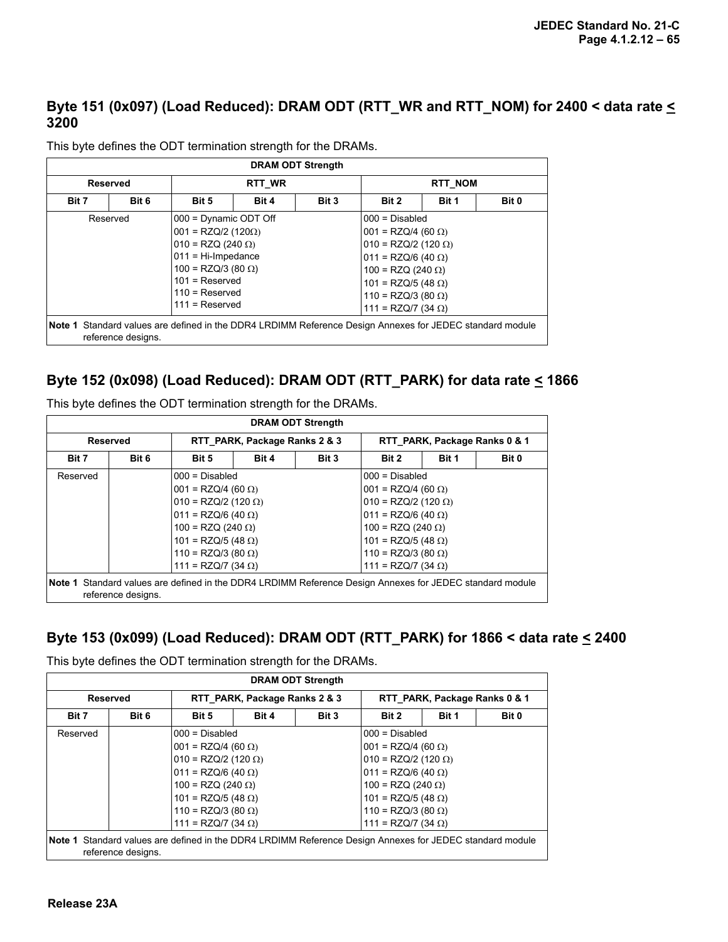### **Byte 151 (0x097) (Load Reduced): DRAM ODT (RTT\_WR and RTT\_NOM) for 2400 < data rate < 3200**

| <b>DRAM ODT Strength</b> |                    |                                                                                                                                                                                                |       |       |                                                                                                                                                                                                                              |  |  |  |  |  |  |  |
|--------------------------|--------------------|------------------------------------------------------------------------------------------------------------------------------------------------------------------------------------------------|-------|-------|------------------------------------------------------------------------------------------------------------------------------------------------------------------------------------------------------------------------------|--|--|--|--|--|--|--|
| <b>Reserved</b>          |                    | RTT WR                                                                                                                                                                                         |       |       | <b>RTT NOM</b>                                                                                                                                                                                                               |  |  |  |  |  |  |  |
| Bit 7                    | Bit 6              | Bit 5                                                                                                                                                                                          | Bit 4 | Bit 3 | Bit 1<br>Bit 0<br>Bit 2                                                                                                                                                                                                      |  |  |  |  |  |  |  |
|                          | Reserved           | 000 = Dynamic ODT Off<br>$ 001 = RZQ/2 (120\Omega)$<br>$010 = RZQ (240 \Omega)$<br>011 = Hi-Impedance<br>$100 = RZQ/3 (80 \Omega)$<br>$101$ = Reserved<br>$110 =$ Reserved<br>$111 =$ Reserved |       |       | $000 = Disabled$<br>$001 = RZQ/4$ (60 $\Omega$ )<br>$010 = RZQ/2$ (120 $\Omega$ )<br>$011 = RZQ/6 (40 \Omega)$<br>$100 = RZQ (240 Ω)$<br>$101 = RZQ/5 (48 \Omega)$<br>$110 = RZQ/3 (80 \Omega)$<br>$111 = RZQ/7 (34 \Omega)$ |  |  |  |  |  |  |  |
|                          | reference designs. | Note 1 Standard values are defined in the DDR4 LRDIMM Reference Design Annexes for JEDEC standard module                                                                                       |       |       |                                                                                                                                                                                                                              |  |  |  |  |  |  |  |

This byte defines the ODT termination strength for the DRAMs.

#### **Byte 152 (0x098) (Load Reduced): DRAM ODT (RTT\_PARK) for data rate < 1866**

This byte defines the ODT termination strength for the DRAMs.

| <b>DRAM ODT Strength</b> |                    |                                                                                                          |       |       |                               |  |  |  |  |  |  |  |
|--------------------------|--------------------|----------------------------------------------------------------------------------------------------------|-------|-------|-------------------------------|--|--|--|--|--|--|--|
| <b>Reserved</b>          |                    | RTT PARK, Package Ranks 2 & 3                                                                            |       |       | RTT PARK, Package Ranks 0 & 1 |  |  |  |  |  |  |  |
| Bit 7                    | Bit 6              | Bit 5                                                                                                    | Bit 4 | Bit 3 | Bit 2<br>Bit 1<br>Bit 0       |  |  |  |  |  |  |  |
| Reserved                 |                    | 000 = Disabled                                                                                           |       |       | $1000 = Disabled$             |  |  |  |  |  |  |  |
|                          |                    | $001 = RZQ/4 (60 \Omega)$                                                                                |       |       | $ 001 = RZQ/4   (60 \Omega)$  |  |  |  |  |  |  |  |
|                          |                    | $010 = RZQ/2 (120 \Omega)$                                                                               |       |       | $010 = RZQ/2 (120 \Omega)$    |  |  |  |  |  |  |  |
|                          |                    | $ 011 = RZQ/6 (40 \Omega)$                                                                               |       |       | $011 = RZQ/6 (40 \Omega)$     |  |  |  |  |  |  |  |
|                          |                    | $100 = RZQ (240 \Omega)$                                                                                 |       |       | $100 = RZQ (240 \Omega)$      |  |  |  |  |  |  |  |
|                          |                    | $101 = RZQ/5 (48 \Omega)$                                                                                |       |       | $101 = RZQ/5 (48 \Omega)$     |  |  |  |  |  |  |  |
|                          |                    | $110 = RZQ/3 (80 \Omega)$                                                                                |       |       | $110 = RZQ/3 (80 \Omega)$     |  |  |  |  |  |  |  |
|                          |                    | 111 = RZQ/7 (34 $\Omega$ )                                                                               |       |       | $111 = RZQ/7 (34 \Omega)$     |  |  |  |  |  |  |  |
|                          | reference designs. | Note 1 Standard values are defined in the DDR4 LRDIMM Reference Design Annexes for JEDEC standard module |       |       |                               |  |  |  |  |  |  |  |

#### **Byte 153 (0x099) (Load Reduced): DRAM ODT (RTT\_PARK) for 1866 < data rate < 2400**

This byte defines the ODT termination strength for the DRAMs.

|                 | <b>DRAM ODT Strength</b> |                                                                                                          |                               |  |                           |                               |       |  |  |  |  |  |  |
|-----------------|--------------------------|----------------------------------------------------------------------------------------------------------|-------------------------------|--|---------------------------|-------------------------------|-------|--|--|--|--|--|--|
| <b>Reserved</b> |                          |                                                                                                          | RTT PARK, Package Ranks 2 & 3 |  |                           | RTT PARK, Package Ranks 0 & 1 |       |  |  |  |  |  |  |
| Bit 7           | Bit 6                    | Bit 5                                                                                                    | Bit 4<br>Bit 3                |  |                           | Bit 1                         | Bit 0 |  |  |  |  |  |  |
| Reserved        |                          |                                                                                                          | $000 = Disabled$              |  |                           | $000 = Disabled$              |       |  |  |  |  |  |  |
|                 |                          | $001 = RZQ/4 (60 \Omega)$                                                                                |                               |  | $001 = RZQ/4 (60 \Omega)$ |                               |       |  |  |  |  |  |  |
|                 |                          |                                                                                                          | $010 = RZQ/2$ (120 $\Omega$ ) |  |                           | $010 = RZQ/2$ (120 $\Omega$ ) |       |  |  |  |  |  |  |
|                 |                          | $011 = RZQ/6 (40 \Omega)$                                                                                |                               |  | $011 = RZQ/6 (40 \Omega)$ |                               |       |  |  |  |  |  |  |
|                 |                          | $100 = RZQ (240 \Omega)$                                                                                 |                               |  | $100 = RZQ (240 Ω)$       |                               |       |  |  |  |  |  |  |
|                 |                          | $101 = RZQ/5 (48 \Omega)$                                                                                |                               |  | $101 = RZQ/5 (48 \Omega)$ |                               |       |  |  |  |  |  |  |
|                 |                          | $110 = RZQ/3 (80 \Omega)$                                                                                |                               |  | $110 = RZQ/3 (80 \Omega)$ |                               |       |  |  |  |  |  |  |
|                 |                          |                                                                                                          | $111 = RZQ/7 (34 \Omega)$     |  |                           | $111 = RZQ/7 (34 \Omega)$     |       |  |  |  |  |  |  |
|                 | reference designs.       | Note 1 Standard values are defined in the DDR4 LRDIMM Reference Design Annexes for JEDEC standard module |                               |  |                           |                               |       |  |  |  |  |  |  |